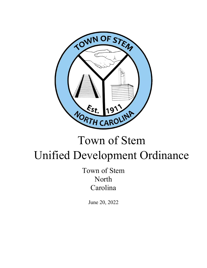

# Town of Stem Unified Development Ordinance

Town of Stem North Carolina

June 20, 2022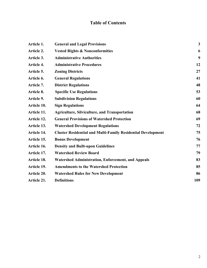# **Table of Contents**

| Article 1.  | <b>General and Legal Provisions</b>                                 | $\mathbf{3}$ |
|-------------|---------------------------------------------------------------------|--------------|
| Article 2.  | <b>Vested Rights &amp; Nonconformities</b>                          | 6            |
| Article 3.  | <b>Administrative Authorities</b>                                   | 9            |
| Article 4.  | <b>Administrative Procedures</b>                                    | 12           |
| Article 5.  | <b>Zoning Districts</b>                                             | 27           |
| Article 6.  | <b>General Regulations</b>                                          | 41           |
| Article 7.  | <b>District Regulations</b>                                         | 48           |
| Article 8.  | <b>Specific Use Regulations</b>                                     | 53           |
|             |                                                                     |              |
| Article 9.  | <b>Subdivision Regulations</b>                                      | 60           |
| Article 10. | <b>Sign Regulations</b>                                             | 64           |
| Article 11. | <b>Agriculture, Silviculture, and Transportation</b>                | 68           |
| Article 12. | <b>General Provisions of Watershed Protection</b>                   | 69           |
| Article 13. | <b>Watershed Development Regulations</b>                            | 72           |
| Article 14. | <b>Cluster Residential and Multi-Family Residential Development</b> | 75           |
| Article 15. | <b>Bonus Development</b>                                            | 76           |
| Article 16. | <b>Density and Built-upon Guidelines</b>                            | 77           |
| Article 17. | <b>Watershed Review Board</b>                                       | 79           |
| Article 18. | <b>Watershed Administration, Enforcement, and Appeals</b>           | 83           |
| Article 19. | <b>Amendments to the Watershed Protection</b>                       | 85           |
| Article 20. | <b>Watershed Rules for New Development</b>                          | 86           |
| Article 21. | <b>Definitions</b>                                                  | 109          |
|             |                                                                     |              |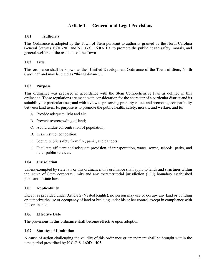# **Article 1. General and Legal Provisions**

## **1.01 Authority**

This Ordinance is adopted by the Town of Stem pursuant to authority granted by the North Carolina General Statutes 160D-201 and N.C.G.S. 160D-103, to promote the public health safety, morals, and general welfare of the residents of the Town.

## **1.02 Title**

This ordinance shall be known as the "Unified Development Ordinance of the Town of Stem, North Carolina" and may be cited as "this Ordinance".

## **1.03 Purpose**

This ordinance was prepared in accordance with the Stem Comprehensive Plan as defined in this ordinance. These regulations are made with consideration for the character of a particular district and its suitability for particular uses; and with a view to preserving property values and promoting compatibility between land uses. Its purpose is to promote the public health, safety, morals, and welfare, and to:

- A. Provide adequate light and air;
- B. Prevent overcrowding of land;
- C. Avoid undue concentration of population;
- D. Lessen street congestion;
- E. Secure public safety from fire, panic, and dangers;
- F. Facilitate efficient and adequate provision of transportation, water, sewer, schools, parks, and other public services.

## **1.04 Jurisdiction**

Unless exempted by state law or this ordinance, this ordinance shall apply to lands and structures within the Town of Stem corporate limits and any extraterritorial jurisdiction (ETJ) boundary established pursuant to state law.

## **1.05 Applicability**

Except as provided under Article 2 (Vested Rights), no person may use or occupy any land or building or authorize the use or occupancy of land or building under his or her control except in compliance with this ordinance.

#### **1.06 Effective Date**

The provisions in this ordinance shall become effective upon adoption.

#### **1.07 Statutes of Limitation**

A cause of action challenging the validity of this ordinance or amendment shall be brought within the time period prescribed by N.C.G.S. 160D-1405.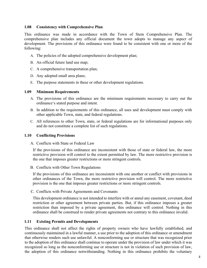## **1.08 Consistency with Comprehensive Plan**

This ordinance was made in accordance with the Town of Stem Comprehensive Plan. The comprehensive plan includes any official document the town adopts to manage any aspect of development. The provisions of this ordinance were found to be consistent with one or more of the following:

- A. The policies of the adopted comprehensive development plan;
- B. An official future land use map;
- C. A comprehensive transportation plan;
- D. Any adopted small area plans;
- E. The purpose statements in these or other development regulations.

#### **1.09 Minimum Requirements**

- A. The provisions of this ordinance are the minimum requirements necessary to carry out the ordinance's stated purpose and intent.
- B. In addition to the requirements of this ordinance, all uses and development must comply with other applicable Town, state, and federal regulations.
- C. All references to other Town, state, or federal regulations are for informational purposes only and do not constitute a complete list of such regulations.

#### **1.10 Conflicting Provisions**

A. Conflicts with State or Federal Law

If the provisions of this ordinance are inconsistent with those of state or federal law, the more restrictive provision will control to the extent permitted by law. The more restrictive provision is the one that imposes greater restrictions or more stringent controls.

B. Conflicts with Other Town Regulations

If the provisions of this ordinance are inconsistent with one another or conflict with provisions in other ordinances of the Town, the more restrictive provision will control. The more restrictive provision is the one that imposes greater restrictions or more stringent controls.

C. Conflicts with Private Agreements and Covenants

This development ordinance is not intended to interfere with or annul any easement, covenant, deed restriction or other agreement between private parties. But, if this ordinance imposes a greater restriction than imposed by a private agreement, this ordinance will control. Nothing in this ordinance shall be construed to render private agreements not contrary to this ordinance invalid.

#### **1.11 Existing Permits and Developments**

This ordinance shall not affect the rights of property owners who have lawfully established, and continuously maintained in a lawful manner, a use prior to the adoption of this ordinance or amendment that otherwise renders such use unlawful. A nonconforming use or structure that was recognized prior to the adoption of this ordinance shall continue to operate under the provision of law under which it was recognized so long as the nonconforming use or structure is not in violation of such provision of law, the adoption of this ordinance notwithstanding. Nothing in this ordinance prohibits the voluntary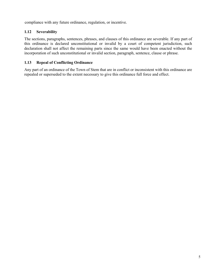compliance with any future ordinance, regulation, or incentive.

## **1.12 Severability**

The sections, paragraphs, sentences, phrases, and clauses of this ordinance are severable. If any part of this ordinance is declared unconstitutional or invalid by a court of competent jurisdiction, such declaration shall not affect the remaining parts since the same would have been enacted without the incorporation of such unconstitutional or invalid section, paragraph, sentence, clause or phrase.

## **1.13 Repeal of Conflicting Ordinance**

Any part of an ordinance of the Town of Stem that are in conflict or inconsistent with this ordinance are repealed or superseded to the extent necessary to give this ordinance full force and effect.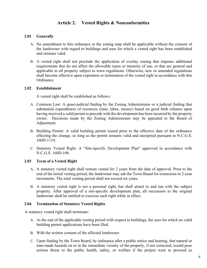# **Article 2. Vested Rights & Nonconformities**

#### **2.01 Generally**

- A. No amendment to this ordinance or the zoning map shall be applicable without the consent of the landowner with regard to buildings and uses for which a vested right has been established and remains valid.
- B. A vested right shall not preclude the application of overlay zoning that imposes additional requirements that do not affect the allowable types or intensity of use, or that are general and applicable to all property subject to town regulations. Otherwise, new or amended regulations shall become effective upon expiration or termination of the vested right in accordance with this Ordinance.

#### **2.02 Establishment**

A vested right shall be established as follows:

- A. Common Law: A quasi-judicial finding by the Zoning Administrator or a judicial finding that substantial expenditures of resources (time, labor, money) based on good faith reliance upon having received a valid permit to precede with the development has been incurred by the property owner. Decisions made by the Zoning Administrator may be appealed to the Board of Adjustment.
- B. Building Permit: A valid building permit issued prior to the effective date of the ordinance effecting the change, so long as the permit remains valid and unexpired pursuant to N.C.G.S. 160D-1110.
- C. Statutory Vested Right: A "Site-specific Development Plan" approved in accordance with N.C.G.S. 160D-108.

#### **2.03 Term of a Vested Right**

- A. A statutory vested right shall remain vested for 2 years from the date of approval. Prior to the end of the initial vesting period, the landowner may ask the Town Board for extensions in 2-year increments. The total vesting period shall not exceed six years.
- B. A statutory vested right is not a personal right, but shall attach to and run with the subject property. After approval of a site-specific development plan, all successors to the original landowner shall be entitled to exercise such right while in effect.

#### **2.04 Termination of Statutory Vested Rights**

A statutory vested right shall terminate:

- A. At the end of the applicable vesting period with respect to buildings, the uses for which no valid building permit applications have been filed.
- B. With the written consent of the affected landowner.
- C. Upon finding by the Town Board, by ordinance after a public notice and hearing, that natural or man-made hazards on or in the immediate vicinity of the property, if not corrected, would pose serious threat to the public health, safety, or welfare if the project were to proceed as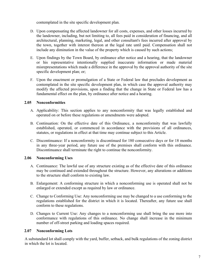contemplated in the site specific development plan.

- D. Upon compensating the affected landowner for all costs, expenses, and other losses incurred by the landowner, including, but not limiting to, all fees paid in consideration of financing, and all architectural, planning, marketing, legal, and other consultant's fees incurred after approval by the town, together with interest thereon at the legal rate until paid. Compensation shall not include any diminution in the value of the property which is caused by such actions;
- E. Upon findings by the Town Board, by ordinance after notice and a hearing, that the landowner or his representative intentionally supplied inaccurate information or made material misrepresentations which made a difference in the approval by the approval authority of the site specific development plan; or;
- F. Upon the enactment or promulgation of a State or Federal law that precludes development as contemplated in the site specific development plan, in which case the approval authority may modify the affected provisions, upon a finding that the change in State or Federal law has a fundamental effect on the plan, by ordinance after notice and a hearing.

## **2.05 Nonconformities**

- A. Applicability: This section applies to any nonconformity that was legally established and operated on or before these regulations or amendments were adopted.
- B. Continuation: On the effective date of this Ordinance, a nonconformity that was lawfully established, operated, or commenced in accordance with the provisions of all ordinances, statutes, or regulations in effect at that time may continue subject to this Article.
- C. Discontinuance: If a nonconformity is discontinued for 180 consecutive days or for 18 months in any three-year period, any future use of the premises shall conform with this ordinance. Discontinuance shall terminate the right to continue the nonconformity.

## **2.06 Nonconforming Uses**

- A. Continuance: The lawful use of any structure existing as of the effective date of this ordinance may be continued and extended throughout the structure. However, any alterations or additions to the structure shall conform to existing law.
- B. Enlargement: A conforming structure in which a nonconforming use is operated shall not be enlarged or extended except as required by law or ordinance.
- C. Change to Conforming Use: Any nonconforming use may be changed to a use conforming to the regulations established for the district in which it is located. Thereafter, any future use shall conform to these regulations.
- D. Changes to Current Use: Any changes to a nonconforming use shall bring the use more into conformance with regulations of this ordinance. No change shall increase in the minimum number of off-street parking and loading spaces required.

## **2.07 Nonconforming Lots**

A substandard lot shall comply with the yard, buffer, setback, and bulk regulations of the zoning district in which the lot is located.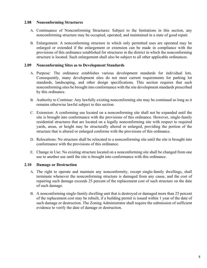## **2.08 Nonconforming Structures**

- A. Continuance of Nonconforming Structures: Subject to the limitations in this section, any nonconforming structure may be occupied, operated, and maintained in a state of good repair.
- B. Enlargement: A nonconforming structure in which only permitted uses are operated may be enlarged or extended if the enlargement or extension can be made in compliance with the provisions of this ordinance established for structures in the district in which the nonconforming structure is located. Such enlargement shall also be subject to all other applicable ordinances.

## **2.09 Nonconforming Sites as to Development Standards**

- A. Purpose*:* The ordinance establishes various development standards for individual lots. Consequently, many development sites do not meet current requirements for parking lot standards, landscaping, and other design specifications. This section requires that such nonconforming sites be brought into conformance with the site development standards prescribed by this ordinance.
- B. Authority to Continue: Any lawfully existing nonconforming site may be continued so long as it remains otherwise lawful subject to this section.
- C. Extension: A conforming use located on a nonconforming site shall not be expanded until the site is brought into conformance with the provisions of this ordinance. However, single-family residential structures that are located on a legally nonconforming site with respect to required yards, areas, or height may be structurally altered or enlarged, providing the portion of the structure that is altered or enlarged conforms with the provisions of this ordinance.
- D. Relocations: No structure shall be relocated to a nonconforming site until the site is brought into conformance with the provisions of this ordinance.
- E. Change in Use: No existing structure located on a nonconforming site shall be changed from one use to another use until the site is brought into conformance with this ordinance.

#### **2.10 Damage or Destruction**

- A. The right to operate and maintain any nonconformity, except single-family dwellings, shall terminate whenever the nonconforming structure is damaged from any cause, and the cost of repairing such damage exceeds 25 percent of the replacement cost of such structure on the date of such damage.
- B. A nonconforming single-family dwelling unit that is destroyed or damaged more than 25 percent of the replacement cost may be rebuilt, if a building permit is issued within 1 year of the date of such damage or destruction. The Zoning Administrator shall require the submission of sufficient evidence to verify the date of damage or destruction.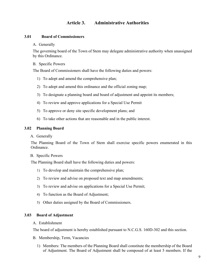## **Article 3. Administrative Authorities**

## **3.01 Board of Commissioners**

#### A. Generally

The governing board of the Town of Stem may delegate administrative authority when unassigned by this Ordinance.

#### B. Specific Powers

The Board of Commissioners shall have the following duties and powers:

- 1) To adopt and amend the comprehensive plan;
- 2) To adopt and amend this ordinance and the official zoning map;
- 3) To designate a planning board and board of adjustment and appoint its members;
- 4) To review and approve applications for a Special Use Permit
- 5) To approve or deny site specific development plans; and
- 6) To take other actions that are reasonable and in the public interest.

#### **3.02 Planning Board**

A. Generally

The Planning Board of the Town of Stem shall exercise specific powers enumerated in this Ordinance.

#### B. Specific Powers

The Planning Board shall have the following duties and powers:

- 1) To develop and maintain the comprehensive plan;
- 2) To review and advise on proposed text and map amendments;
- 3) To review and advise on applications for a Special Use Permit;
- 4) To function as the Board of Adjustment;
- 5) Other duties assigned by the Board of Commissioners.

#### **3.03 Board of Adjustment**

#### A. Establishment

The board of adjustment is hereby established pursuant to N.C.G.S. 160D-302 and this section.

- B. Membership, Term, Vacancies
	- 1) Members: The members of the Planning Board shall constitute the membership of the Board of Adjustment. The Board of Adjustment shall be composed of at least 5 members. If the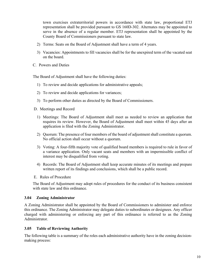town exercises extraterritorial powers in accordance with state law, proportional ETJ representation shall be provided pursuant to GS 160D-302. Alternates may be appointed to serve in the absence of a regular member. ETJ representation shall be appointed by the County Board of Commissioners pursuant to state law.

- 2) Terms: Seats on the Board of Adjustment shall have a term of 4 years.
- 3) Vacancies: Appointments to fill vacancies shall be for the unexpired term of the vacated seat on the board.
- C. Powers and Duties

The Board of Adjustment shall have the following duties:

- 1) To review and decide applications for administrative appeals;
- 2) To review and decide applications for variances;
- 3) To perform other duties as directed by the Board of Commissioners.

D. Meetings and Record

- 1) Meetings: The Board of Adjustment shall meet as needed to review an application that requires its review. However, the Board of Adjustment shall meet within 45 days after an application is filed with the Zoning Administrator.
- 2) Quorum: The presence of four members of the board of adjustment shall constitute a quorum. No official action shall occur without a quorum.
- 3) Voting: A four-fifth majority vote of qualified board members is required to rule in favor of a variance application. Only vacant seats and members with an impermissible conflict of interest may be disqualified from voting.
- 4) Records: The Board of Adjustment shall keep accurate minutes of its meetings and prepare written report of its findings and conclusions, which shall be a public record.
- E. Rules of Procedure

The Board of Adjustment may adopt rules of procedures for the conduct of its business consistent with state law and this ordinance.

## **3.04 Zoning Administrator**

A Zoning Administrator shall be appointed by the Board of Commissioners to administer and enforce this ordinance. The Zoning Administrator may delegate duties to subordinates or designees. Any officer charged with administering or enforcing any part of this ordinance is referred to as the Zoning Administrator.

## **3.05 Table of Reviewing Authority**

The following table is a summary of the roles each administrative authority have in the zoning decisionmaking process: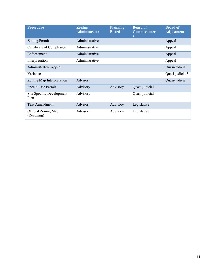| <b>Procedure</b>                  | <b>Zoning</b><br><b>Administrator</b> | <b>Planning</b><br><b>Board</b> | <b>Board of</b><br><b>Commissioner</b><br>S | <b>Board of</b><br><b>Adjustment</b> |
|-----------------------------------|---------------------------------------|---------------------------------|---------------------------------------------|--------------------------------------|
| <b>Zoning Permit</b>              | Administrative                        |                                 |                                             | Appeal                               |
| Certificate of Compliance         | Administrative                        |                                 |                                             | Appeal                               |
| Enforcement                       | Administrative                        |                                 |                                             | Appeal                               |
| Interpretation                    | Administrative                        |                                 |                                             | Appeal                               |
| Administrative Appeal             |                                       |                                 |                                             | Quasi-judicial                       |
| Variance                          |                                       |                                 |                                             | Quasi-judicial*                      |
| Zoning Map Interpretation         | Advisory                              |                                 |                                             | Quasi-judicial                       |
| Special Use Permit                | Advisory                              | Advisory                        | Quasi-judicial                              |                                      |
| Site Specific Development<br>Plan | Advisory                              |                                 | Quasi-judicial                              |                                      |
| <b>Text Amendment</b>             | Advisory                              | Advisory                        | Legislative                                 |                                      |
| Official Zoning Map<br>(Rezoning) | Advisory                              | Advisory                        | Legislative                                 |                                      |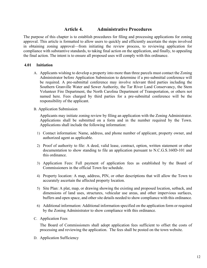## **Article 4. Administrative Procedures**

The purpose of this chapter is to establish procedures for filing and processing applications for zoning approval. This article is formatted to allow users to quickly and efficiently ascertain the steps involved in obtaining zoning approval—from initiating the review process, to reviewing application for compliance with substantive standards, to taking final action on the application, and finally, to appealing the final action. The intent is to ensure all proposed uses will comply with this ordinance.

## **4.01 Initiation**

- A. Applicants wishing to develop a property into more than three parcels must contact the Zoning Administrator before Application Submission to determine if a pre-submittal conference will be required. A pre-submittal conference may involve relevant third parties including the Southern Granville Water and Sewer Authority, the Tar River Land Conservancy, the Stem Volunteer Fire Department, the North Carolina Department of Transportation, or others not named here. Fees charged by third parties for a pre-submittal conference will be the responsibility of the applicant.
- B. Application Submission

Applicants may initiate zoning review by filing an application with the Zoning Administrator. Applications shall be submitted on a form and in the number required by the Town. Applications shall include the following information:

- 1) Contact information: Name, address, and phone number of applicant, property owner, and authorized agent as applicable.
- 2) Proof of authority to file: A deed, valid lease, contract, option, written statement or other documentation to show standing to file an application pursuant to N.C.G.S.160D-101 and this ordinance.
- 3) Application Fees: Full payment of application fees as established by the Board of Commissioners in the official Town fee schedule.
- 4) Property location: A map, address, PIN, or other descriptions that will allow the Town to accurately ascertain the affected property location.
- 5) Site Plan: A plat, map, or drawing showing the existing and proposed location, setback, and dimensions of land uses, structures, vehicular use areas, and other impervious surfaces, buffers and open space, and other site details needed to show compliance with this ordinance.
- 6) Additional information: Additional information specified on the application form or required by the Zoning Administrator to show compliance with this ordinance.
- C. Application Fees

The Board of Commissioners shall adopt application fees sufficient to offset the costs of processing and reviewing the application. The fees shall be posted on the town website.

D. Application Sufficiency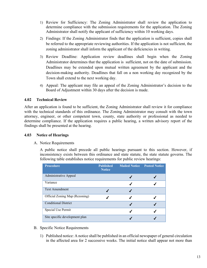- 1) Review for Sufficiency: The Zoning Administrator shall review the application to determine compliance with the submission requirements for the application. The Zoning Administrator shall notify the applicant of sufficiency within 10 working days.
- 2) Findings: If the Zoning Administrator finds that the application is sufficient, copies shall be referred to the appropriate reviewing authorities. If the application is not sufficient, the zoning administrator shall inform the applicant of the deficiencies in writing.
- 3) Review Deadline: Application review deadlines shall begin when the Zoning Administrator determines that the application is sufficient, not on the date of submission. Deadlines may be extended upon mutual written agreement by the applicant and the decision-making authority. Deadlines that fall on a non working day recognized by the Town shall extend to the next working day.
- 4) Appeal: The applicant may file an appeal of the Zoning Administrator's decision to the Board of Adjustment within 30 days after the decision is made.

## **4.02 Technical Review**

After an application is found to be sufficient, the Zoning Administrator shall review it for compliance with the technical standards of this ordinance. The Zoning Administrator may consult with the town attorney, engineer, or other competent town, county, state authority or professional as needed to determine compliance. If the application requires a public hearing, a written advisory report of the findings shall be presented at the hearing.

## **4.03 Notice of Hearings**

#### A. Notice Requirements

A public notice shall precede all public hearings pursuant to this section. However, if inconsistency exists between this ordinance and state statute, the state statute governs. The following table establishes notice requirements for public review hearings:

| <b>Procedure</b>               | <b>Published</b><br><b>Notice</b> | <b>Mailed Notice Posted Notice</b> |  |
|--------------------------------|-----------------------------------|------------------------------------|--|
| Administrative Appeal          |                                   |                                    |  |
| Variance                       |                                   |                                    |  |
| <b>Text Amendment</b>          |                                   |                                    |  |
| Official Zoning Map (Rezoning) |                                   |                                    |  |
| <b>Conditional District</b>    |                                   |                                    |  |
| Special Use Permit             |                                   |                                    |  |
| Site specific development plan |                                   |                                    |  |

- B. Specific Notice Requirements
	- 1) Published notice: A notice shall be published in an official newspaper of general circulation in the affected area for 2 successive weeks. The initial notice shall appear not more than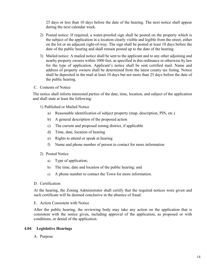25 days or less than 10 days before the date of the hearing. The next notice shall appear during the next calendar week.

- 2) Posted notice: If required, a water-proofed sign shall be posted on the property which is the subject of the application in a location clearly visible and legible from the street, either on the lot or an adjacent right-of-way. The sign shall be posted at least 10 days before the date of the public hearing and shall remain posted up to the date of the hearing.
- 3) Mailed notice: A mailed notice shall be sent to the applicant and to any other adjoining and nearby property owners within 1000 feet, as specified in this ordinance or otherwise by law for the type of application. Applicant's notice shall be sent certified mail. Name and address of property owners shall be determined from the latest county tax listing. Notice shall be deposited in the mail at least 10 days but not more than 25 days before the date of the public hearing.
- C. Contents of Notice

The notice shall inform interested parties of the date, time, location, and subject of the application and shall state at least the following:

- 1) Published or Mailed Notice
	- a) Reasonable identification of subject property (map, description, PIN, etc.)
	- b) A general description of the proposed action
	- c) The current and proposed zoning district, if applicable
	- d) Time, date, location of hearing
	- e) Rights to attend or speak at hearing
	- f) Name and phone number of person to contact for more information
- 2) Posted Notice
	- a) Type of application;
	- b) The time, date and location of the public hearing; and
	- c) A phone number to contact the Town for more information.
- D. Certification

At the hearing, the Zoning Administrator shall certify that the required notices were given and such certificate will be deemed conclusive in the absence of fraud.

E. Action Consistent with Notice

After the public hearing, the reviewing body may take any action on the application that is consistent with the notice given, including approval of the application, as proposed or with conditions, or denial of the application.

#### **4.04 Legislative Hearings**

A. Purpose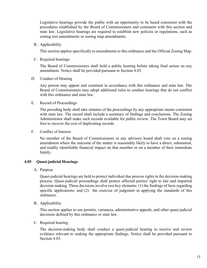Legislative hearings provide the public with an opportunity to be heard consistent with the procedures established by the Board of Commissioners and consistent with this section and state law. Legislative hearings are required to establish new policies or regulations, such as zoning text amendments or zoning map amendments.

B. Applicability

This section applies specifically to amendments to this ordinance and the Official Zoning Map.

C. Required hearings

The Board of Commissioners shall hold a public hearing before taking final action on any amendment. Notice shall be provided pursuant to Section 4.03.

D. Conduct of Hearing

Any person may appear and comment in accordance with this ordinance and state law. The Board of Commissioners may adopt additional rules to conduct hearings that do not conflict with this ordinance and state law.

E. Record of Proceedings

The presiding body shall take minutes of the proceedings by any appropriate means consistent with state law. The record shall include a summary of findings and conclusions. The Zoning Administrator shall make such records available for public review. The Town Board may set fees to recover the cost of duplicating records.

F. Conflict of Interest

No member of the Board of Commissioners or any advisory board shall vote on a zoning amendment where the outcome of the matter is reasonably likely to have a direct, substantial, and readily identifiable financial impact on that member or on a member of their immediate family.

## **4.05 Quasi-judicial Hearings**

A. Purpose

Quasi-judicial hearings are held to protect individual due process rights in the decision-making process. Quasi-judicial proceedings shall protect affected parties' right to fair and impartial decision-making. These decisions involve two key elements: (1) the findings of facts regarding specific applications; and (2) the exercise of judgment in applying the standards of this ordinance.

B. Applicability

This section applies to use permits, variances, administrative appeals, and other quasi-judicial decisions defined by this ordinance or state law.

C. Required hearing

The decision-making body shall conduct a quasi-judicial hearing to receive and review evidence relevant to making the appropriate findings. Notice shall be provided pursuant to Section 4.03.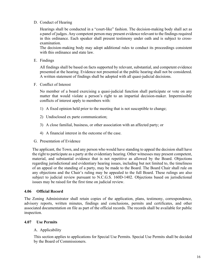## D. Conduct of Hearing

Hearings shall be conducted in a "court-like" fashion. The decision-making body shall act as a panel of judges. Any competent person may present evidence relevant to the findings required in this ordinance. Each speaker shall present testimony under oath and is subject to crossexamination.

The decision-making body may adopt additional rules to conduct its proceedings consistent with this ordinance and state law.

E. Findings

All findings shall be based on facts supported by relevant, substantial, and competent evidence presented at the hearing. Evidence not presented at the public hearing shall not be considered. A written statement of findings shall be adopted with all quasi-judicial decisions.

F. Conflict of Interest

No member of a board exercising a quasi-judicial function shall participate or vote on any matter that would violate a person's right to an impartial decision-maker. Impermissible conflicts of interest apply to members with:

- 1) A fixed opinion held prior to the meeting that is not susceptible to change;
- 2) Undisclosed ex parte communication;
- 3) A close familial, business, or other association with an affected party; or
- 4) A financial interest in the outcome of the case.
- G. Presentation of Evidence

The applicant, the Town, and any person who would have standing to appeal the decision shall have the right to participate as a party at the evidentiary hearing. Other witnesses may present competent, material, and substantial evidence that is not repetitive as allowed by the Board. Objections regarding jurisdictional and evidentiary hearing issues, including but not limited to, the timeliness of an appeal or the standing of a party, may be made to the Board. The Board Chair shall rule on any objections and the Chair's ruling may be appealed to the full Board. These rulings are also subject to judicial review pursuant to N.C.G.S. 160D-1402. Objections based on jurisdictional issues may be raised for the first time on judicial review.

## **4.06 Official Record**

The Zoning Administrator shall retain copies of the application, plans, testimony, correspondence, advisory reports, written minutes, findings and conclusions, permits and certificates, and other associated documentation on file as part of the official records. The records shall be available for public inspection.

## **4.07 Use Permits**

#### A. Applicability

This section applies to applications for Special Use Permits. Special Use Permits shall be decided by the Board of Commissioners.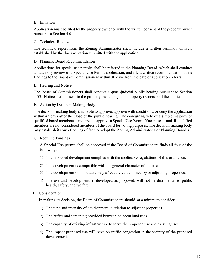## B. Initiation

Application must be filed by the property owner or with the written consent of the property owner pursuant to Section 4.01.

## C. Technical Review

The technical report from the Zoning Administrator shall include a written summary of facts established by the documentation submitted with the application.

## D. Planning Board Recommendation

Applications for special use permits shall be referred to the Planning Board, which shall conduct an advisory review of a Special Use Permit application, and file a written recommendation of its findings to the Board of Commissioners within 30 days from the date of application referral.

#### E. Hearing and Notice

The Board of Commissioners shall conduct a quasi-judicial public hearing pursuant to Section 4.05. Notice shall be sent to the property owner, adjacent property owners, and the applicant.

## F. Action by Decision-Making Body

The decision-making body shall vote to approve, approve with conditions, or deny the application within 45 days after the close of the public hearing. The concurring vote of a simple majority of qualified board members is required to approve a Special Use Permit. Vacant seats and disqualified members are not considered members of the board for voting purposes. The decision-making body may establish its own findings of fact, or adopt the Zoning Administrator's or Planning Board's.

#### G. Required Findings

A Special Use permit shall be approved if the Board of Commissioners finds all four of the following:

- 1) The proposed development complies with the applicable regulations of this ordinance.
- 2) The development is compatible with the general character of the area.
- 3) The development will not adversely affect the value of nearby or adjoining properties.
- 4) The use and development, if developed as proposed, will not be detrimental to public health, safety, and welfare.

#### H. Consideration

In making its decision, the Board of Commissioners should, at a minimum consider:

- 1) The type and intensity of development in relation to adjacent properties.
- 2) The buffer and screening provided between adjacent land uses.
- 3) The capacity of existing infrastructure to serve the proposed use and existing uses.
- 4) The impact proposed use will have on traffic congestion in the vicinity of the proposed development.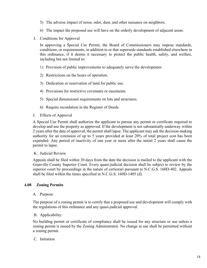- 5) The adverse impact of noise, odor, dust, and other nuisance on neighbors.
- 6) The impact the proposed use will have on the orderly development of adjacent areas.
- I. Conditions for Approval

In approving a Special Use Permit, the Board of Commissioners may impose standards, conditions, or requirements, in addition to or that supersede standards established elsewhere in this ordinance, if it deems it necessary to protect the public health, safety, and welfare, including but not limited to:

- 1) Provision of public improvements to adequately serve the development
- 2) Restrictions on the hours of operation.
- 3) Dedication or reservation of land for public use.
- 4) Provisions for restrictive covenants or easements.
- 5) Special dimensional requirements on lots and structures.
- 6) Require recordation in the Register of Deeds.
- J. Effects of Approval

A Special Use Permit shall authorize the applicant to pursue any permit or certificate required to develop and use the property as approved. If the development is not substantially underway within 2 years after the date of approval, the permit shall lapse. The applicant may ask the decision-making authority for an extension of up to 5 years provided at least 20% of total project cost has been expended. Any period of inactivity of one year or more after the initial 2 years shall cause the permit to lapse.

#### K. Judicial Review

Appeals shall be filed within 30 days from the date the decision is mailed to the applicant with the Granville County Superior Court. Every quasi-judicial decision shall be subject to review by the superior court by proceedings in the nature of certiorari pursuant to N.C.G.S. 160D-402. Appeals shall be filed within the times specified in N.C.G.S. 160D-1405 (d).

## **4.08 Zoning Permits**

#### A. Purpose

The purpose of a zoning permit is to certify that a proposed use and development will comply with the regulations of this ordinance and any quasi-judicial approval.

#### B. Applicability:

No building permit or certificate of compliance shall be issued for any structure or use unless a zoning permit is issued by the Zoning Administrator. No change in use shall be permitted without a zoning permit.

#### C. Initiation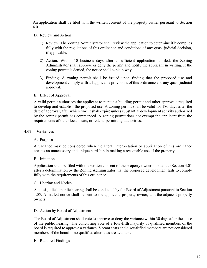An application shall be filed with the written consent of the property owner pursuant to Section 4.01.

- D. Review and Action
	- 1) Review: The Zoning Administrator shall review the application to determine if it complies fully with the regulations of this ordinance and conditions of any quasi-judicial decision, if applicable.
	- 2) Action: Within 10 business days after a sufficient application is filed, the Zoning Administrator shall approve or deny the permit and notify the applicant in writing. If the zoning permit is denied, the notice shall explain why.
	- 3) Finding: A zoning permit shall be issued upon finding that the proposed use and development comply with all applicable provisions of this ordinance and any quasi-judicial approval.
- E. Effect of Approval

A valid permit authorizes the applicant to pursue a building permit and other approvals required to develop and establish the proposed use. A zoning permit shall be valid for 180 days after the date of approval, after which time it shall expire unless substantial development activity authorized by the zoning permit has commenced. A zoning permit does not exempt the applicant from the requirements of other local, state, or federal permitting authorities.

#### **4.09 Variances**

#### A. Purpose

A variance may be considered when the literal interpretation or application of this ordinance creates an unnecessary and unique hardship in making a reasonable use of the property.

#### B. Initiation

Application shall be filed with the written consent of the property owner pursuant to Section 4.01 after a determination by the Zoning Administrator that the proposed development fails to comply fully with the requirements of this ordinance.

#### C. Hearing and Notice

A quasi-judicial public hearing shall be conducted by the Board of Adjustment pursuant to Section 4.05. A mailed notice shall be sent to the applicant, property owner, and the adjacent property owners.

#### D. Action by Board of Adjustment

The Board of Adjustment shall vote to approve or deny the variance within 30 days after the close of the public hearing. The concurring vote of a four-fifth majority of qualified members of the board is required to approve a variance. Vacant seats and disqualified members are not considered members of the board if no qualified alternates are available.

E. Required Findings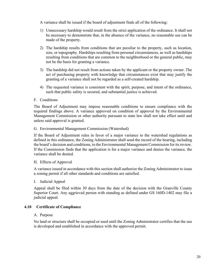A variance shall be issued if the board of adjustment finds all of the following:

- 1) Unnecessary hardship would result from the strict application of the ordinance. It shall not be necessary to demonstrate that, in the absence of the variance, no reasonable use can be made of the property.
- 2) The hardship results from conditions that are peculiar to the property, such as location, size, or topography. Hardships resulting from personal circumstances, as well as hardships resulting from conditions that are common to the neighborhood or the general public, may not be the basis for granting a variance.
- 3) The hardship did not result from actions taken by the applicant or the property owner. The act of purchasing property with knowledge that circumstances exist that may justify the granting of a variance shall not be regarded as a self-created hardship.
- 4) The requested variance is consistent with the spirit, purpose, and intent of the ordinance, such that public safety is secured, and substantial justice is achieved.

## F. Conditions

The Board of Adjustment may impose reasonable conditions to ensure compliance with the required findings above. A variance approved on condition of approval by the Environmental Management Commission or other authority pursuant to state law shall not take effect until and unless said approval is granted.

## G. Environmental Management Commission (Watershed)

If the Board of Adjustment rules in favor of a major variance to the watershed regulations as defined in this ordinance, the Zoning Administrator shall send the record of the hearing, including the board's decision and conditions, to the Environmental Management Commission for its review. If the Commission finds that the application is for a major variance and denies the variance, the variance shall be denied.

## H. Effects of Approval

A variance issued in accordance with this section shall authorize the Zoning Administrator to issue a zoning permit if all other standards and conditions are satisfied.

## I. Judicial Appeal

Appeal shall be filed within 30 days from the date of the decision with the Granville County Superior Court. Any aggrieved person with standing as defined under GS 160D-1402 may file a judicial appeal.

## **4.10 Certificate of Compliance**

## A. Purpose

No land or structure shall be occupied or used until the Zoning Administrator certifies that the use is developed and established in accordance with the approved permit.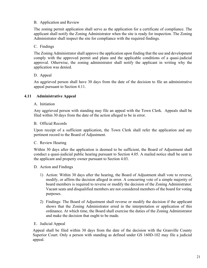## B. Application and Review

The zoning permit application shall serve as the application for a certificate of compliance. The applicant shall notify the Zoning Administrator when the site is ready for inspection. The Zoning Administrator shall inspect the site for compliance with the required findings.

## C. Findings

The Zoning Administrator shall approve the application upon finding that the use and development comply with the approved permit and plans and the applicable conditions of a quasi-judicial approval. Otherwise, the zoning administrator shall notify the applicant in writing why the application was denied.

## D. Appeal

An aggrieved person shall have 30 days from the date of the decision to file an administrative appeal pursuant to Section 4.11.

## **4.11 Administrative Appeal**

## A. Initiation

Any aggrieved person with standing may file an appeal with the Town Clerk. Appeals shall be filed within 30 days from the date of the action alleged to be in error.

## B. Official Records

Upon receipt of a sufficient application, the Town Clerk shall refer the application and any pertinent record to the Board of Adjustment.

## C. Review Hearing

Within 30 days after the application is deemed to be sufficient, the Board of Adjustment shall conduct a quasi-judicial public hearing pursuant to Section 4.05. A mailed notice shall be sent to the applicant and property owner pursuant to Section 4.03.

## D. Action and Findings

- 1) Action: Within 30 days after the hearing, the Board of Adjustment shall vote to reverse, modify, or affirm the decision alleged in error. A concurring vote of a simple majority of board members is required to reverse or modify the decision of the Zoning Administrator. Vacant seats and disqualified members are not considered members of the board for voting purposes.
- 2) Findings: The Board of Adjustment shall reverse or modify the decision if the applicant shows that the Zoning Administrator erred in the interpretation or application of this ordinance. At which time, the Board shall exercise the duties of the Zoning Administrator and make the decision that ought to be made.

#### E. Judicial Appeal

Appeal shall be filed within 30 days from the date of the decision with the Granville County Superior Court. Only a person with standing as defined under GS 160D-102 may file a judicial appeal.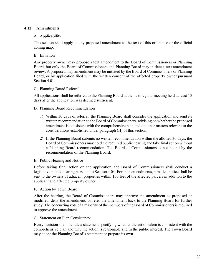## **4.12 Amendments**

## A. Applicability

This section shall apply to any proposed amendment to the text of this ordinance or the official zoning map.

## B. Initiation

Any property owner may propose a text amendment to the Board of Commissioners or Planning Board, but only the Board of Commissioners and Planning Board may initiate a text amendment review. A proposed map amendment may be initiated by the Board of Commissioners or Planning Board, or by application filed with the written consent of the affected property owner pursuant Section 4.01.

#### C. Planning Board Referral

All applications shall be referred to the Planning Board at the next regular meeting held at least 15 days after the application was deemed sufficient.

#### D. Planning Board Recommendation

- 1) Within 30 days of referral, the Planning Board shall consider the application and send its written recommendation to the Board of Commissioners, advising on whether the proposed amendment is consistent with the comprehensive plan and on other matters relevant to the considerations established under paragraph (H) of this section.
- 2) If the Planning Board submits no written recommendation within the allotted 30 days, the Board of Commissioners may hold the required public hearing and take final action without a Planning Board recommendation. The Board of Commissioners is not bound by the recommendation of the Planning Board.
- E. Public Hearing and Notice

Before taking final action on the application, the Board of Commissioners shall conduct a legislative public hearing pursuant to Section 4.04. For map amendments, a mailed notice shall be sent to the owners of adjacent properties within 100 feet of the affected parcels in addition to the applicant and affected property owner.

F. Action by Town Board

After the hearing, the Board of Commissioners may approve the amendment as proposed or modified, deny the amendment, or refer the amendment back to the Planning Board for further study. The concurring vote of a majority of the members of the Board of Commissioners is required to approve the amendment.

G. Statement on Plan Consistency:

Every decision shall include a statement specifying whether the action taken is consistent with the comprehensive plan and why the action is reasonable and in the public interest. The Town Board may adopt the Planning Board's statement or prepare its own.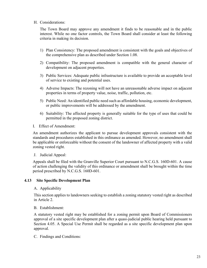## H. Considerations:

The Town Board may approve any amendment it finds to be reasonable and in the public interest. While no one factor controls, the Town Board shall consider at least the following criteria in making its decision.

- 1) Plan Consistency: The proposed amendment is consistent with the goals and objectives of the comprehensive plan as described under Section 1.08.
- 2) Compatibility: The proposed amendment is compatible with the general character of development on adjacent properties.
- 3) Public Services: Adequate public infrastructure is available to provide an acceptable level of service to existing and potential uses.
- 4) Adverse Impacts: The rezoning will not have an unreasonable adverse impact on adjacent properties in terms of property value, noise, traffic, pollution, etc.
- 5) Public Need: An identified public need such as affordable housing, economic development, or public improvements will be addressed by the amendment.
- 6) Suitability: The affected property is generally suitable for the type of uses that could be permitted in the proposed zoning district.
- I. Effect of Amendment:

An amendment authorizes the applicant to pursue development approvals consistent with the standards and procedures established in this ordinance as amended. However, no amendment shall be applicable or enforceable without the consent of the landowner of affected property with a valid zoning vested right.

J. Judicial Appeal:

Appeals shall be filed with the Granville Superior Court pursuant to N.C.G.S. 160D-601. A cause of action challenging the validity of this ordinance or amendment shall be brought within the time period prescribed by N.C.G.S. 160D-601.

## **4.13 Site Specific Development Plan**

#### A. Applicability

This section applies to landowners seeking to establish a zoning statutory vested right as described in Article 2.

B. Establishment:

A statutory vested right may be established for a zoning permit upon Board of Commissioners approval of a site specific development plan after a quasi-judicial public hearing held pursuant to Section 4.05. A Special Use Permit shall be regarded as a site specific development plan upon approval.

C. Findings and Conditions: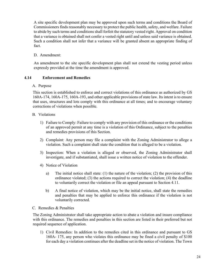A site specific development plan may be approved upon such terms and conditions the Board of Commissioners finds reasonably necessary to protect the public health, safety, and welfare. Failure to abide by such terms and conditions shall forfeit the statutory vested right. Approval on condition that a variance is obtained shall not confer a vested right until and unless said variance is obtained. Such a condition shall not infer that a variance will be granted absent an appropriate finding of fact.

## D. Amendment:

An amendment to the site specific development plan shall not extend the vesting period unless expressly provided at the time the amendment is approved.

## **4.14 Enforcement and Remedies**

## A. Purpose

This section is established to enforce and correct violations of this ordinance as authorized by GS 160A-174, 160A-175, 160A-193, and other applicable provisions of state law. Its intent is to ensure that uses, structures and lots comply with this ordinance at all times; and to encourage voluntary corrections of violations when possible.

## B. Violations

- 1) Failure to Comply: Failure to comply with any provision of this ordinance or the conditions of an approved permit at any time is a violation of this Ordinance, subject to the penalties and remedies provisions of this Section.
- 2) Complaint: Any person may file a complaint with the Zoning Administrator to allege a violation. Such a complaint shall state the condition that is alleged to be a violation.
- 3) Inspection: When a violation is alleged or observed, the Zoning Administrator shall investigate, and if substantiated, shall issue a written notice of violation to the offender.
- 4) Notice of Violation
	- a) The initial notice shall state: (1) the nature of the violation; (2) the provision of this ordinance violated; (3) the actions required to correct the violation; (4) the deadline to voluntarily correct the violation or file an appeal pursuant to Section 4.11.
	- b) A final notice of violation, which may be the initial notice, shall state the remedies and penalties that may be applied to enforce this ordinance if the violation is not voluntarily corrected.
- C. Remedies & Penalties

The Zoning Administrator shall take appropriate action to abate a violation and insure compliance with this ordinance. The remedies and penalties in this section are listed in their preferred but not required sequence of application.

1) Civil Remedies: In addition to the remedies cited in this ordinance and pursuant to GS 160A- 175, any person who violates this ordinance may be fined a civil penalty of \$100 for each day a violation continues after the deadline set in the notice of violation. The Town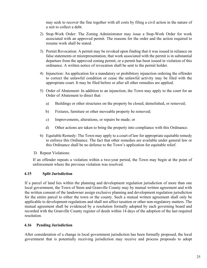may seek to recover the fine together with all costs by filing a civil action in the nature of a suit to collect a debt.

- 2) Stop-Work Order: The Zoning Administrator may issue a Stop-Work Order for work associated with an approved permit. The reasons for the order and the action required to resume work shall be stated.
- 3) Permit Revocation: A permit may be revoked upon finding that it was issued in reliance on false statements or misrepresentation, that work associated with the permit is in substantial departure from the approved zoning permit, or a permit has been issued in violation of this ordinance. A written notice of revocation shall be sent to the permit holder.
- 4) Injunction: An application for a mandatory or prohibitory injunction ordering the offender to correct the unlawful condition or cease the unlawful activity may be filed with the appropriate court. It may be filed before or after all other remedies are applied.
- 5) Order of Abatement: In addition to an injunction, the Town may apply to the court for an Order of Abatement to direct that:
	- a) Buildings or other structures on the property be closed, demolished, or removed;
	- b) Fixtures, furniture or other moveable property be removed;
	- c) Improvements, alterations, or repairs be made; or
	- d) Other actions are taken to bring the property into compliance with this Ordinance.
- 6) Equitable Remedy: The Town may apply to a court of law for appropriate equitable remedy to enforce this Ordinance. The fact that other remedies are available under general law or this Ordinance shall be no defense to the Town's application for equitable relief.
- D. Repeat Violations:

If an offender repeats a violation within a two-year period, the Town may begin at the point of enforcement where the previous violation was resolved.

## **4.15 Split Jurisdiction**

If a parcel of land lies within the planning and development regulation jurisdiction of more than one local government, the Town of Stem and Granville County may by mutual written agreement and with the written consent of the landowner assign exclusive planning and development regulation jurisdiction for the entire parcel to either the town or the county. Such a mutual written agreement shall only be applicable to development regulations and shall not affect taxation or other non-regulatory matters. The mutual agreement shall be evidenced by a resolution formally adopted by each governing board and recorded with the Granville County register of deeds within 14 days of the adoption of the last required resolution.

## **4.16 Pending Jurisdiction**

After consideration of a change in local government jurisdiction has been formally proposed, the local government that is potentially receiving jurisdiction may receive and process proposals to adopt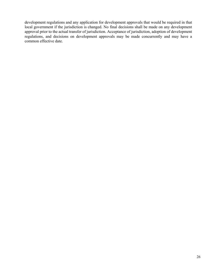development regulations and any application for development approvals that would be required in that local government if the jurisdiction is changed. No final decisions shall be made on any development approval prior to the actual transfer of jurisdiction. Acceptance of jurisdiction, adoption of development regulations, and decisions on development approvals may be made concurrently and may have a common effective date.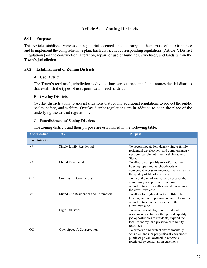# **Article 5. Zoning Districts**

## **5.01 Purpose**

This Article establishes various zoning districts deemed suited to carry out the purpose of this Ordinance and to implement the comprehensive plan. Each district has corresponding regulations (Article 7: District Regulations) on the construction, alteration, repair, or use of buildings, structures, and lands within the Town's jurisdiction.

## **5.02 Establishment of Zoning Districts**

#### A. Use District

The Town's territorial jurisdiction is divided into various residential and nonresidential districts that establish the types of uses permitted in each district.

## B. Overlay Districts

Overlay districts apply to special situations that require additional regulations to protect the public health, safety, and welfare. Overlay district regulations are in addition to or in the place of the underlying use district regulations.

## C. Establishment of Zoning Districts

The zoning districts and their purpose are established in the following table.

| <b>Abbreviation</b>  | <b>Title</b>                         | <b>Purpose</b>                                                                                                                                                                          |
|----------------------|--------------------------------------|-----------------------------------------------------------------------------------------------------------------------------------------------------------------------------------------|
| <b>Use Districts</b> |                                      |                                                                                                                                                                                         |
| R <sub>1</sub>       | Single-family Residential            | To accommodate low density single-family<br>residential development and complementary<br>uses compatible with the rural character of<br>Stem.                                           |
| R <sub>2</sub>       | <b>Mixed Residential</b>             | To allow a compatible mix of attractive<br>housing types and neighborhoods with<br>convenient access to amenities that enhances<br>the quality of life of residents.                    |
| CC                   | Community Commercial                 | To meet the retail and service needs of the<br>community and promote economic<br>opportunities for locally-owned businesses in<br>the downtown core.                                    |
| MU                   | Mixed Use Residential and Commercial | To allow for higher density multifamily<br>housing and more parking intensive business<br>opportunities than are feasible in the<br>downtown core.                                      |
| LI                   | Light Industrial                     | To accommodate light industrial and<br>warehousing activities that provide quality<br>job opportunities to residents, expand the<br>local economy, and preserve community<br>resources. |
| <b>OC</b>            | Open Space & Conservation            | To preserve and protect environmentally<br>sensitive lands, or properties already under<br>public or private ownership otherwise<br>restricted by conservation easements.               |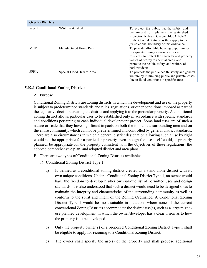| <b>Overlay Districts</b> |                           |                                                                                                                                                                                                                                                        |
|--------------------------|---------------------------|--------------------------------------------------------------------------------------------------------------------------------------------------------------------------------------------------------------------------------------------------------|
| WS-II                    | WS-II Watershed           | To protect the public health, safety, and<br>welfare and to implement the Watershed<br>Protection Rules in Chapter 143, Article 21<br>of the General Statutes as they apply to the<br>jurisdictional boundary of this ordinance.                       |
| <b>MHP</b>               | Manufactured Home Park    | To provide affordable housing opportunities<br>in a quality living environment for all<br>residents, to protect the character and property<br>values of nearby residential areas, and<br>promote the health, safety, and welfare of<br>park residents. |
| <b>SFHA</b>              | Special Flood Hazard Area | To promote the public health, safety and general<br>welfare by minimizing public and private losses<br>due to flood conditions in specific areas.                                                                                                      |

## **5.02.1 Conditional Zoning Districts**

#### A. Purpose

Conditional Zoning Districts are zoning districts in which the development and use of the property is subject to predetermined standards and rules, regulations, or other conditions imposed as part of the legislative decision creating the district and applying it to the particular property. A conditional zoning district allows particular uses to be established only in accordance with specific standards and conditions pertaining to each individual development project. Some land uses are of such a nature or scale that they have significant impacts on both the immediate surrounding area and on the entire community, which cannot be predetermined and controlled by general district standards. There are also circumstances in which a general district designation allowing such a use by right would not be appropriate for a particular property even though the use itself could, if properly planned, be appropriate for the property consistent with the objectives of these regulations, the adopted comprehensive plan, and adopted district and area plans.

- B. There are two types of Conditional Zoning Districts available:
	- 1) Conditional Zoning District Type 1
		- a) Is defined as a conditional zoning district created as a stand-alone district with its own unique conditions. Under a Conditional Zoning District Type 1, an owner would have the freedom to develop his/her own unique list of permitted uses and design standards. It is also understood that such a district would need to be designed so as to maintain the integrity and characteristics of the surrounding community as well as conform to the spirit and intent of the Zoning Ordinance. A Conditional Zoning District Type 1 would be most suitable in situations where none of the current conventional Zoning Districts accommodate the desired use(s), such as a large mixeduse planned development in which the owner/developer has a clear vision as to how the property is to be developed.
		- b) Only the property owner(s) of a proposed Conditional Zoning District Type 1 shall be eligible to apply for rezoning to a Conditional Zoning District.
		- c) The owner shall specify the use(s) of the property and shall propose additional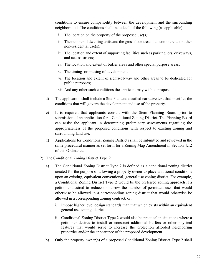conditions to ensure compatibility between the development and the surrounding neighborhood. The conditions shall include all of the following (as applicable):

- i. The location on the property of the proposed use(s);
- ii. The number of dwelling units and the gross floor area of all commercial or other non-residential use(s);
- iii. The location and extent of supporting facilities such as parking lots, driveways, and access streets;
- iv. The location and extent of buffer areas and other special purpose areas;
- v. The timing or phasing of development;
- vi. The location and extent of rights-of-way and other areas to be dedicated for public purposes;
- vii. And any other such conditions the applicant may wish to propose.
- d) The application shall include a Site Plan and detailed narrative text that specifies the conditions that will govern the development and use of the property.
- e) It is required that applicants consult with the Stem Planning Board prior to submission of an application for a Conditional Zoning District. The Planning Board can assist the applicant in determining preliminary assessments regarding the appropriateness of the proposed conditions with respect to existing zoning and surrounding land use.
- f) Applications for Conditional Zoning Districts shall be submitted and reviewed in the same procedural manner as set forth for a Zoning Map Amendment in Section 4.12 of this Ordinance.
- 2) The Conditional Zoning District Type 2
	- a) The Conditional Zoning District Type 2 is defined as a conditional zoning district created for the purpose of allowing a property owner to place additional conditions upon an existing, equivalent conventional, general use zoning district. For example, a Conditional Zoning District Type 2 would be the preferred zoning approach if a petitioner desired to reduce or narrow the number of permitted uses that would otherwise be allowed in a corresponding zoning district that would otherwise be allowed in a corresponding zoning contract, or:
		- i. Impose higher level design standards than that which exists within an equivalent general use zoning district.
		- ii. Conditional Zoning District Type 2 would also be practical in situations where a petitioner desires to install or construct additional buffers or other physical features that would serve to increase the protection afforded neighboring properties and/or the appearance of the proposed development.
	- b) Only the property owner(s) of a proposed Conditional Zoning District Type 2 shall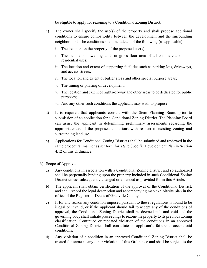be eligible to apply for rezoning to a Conditional Zoning District.

- c) The owner shall specify the use(s) of the property and shall propose additional conditions to ensure compatibility between the development and the surrounding neighborhood. The conditions shall include all of the following (as applicable):
	- i. The location on the property of the proposed use(s);
	- ii. The number of dwelling units or gross floor area of all commercial or nonresidential uses;
	- iii. The location and extent of supporting facilities such as parking lots, driveways, and access streets;
	- iv. The location and extent of buffer areas and other special purpose areas;
	- v. The timing or phasing of development;
	- vi. The location and extent of rights-of-way and other areas to be dedicated for public purposes;

vii. And any other such conditions the applicant may wish to propose.

- d) It is required that applicants consult with the Stem Planning Board prior to submission of an application for a Conditional Zoning District. The Planning Board can assist the applicant in determining preliminary assessments regarding the appropriateness of the proposed conditions with respect to existing zoning and surrounding land use.
- e) Applications for Conditional Zoning Districts shall be submitted and reviewed in the same procedural manner as set forth for a Site Specific Development Plan in Section 4.12 of this Ordinance.
- 3) Scope of Approval
	- a) Any conditions in association with a Conditional Zoning District and so authorized shall be perpetually binding upon the property included in such Conditional Zoning District unless subsequently changed or amended as provided for in this Article.
	- b) The applicant shall obtain certification of the approval of the Conditional District, and shall record the legal description and accompanying map exhibit/site plan in the office of the Register of Deeds of Granville County.
	- c) If for any reason any condition imposed pursuant to these regulations is found to be illegal or invalid, or if the applicant should fail to accept any of the conditions of approval, the Conditional Zoning District shall be deemed null and void and the governing body shall initiate proceedings to rezone the property to its previous zoning classification. Continued or repeated violation of the conditions in an approved Conditional Zoning District shall constitute an applicant's failure to accept said conditions.
	- d) Any violation of a condition in an approved Conditional Zoning District shall be treated the same as any other violation of this Ordinance and shall be subject to the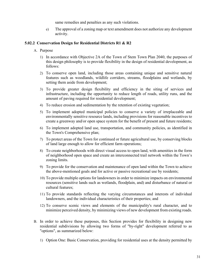same remedies and penalties as any such violations.

e) The approval of a zoning map or text amendment does not authorize any development activity.

## **5.02.2 Conservation Design for Residential Districts R1 & R2**

- A. Purpose
	- 1) In accordance with Objective 2A of the Town of Stem Town Plan 2040, the purposes of this design philosophy is to provide flexibility in the design of residential development, as follows:
	- 2) To conserve open land, including those areas containing unique and sensitive natural features such as woodlands, wildlife corridors, streams, floodplains and wetlands, by setting them aside from development;
	- 3) To provide greater design flexibility and efficiency in the siting of services and infrastructure, including the opportunity to reduce length of roads, utility runs, and the amount of paving required for residential development;
	- 4) To reduce erosion and sedimentation by the retention of existing vegetation;
	- 5) To implement adopted municipal policies to conserve a variety of irreplaceable and environmentally sensitive resource lands, including provisions for reasonable incentives to create a greenway and/or open space system for the benefit of present and future residents;
	- 6) To implement adopted land use, transportation, and community policies, as identified in the Town's Comprehensive plan;
	- 7) To protect areas of the Town for continued or future agricultural use, by conserving blocks of land large enough to allow for efficient farm operations;
	- 8) To create neighborhoods with direct visual access to open land, with amenities in the form of neighborhood open space and create an interconnected trail network within the Town's zoning limits.
	- 9) To provide for the conservation and maintenance of open land within the Town to achieve the above-mentioned goals and for active or passive recreational use by residents;
	- 10) To provide multiple options for landowners in order to minimize impacts on environmental resources (sensitive lands such as wetlands, floodplain, and) and disturbance of natural or cultural features;
	- 11) To provide standards reflecting the varying circumstances and interests of individual landowners, and the individual characteristics of their properties; and
	- 12) To conserve scenic views and elements of the municipality's rural character, and to minimize perceived density, by minimizing views of new development from existing roads.
- B. In order to achieve these purposes, this Section provides for flexibility in designing new residential subdivisions by allowing two forms of "by-right" development referred to as "options", as summarized below:
	- 1) Option One: Basic Conservation, providing for residential uses at the density permitted by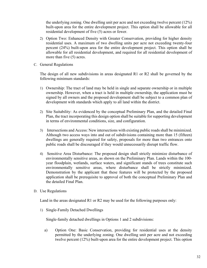the underlying zoning. One dwelling unit per acre and not exceeding twelve percent (12%) built-upon area for the entire development project. This option shall be allowable for all residential development of five (5) acres or fewer.

- 2) Option Two: Enhanced Density with Greater Conservation, providing for higher density residential uses. A maximum of two dwelling units per acre not exceeding twenty-four percent (24%) built-upon area for the entire development project. This option shall be allowable for all residential development, and required for all residential development of more than five (5) acres.
- C. General Regulations

The design of all new subdivisions in areas designated R1 or R2 shall be governed by the following minimum standards:

- 1) Ownership: The tract of land may be held in single and separate ownership or in multiple ownership. However, when a tract is held in multiple ownership, the application must be signed by all owners and the proposed development shall be subject to a common plan of development with standards which apply to all land within the district.
- 2) Site Suitability: As evidenced by the conceptual Preliminary Plan, and the detailed Final Plan, the tract incorporating this design option shall be suitable for supporting development in terms of environmental conditions, size, and configuration.
- 3) Intersections and Access: New intersections with existing public roads shall be minimized. Although two access ways into and out of subdivisions containing more than 15 (fifteen) dwellings are generally required for safety, proposals for more than two entrances onto public roads shall be discouraged if they would unnecessarily disrupt traffic flow.
- 4) Sensitive Area Disturbance: The proposed design shall strictly minimize disturbance of environmentally sensitive areas, as shown on the Preliminary Plan. Lands within the 100 year floodplain, wetlands, surface waters, and significant stands of trees constitute such environmentally sensitive areas, where disturbance shall be strictly minimized. Demonstration by the applicant that these features will be protected by the proposed application shall be prerequisite to approval of both the conceptual Preliminary Plan and the detailed Final Plan.
- D. Use Regulations

Land in the areas designated R1 or R2 may be used for the following purposes only:

1) Single-Family Detached Dwellings

Single-family detached dwellings in Options 1 and 2 subdivisions:

a) Option One: Basic Conservation, providing for residential uses at the density permitted by the underlying zoning. One dwelling unit per acre and not exceeding twelve percent (12%) built-upon area for the entire development project. This option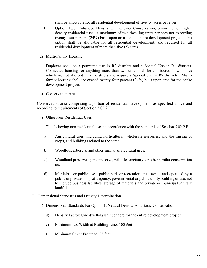shall be allowable for all residential development of five (5) acres or fewer.

- b) Option Two: Enhanced Density with Greater Conservation, providing for higher density residential uses. A maximum of two dwelling units per acre not exceeding twenty-four percent (24%) built-upon area for the entire development project. This option shall be allowable for all residential development, and required for all residential development of more than five (5) acres.
- 2) Multi-Family Housing

Duplexes shall be a permitted use in R2 districts and a Special Use in R1 districts. Connected housing for anything more than two units shall be considered Townhomes which are not allowed in R1 districts and require a Special Use in R2 districts. Multifamily housing shall not exceed twenty-four percent (24%) built-upon area for the entire development project.

3) Conservation Area

Conservation area comprising a portion of residential development, as specified above and according to requirements of Section 5.02.2.F.

4) Other Non-Residential Uses

The following non-residential uses in accordance with the standards of Section 5.02.2.F

- a) Agricultural uses, including horticultural, wholesale nurseries, and the raising of crops, and buildings related to the same.
- b) Woodlots, arboreta, and other similar silvicultural uses.
- c) Woodland preserve, game preserve, wildlife sanctuary, or other similar conservation use.
- d) Municipal or public uses; public park or recreation area owned and operated by a public or private nonprofit agency; governmental or public utility building or use; not to include business facilities, storage of materials and private or municipal sanitary landfills.
- E. Dimensional Standards and Density Determination
	- 1) Dimensional Standards For Option 1: Neutral Density And Basic Conservation
		- d) Density Factor: One dwelling unit per acre for the entire development project.
		- e) Minimum Lot Width at Building Line: 100 feet
		- f) Minimum Street Frontage: 25 feet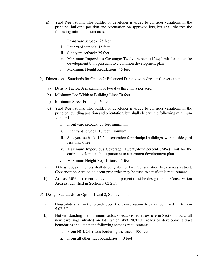- g) Yard Regulations: The builder or developer is urged to consider variations in the principal building position and orientation on approved lots, but shall observe the following minimum standards:
	- i. Front yard setback: 25 feet
	- ii. Rear yard setback: 15 feet
	- iii. Side yard setback: 25 feet
	- iv. Maximum Impervious Coverage: Twelve percent (12%) limit for the entire development built pursuant to a common development plan
	- v. Maximum Height Regulations: 45 feet
- 2) Dimensional Standards for Option 2: Enhanced Density with Greater Conservation
	- a) Density Factor: A maximum of two dwelling units per acre.
	- b) Minimum Lot Width at Building Line: 70 feet
	- c) Minimum Street Frontage: 20 feet
	- d) Yard Regulations: The builder or developer is urged to consider variations in the principal building position and orientation, but shall observe the following minimum standards:
		- i. Front yard setback: 20 feet minimum
		- ii. Rear yard setback: 10 feet minimum
		- iii. Side yard setback: 12 foot separation for principal buildings, with no side yard less than 6 feet
		- iv. Maximum Impervious Coverage: Twenty-four percent (24%) limit for the entire development built pursuant to a common development plan.
		- v. Maximum Height Regulations: 45 feet
	- a) At least 50% of the lots shall directly abut or face Conservation Area across a street. Conservation Area on adjacent properties may be used to satisfy this requirement.
	- b) At least 30% of the entire development project must be designated as Conservation Area as identified in Section 5.02.2.F.
- 3) Design Standards for Option 1 **and** 2, Subdivisions
	- a) House-lots shall not encroach upon the Conservation Area as identified in Section 5.02.2.F.
	- b) Notwithstanding the minimum setbacks established elsewhere in Section 5.02.2, all new dwellings situated on lots which abut NCDOT roads or development tract boundaries shall meet the following setback requirements:
		- i. From NCDOT roads bordering the tract 100 feet
		- ii. From all other tract boundaries 40 feet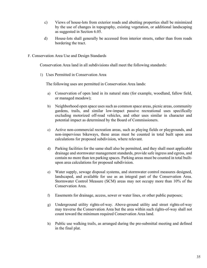- c) Views of house-lots from exterior roads and abutting properties shall be minimized by the use of changes in topography, existing vegetation, or additional landscaping as suggested in Section 6.05.
- d) House-lots shall generally be accessed from interior streets, rather than from roads bordering the tract.
- F. Conservation Area Use and Design Standards

Conservation Area land in all subdivisions shall meet the following standards:

1) Uses Permitted in Conservation Area

The following uses are permitted in Conservation Area lands:

- a) Conservation of open land in its natural state (for example, woodland, fallow field, or managed meadow);
- b) Neighborhood open space uses such as common space areas, picnic areas, community gardens, trails, and similar low-impact passive recreational uses specifically excluding motorized off-road vehicles, and other uses similar in character and potential impact as determined by the Board of Commissioners.
- c) Active non-commercial recreation areas, such as playing fields or playgrounds, and non-impervious bikeways, these areas must be counted in total built upon area calculations for proposed subdivision, where relevant.
- d) Parking facilities for the same shall also be permitted, and they shall meet applicable drainage and stormwater management standards, provide safe ingress and egress, and contain no more than ten parking spaces. Parking areas must be counted in total builtupon area calculations for proposed subdivision.
- e) Water supply, sewage disposal systems, and stormwater control measures designed, landscaped, and available for use as an integral part of the Conservation Area. Stormwater Control Measure (SCM) areas may not occupy more than 10% of the Conservation Area.
- f) Easements for drainage, access, sewer or water lines, or other public purposes;
- g) Underground utility rights-of-way. Above-ground utility and street rights-of-way may traverse the Conservation Area but the area within such rights-of-way shall not count toward the minimum required Conservation Area land.
- h) Public use walking trails, as arranged during the pre-submittal meeting and defined in the final plat.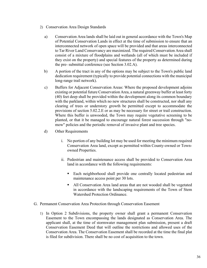- 2) Conservation Area Design Standards
	- a) Conservation Area lands shall be laid out in general accordance with the Town's Map of Potential Conservation Lands in effect at the time of submission to ensure that an interconnected network of open space will be provided and that areas interconnected to Tar River Land Conservancy are maximized. The required Conservation Area shall consist of a mixture of floodplains and wetlands (all of which must be included if they exist on the property) and special features of the property as determined during the pre- submittal conference (see Section 3.02.A).
	- b) A portion of the tract in any of the options may be subject to the Town's public land dedication requirement (typically to provide potential connections with the municipal long-range trail network).
	- c) Buffers for Adjacent Conservation Areas: Where the proposed development adjoins existing or potential future Conservation Area, a natural greenway buffer at least forty (40) feet deep shall be provided within the development along its common boundary with the parkland, within which no new structures shall be constructed, nor shall any clearing of trees or understory growth be permitted except to accommodate the provisions of section 5.02.2.E or as may be necessary for street or trail construction. Where this buffer is unwooded, the Town may require vegetative screening to be planted, or that it be managed to encourage natural forest succession through "nomow" policies and the periodic removal of invasive plant and tree species.
	- d) Other Requirements
		- i. No portion of any building lot may be used for meeting the minimum required Conservation Area land, except as permitted within County-owned or Townowned Properties.
		- ii. Pedestrian and maintenance access shall be provided to Conservation Area land in accordance with the following requirements:
			- Each neighborhood shall provide one centrally located pedestrian and maintenance access point per 30 lots.
			- All Conservation Area land areas that are not wooded shall be vegetated in accordance with the landscaping requirements of the Town of Stem Watershed Protection Ordinance.
- G. Permanent Conservation Area Protection through Conservation Easement
	- 1) In Option 2 Subdivisions, the property owner shall grant a permanent Conservation Easement to the Town encompassing the lands designated as Conservation Area. The applicant shall, at the time of stormwater management plan submission, present a draft Conservation Easement Deed that will outline the restrictions and allowed uses of the Conservation Area. The Conservation Easement shall be recorded at the time the final plat is filed for subdivision. There shall be no cost of acquisition to the town.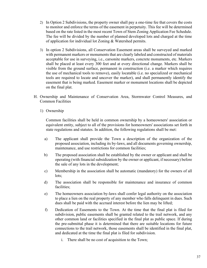- 2) In Option 2 Subdivisions, the property owner shall pay a one-time fee that covers the costs to monitor and enforce the terms of the easement in perpetuity. This fee will be determined based on the rate listed in the most recent Town of Stem Zoning Application Fee Schedule. The fee will be divided by the number of planned developed lots and charged at the time of application for individual lot Zoning & Watershed permits.
- 3) In option 2 Subdivisions, all Conservation Easement areas shall be surveyed and marked with permanent markers or monuments that are clearly labeled and constructed of materials acceptable for use in surveying, i.e., carsonite markers, concrete monuments, etc. Markers shall be placed at least every 300 feet and at every directional change. Markers shall be visible from the ground surface, permanent in construction (i.e. a marker which requires the use of mechanical tools to remove), easily locatable (i.e. no specialized or mechanical tools are required to locate and uncover the marker), and shall permanently identify the easement that is being marked. Easement marker or monument locations shall be depicted on the final plat.
- H. Ownership and Maintenance of Conservation Area, Stormwater Control Measures, and Common Facilities
	- 1) Ownership

Common facilities shall be held in common ownership by a homeowners' association or equivalent entity, subject to all of the provisions for homeowners' associations set forth in state regulations and statutes. In addition, the following regulations shall be met:

- a) The applicant shall provide the Town a description of the organization of the proposed association, including its by-laws, and all documents governing ownership, maintenance, and use restrictions for common facilities;
- b) The proposed association shall be established by the owner or applicant and shall be operating (with financial subsidization by the owner or applicant, if necessary) before the sale of any lots in the development;
- c) Membership in the association shall be automatic (mandatory) for the owners of all lots;
- d) The association shall be responsible for maintenance and insurance of common facilities;
- e) The homeowners association by-laws shall confer legal authority on the association to place a lien on the real property of any member who falls delinquent in dues. Such dues shall be paid with the accrued interest before the lien may be lifted;
- f) Dedication of Easements to the Town. At the time that the final plat is filed for subdivision, public easements shall be granted related to the trail network, and any other common land or facilities specified in the final plat as public space. If during the pre-submittal phase it is determined that there are suitable locations for future connections to the trail network, those easements shall be identified in the final plat, and dedicated at the time the final plat is filed for subdivision.
	- i. There shall be no cost of acquisition to the Town;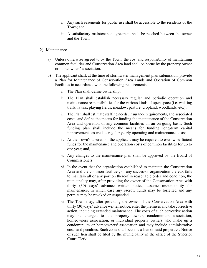- ii. Any such easements for public use shall be accessible to the residents of the Town; and
- iii. A satisfactory maintenance agreement shall be reached between the owner and the Town.
- 2) Maintenance
	- a) Unless otherwise agreed to by the Town, the cost and responsibility of maintaining common facilities and Conservation Area land shall be borne by the property owner or homeowners' association.
	- b) The applicant shall, at the time of stormwater management plan submission, provide a Plan for Maintenance of Conservation Area Lands and Operation of Common Facilities in accordance with the following requirements.
		- i. The Plan shall define ownership;
		- ii. The Plan shall establish necessary regular and periodic operation and maintenance responsibilities for the various kinds of open space (i.e. walking trails, lawns, playing fields, meadow, pasture, cropland, woodlands, etc.);
		- iii. The Plan shall estimate staffing needs, insurance requirements, and associated costs, and define the means for funding the maintenance of the Conservation Area and operation of any common facilities on an on-going basis. Such funding plan shall include the means for funding long-term capital improvements as well as regular yearly operating and maintenance costs;
		- iv. At the Town's discretion, the applicant may be required to escrow sufficient funds for the maintenance and operation costs of common facilities for up to one year; and,
		- v. Any changes to the maintenance plan shall be approved by the Board of **Commissioners**
		- vi. In the event that the organization established to maintain the Conservation Area and the common facilities, or any successor organization thereto, fails to maintain all or any portion thereof in reasonable order and condition, the municipality may, after providing the owner of the Conservation Area with thirty (30) days' advance written notice, assume responsibility for maintenance, in which case any escrow funds may be forfeited and any permits may be revoked or suspended.
		- vii. The Town may, after providing the owner of the Conservation Area with thirty (30) days' advance written notice, enter the premises and take corrective action, including extended maintenance. The costs of such corrective action may be charged to the property owner, condominium association, homeowners association, or individual property owners who make up a condominium or homeowners' association and may include administrative costs and penalties. Such costs shall become a lien on said properties. Notice of such lien shall be filed by the municipality in the office of the Superior Court Clerk.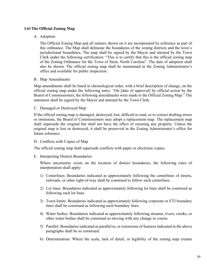## **5.03The Official Zoning Map**

### A. Adoption

The Official Zoning Map and all matters shown on it are incorporated by reference as part of this ordinance. The Map shall delineate the boundaries of the zoning districts and the town's jurisdictional boundaries. The map shall be signed by the Mayor and attested by the Town Clerk under the following certification: "This is to certify that this is the official zoning map of the Zoning Ordinance for the Town of Stem, North Carolina". The date of adoption shall also be shown. The official zoning map shall be maintained in the Zoning Administrator's office and available for public inspection.

#### B. Map Amendments

Map amendments shall be listed in chronological order, with a brief description of change, on the official zoning map under the following entry: "On [date of approval] by official action by the Board of Commissioners, the following amendments were made to the Official Zoning Map:" The statement shall be signed by the Mayor and attested by the Town Clerk.

C. Damaged or Destroyed Map

If the official zoning map is damaged, destroyed, lost, difficult to read, or to correct drafting errors or omissions, the Board of Commissioners may adopt a replacement map. The replacement map shall supersede the original but shall not have the effect of rezoning any property. Unless the original map is lost or destroyed, it shall be preserved in the Zoning Administrator's office for future reference.

## D. Conflicts with Copies of Map

The official zoning map shall supersede conflicts with paper or electronic copies.

#### E. Interpreting District Boundaries

Where uncertainty exists on the location of district boundaries, the following rules of interpretation shall apply:

- 1) Centerlines: Boundaries indicated as approximately following the centerlines of streets, railroads, or other right-of-way shall be construed to follow such centerlines.
- 2) Lot lines: Boundaries indicated as approximately following lot lines shall be construed as following such lot lines.
- 3) Town limits: Boundaries indicated as approximately following corporate or ETJ boundary lines shall be construed as following such boundary lines.
- 4) Water bodies: Boundaries indicated as approximately following streams, rivers, creeks, or other water bodies shall be construed as moving with any change in course.
- 5) Parallel: Boundaries indicated as parallel to, or extensions of features indicated in the above paragraphs shall be so construed.
- 6) Determination: Where the scale, lack of detail, or legibility of the zoning map creates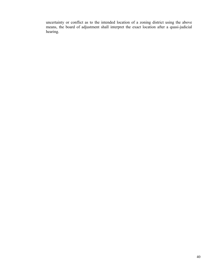uncertainty or conflict as to the intended location of a zoning district using the above means, the board of adjustment shall interpret the exact location after a quasi-judicial hearing.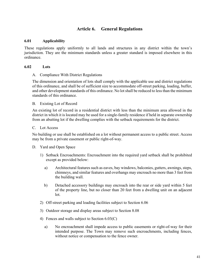# **Article 6. General Regulations**

#### **6.01 Applicability**

These regulations apply uniformly to all lands and structures in any district within the town's jurisdiction. They are the minimum standards unless a greater standard is imposed elsewhere in this ordinance.

#### **6.02 Lots**

A. Compliance With District Regulations

The dimension and orientation of lots shall comply with the applicable use and district regulations of this ordinance, and shall be of sufficient size to accommodate off-street parking, loading, buffer, and other development standards of this ordinance. No lot shall be reduced to less than the minimum standards of this ordinance.

B. Existing Lot of Record

An existing lot of record in a residential district with less than the minimum area allowed in the district in which it is located may be used for a single-family residence if held in separate ownership from an abutting lot if the dwelling complies with the setback requirements for the district.

#### C. Lot Access

No building or use shall be established on a lot without permanent access to a public street. Access may be from a private easement or public right-of-way.

- D. Yard and Open Space
	- 1) Setback Encroachments: Encroachment into the required yard setback shall be prohibited except as provided below:
		- a) Architectural features such as eaves, bay windows, balconies, gutters, awnings, steps, chimneys, and similar features and overhangs may encroach no more than 3 feet from the building wall.
		- b) Detached accessory buildings may encroach into the rear or side yard within 5 feet of the property line, but no closer than 20 feet from a dwelling unit on an adjacent lot.
	- 2) Off-street parking and loading facilities subject to Section 6.06
	- 3) Outdoor storage and display areas subject to Section 8.08
	- 4) Fences and walls subject to Section 6.03(C)
		- a) No encroachment shall impede access to public easements or right-of-way for their intended purpose. The Town may remove such encroachments, including fences, without notice or compensation to the fence owner.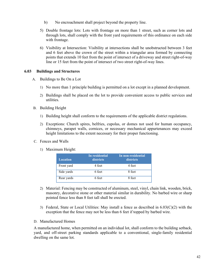- b) No encroachment shall project beyond the property line.
- 5) Double frontage lots: Lots with frontage on more than 1 street, such as corner lots and through lots, shall comply with the front yard requirements of this ordinance on each side with frontage.
- 6) Visibility at Intersection: Visibility at intersections shall be unobstructed between 3 feet and 6 feet above the crown of the street within a triangular area formed by connecting points that extends 10 feet from the point of intersect of a driveway and street right-of-way line or 15 feet from the point of intersect of two street right-of-way lines.

### **6.03 Buildings and Structures**

- A. Buildings to Be On a Lot
	- 1) No more than 1 principle building is permitted on a lot except in a planned development.
	- 2) Buildings shall be placed on the lot to provide convenient access to public services and utilities.
- B. Building Height
	- 1) Building height shall conform to the requirements of the applicable district regulations.
	- 2) Exceptions: Church spires, belfries, cupolas, or domes not used for human occupancy, chimneys, parapet walls, cornices, or necessary mechanical appurtenances may exceed height limitations to the extent necessary for their proper functioning.
- C. Fences and Walls
	- 1) Maximum Height:

| <b>Location</b> | In residential<br>districts | In non-residential<br>districts |
|-----------------|-----------------------------|---------------------------------|
| Front yard      | 4 feet                      | 4 feet                          |
| Side yards      | 6 feet                      | 8 feet                          |
| Rear yards      | 6 feet                      | 8 feet                          |

- 2) Material: Fencing may be constructed of aluminum, steel, vinyl, chain link, wooden, brick, masonry, decorative stone or other material similar in durability. No barbed wire or sharp pointed fence less than 8 feet tall shall be erected.
- 3) Federal, State or Local Utilities: May install a fence as described in  $6.03(C)(2)$  with the exception that the fence may not be less than 6 feet if topped by barbed wire.
- D. Manufactured Homes

A manufactured home, when permitted on an individual lot, shall conform to the building setback, yard, and off-street parking standards applicable to a conventional, single-family residential dwelling on the same lot.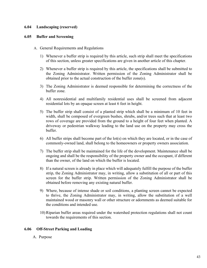### **6.04 Landscaping (reserved)**

#### **6.05 Buffer and Screening**

- A. General Requirements and Regulations
	- 1) Whenever a buffer strip is required by this article, such strip shall meet the specifications of this section, unless greater specifications are given in another article of this chapter.
	- 2) Whenever a buffer strip is required by this article, the specifications shall be submitted to the Zoning Administrator. Written permission of the Zoning Administrator shall be obtained prior to the actual construction of the buffer zone(s).
	- 3) The Zoning Administrator is deemed responsible for determining the correctness of the buffer zone.
	- 4) All nonresidential and multifamily residential uses shall be screened from adjacent residential lots by an opaque screen at least 6 feet in height.
	- 5) The buffer strip shall consist of a planted strip which shall be a minimum of 10 feet in width, shall be composed of evergreen bushes, shrubs, and/or trees such that at least two rows of coverage are provided from the ground to a height of four feet when planted. A driveway or pedestrian walkway leading to the land use on the property may cross the buffer.
	- 6) All buffer strips shall become part of the lot(s) on which they are located, or in the case of commonly-owned land, shall belong to the homeowners or property owners association.
	- 7) The buffer strip shall be maintained for the life of the development. Maintenance shall be ongoing and shall be the responsibility of the property owner and the occupant, if different than the owner, of the land on which the buffer is located.
	- 8) If a natural screen is already in place which will adequately fulfill the purpose of the buffer strip, the Zoning Administrator may, in writing, allow a substitution of all or part of this screen for the buffer strip. Written permission of the Zoning Administrator shall be obtained before removing any existing natural buffer.
	- 9) Where, because of intense shade or soil conditions, a planting screen cannot be expected to thrive, the Zoning Administrator may, in writing, allow the substitution of a well maintained wood or masonry wall or other structure or adornments as deemed suitable for the conditions and intended use.
	- 10) Riparian buffer areas required under the watershed protection regulations shall not count towards the requirements of this section.

#### **6.06 Off-Street Parking and Loading**

A. Purpose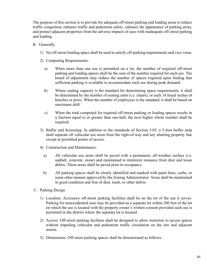The purpose of this section is to provide for adequate off-street parking and loading areas to reduce traffic congestion, enhance traffic and pedestrian safety, enhance the appearance of parking areas, and protect adjacent properties from the adverse impacts of uses with inadequate off-street parking and loading.

- B. Generally
	- 1) No off-street loading space shall be used to satisfy off-parking requirements and vice versa.
	- 2) Computing Requirements:
		- a) When more than one use is permitted on a lot, the number of required off-street parking and loading spaces shall be the sum of the number required for each use. The board of adjustment may reduce the number of spaces required upon finding that sufficient parking is available to accommodate each use during peak demand.
		- b) Where seating capacity is the standard for determining space requirements, it shall be determined by the number of seating units (i.e. chairs), or each 18 lineal inches of benches or pews. When the number of employees is the standard, it shall be based on maximum shift.
		- c) When the total computed for required off-street parking or loading spaces results in a fraction equal to or greater than one-half, the next higher whole number shall be required.
	- 3) Buffer and Screening: In addition to the standards of Section 5.05, a 5-foot buffer strip shall separate all vehicular use areas from the right-of-way and any abutting property line except at permitted points of access.
	- 4) Construction and Maintenance:
		- a) All vehicular use areas shall be paved with a permanent, all-weather surface (i.e. asphalt, concrete, stone) and maintained to minimize nuisance from dust and loose debris. These areas shall be paved prior to occupancy.
		- b) All parking spaces shall be clearly identified and marked with paint lines, curbs, or some other manner approved by the Zoning Administrator. Areas shall be maintained in good condition and free of dust, trash, or other debris.
- C. Parking Design
	- 1) Location: Accessory off-street parking facilities shall be on the lot of the use it serves. Parking for nonresidential uses may be provided on a separate lot within 200 feet of the lot on which the use is located with the property owner's written consent provided such use is permitted in the district where the separate lot is located.
	- 2) Access: Off-street parking facilities shall be designed to allow motorists to access spaces without impeding vehicular and pedestrian traffic circulation on the site and adjacent streets.
	- 3) Dimensions: Off-street parking spaces shall be dimensioned as follows: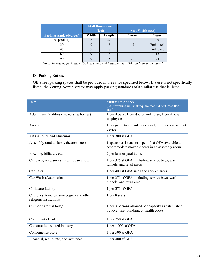|                                                                                         |       | <b>Stall Dimensions</b><br>(feet) | <b>Aisle Width (feet)</b> |            |  |  |  |
|-----------------------------------------------------------------------------------------|-------|-----------------------------------|---------------------------|------------|--|--|--|
| <b>Parking Angle (degrees)</b>                                                          | Width | Length                            | 1-way                     | $2 - way$  |  |  |  |
| $0$ (parallel)                                                                          |       | 22                                | 10                        | 20         |  |  |  |
| 30                                                                                      | Q     | 18                                | 12                        | Prohibited |  |  |  |
| 45                                                                                      | 9     | 18                                | 15                        | Prohibited |  |  |  |
| 60                                                                                      | Q,    | 18                                | 18                        | 18         |  |  |  |
| 90                                                                                      |       | 18                                | 20                        | 24         |  |  |  |
| Note: Accessible parking stalls shall comply with applicable ADA and industry standards |       |                                   |                           |            |  |  |  |

## D. Parking Ratios:

Off-street parking spaces shall be provided in the ratios specified below. If a use is not specifically listed, the Zoning Administrator may apply parking standards of a similar use that is listed.

| <b>Uses</b>                                                       | <b>Minimum Spaces</b><br>(DU=dwelling units; sf=square feet; GFA=Gross floor<br>area)                |
|-------------------------------------------------------------------|------------------------------------------------------------------------------------------------------|
| Adult Care Facilities (i.e. nursing homes)                        | 1 per 4 beds, 1 per doctor and nurse, 1 per 4 other<br>employees                                     |
| Arcade                                                            | 1 per game table, video terminal, or other amusement<br>device                                       |
| Art Galleries and Museums                                         | 1 per 300 sf GFA                                                                                     |
| Assembly (auditoriums, theaters, etc.)                            | 1 space per 4 seats or 1 per 40 sf GFA available to<br>accommodate movable seats in an assembly room |
| Bowling, billiards, etc.                                          | 2 per lane or pool table,                                                                            |
| Car parts, accessories, tires, repair shops                       | 1 per 375 sf GFA, including service bays, wash<br>tunnels, and retail areas                          |
| Car Sales                                                         | 1 per 400 sf GFA sales and service areas                                                             |
| Car Wash (Automatic)                                              | 1 per 375 sf GFA, including service bays, wash<br>tunnels, and retail area.                          |
| Childcare facility                                                | 1 per 375 sf GFA                                                                                     |
| Churches, temples, synagogues and other<br>religious institutions | 1 per 8 seats                                                                                        |
| Club or fraternal lodge                                           | 1 per 3 persons allowed per capacity as established<br>by local fire, building, or health codes      |
| <b>Community Center</b>                                           | 1 per 250 sf GFA                                                                                     |
| Construction-related industry                                     | 1 per 1,000 sf GFA                                                                                   |
| Convenience Store                                                 | 1 per 500 sf GFA                                                                                     |
| Financial, real estate, and insurance                             | 1 per 400 sf GFA                                                                                     |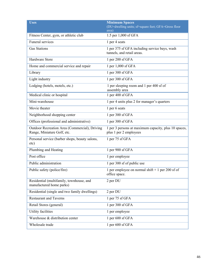| <b>Uses</b>                                                                  | <b>Minimum Spaces</b><br>(DU=dwelling units; sf=square feet; GFA=Gross floor<br>area) |
|------------------------------------------------------------------------------|---------------------------------------------------------------------------------------|
| Fitness Center, gym, or athletic club                                        | 1.5 per 1,000 sf GFA                                                                  |
| Funeral services                                                             | 1 per 4 seats                                                                         |
| <b>Gas Stations</b>                                                          | 1 per 375 sf GFA including service bays, wash<br>tunnels, and retail areas.           |
| Hardware Store                                                               | 1 per 200 sf GFA                                                                      |
| Home and commercial service and repair                                       | 1 per 1,000 sf GFA                                                                    |
| Library                                                                      | 1 per 300 sf GFA                                                                      |
| Light industry                                                               | 1 per 300 sf GFA                                                                      |
| Lodging (hotels, motels, etc.)                                               | 1 per sleeping room and 1 per 400 sf of<br>assembly area                              |
| Medical clinic or hospital                                                   | 1 per 400 sf GFA                                                                      |
| Mini-warehouse                                                               | 1 per 4 units plus 2 for manager's quarters                                           |
| Movie theater                                                                | 1 per 6 seats                                                                         |
| Neighborhood shopping center                                                 | 1 per 300 sf GFA                                                                      |
| Offices (professional and administrative)                                    | 1 per 300 sf GFA                                                                      |
| Outdoor Recreation Area (Commercial), Driving<br>Range, Miniature Golf, etc. | 1 per 3 persons at maximum capacity, plus 10 spaces,<br>plus 1 per 2 employees        |
| Personal service (barber shops, beauty salons,<br>etc)                       | 1 per 75 sf GFA                                                                       |
| Plumbing and Heating                                                         | 1 per 900 sf GFA                                                                      |
| Post office                                                                  | 1 per employee                                                                        |
| Public administration                                                        | 1 per 300 sf of public use                                                            |
| Public safety (police/fire)                                                  | 1 per employee on normal shift $+1$ per 200 sf of<br>office space.                    |
| Residential (multifamily, townhouse, and<br>manufactured home parks)         | 2 per DU                                                                              |
| Residential (single and two family dwellings)                                | 2 per DU                                                                              |
| <b>Restaurant and Taverns</b>                                                | 1 per 75 sf GFA                                                                       |
| Retail Stores (general)                                                      | 1 per 300 sf GFA                                                                      |
| Utility facilities                                                           | 1 per employee                                                                        |
| Warehouse & distribution center                                              | 1 per 600 sf GFA                                                                      |
| Wholesale trade                                                              | 1 per 600 sf GFA                                                                      |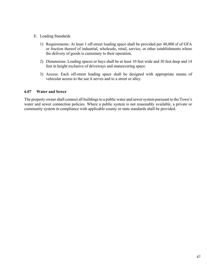- E. Loading Standards
	- 1) Requirements: At least 1 off-street loading space shall be provided per 40,000 sf of GFA or fraction thereof of industrial, wholesale, retail, service, or other establishments where the delivery of goods is customary to their operation.
	- 2) Dimensions: Loading spaces or bays shall be at least 10 feet wide and 30 feet deep and 14 feet in height exclusive of driveways and maneuvering space.
	- 3) Access: Each off-street loading space shall be designed with appropriate means of vehicular access to the use it serves and to a street or alley.

### **6.07 Water and Sewer**

The property owner shall connect all buildings to a public water and sewer system pursuant to the Town's water and sewer connection policies. Where a public system is not reasonably available, a private or community system in compliance with applicable county or state standards shall be provided.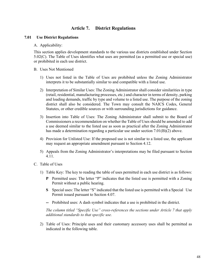# **Article 7. District Regulations**

#### **7.01 Use District Regulations**

#### A. Applicability:

This section applies development standards to the various use districts established under Section 5.02(C). The Table of Uses identifies what uses are permitted (as a permitted use or special use) or prohibited in each use district.

#### B. Uses Not Mentioned

- 1) Uses not listed in the Table of Uses are prohibited unless the Zoning Administrator interprets it to be substantially similar to and compatible with a listed use.
- 2) Interpretation of Similar Uses: The Zoning Administrator shall consider similarities in type (retail, residential, manufacturing processes, etc.) and character in terms of density, parking and loading demands, traffic by type and volume to a listed use. The purpose of the zoning district shall also be considered. The Town may consult the NAICS Codes, General Statutes, or other credible sources or with surrounding jurisdictions for guidance.
- 3) Insertion into Table of Uses: The Zoning Administrator shall submit to the Board of Commissioners a recommendation on whether the Table of Uses should be amended to add a use deemed similar to the listed use as soon as practical after the Zoning Administrator has made a determination regarding a particular use under section 7.01(B)(2) above.
- 4) Provision for Unlisted Use: If the proposed use is not similar to a listed use, the applicant may request an appropriate amendment pursuant to Section 4.12.
- 5) Appeals from the Zoning Administrator's interpretations may be filed pursuant to Section 4.11.
- C. Table of Uses
	- 1) Table Key: The key to reading the table of uses permitted in each use district is as follows:
		- **P** Permitted uses: The letter "P" indicates that the listed use is permitted with a Zoning Permit without a public hearing.
		- **S** Special uses: The letter "S" indicated that the listed use is permitted with a Special Use Permit issued pursuant to Section 4.07.
		- **--** Prohibited uses: A dash symbol indicates that a use is prohibited in the district.

*The column titled "Specific Use" cross-references the sections under Article 7 that apply additional standards to that specific use.*

2) Table of Uses: Principle uses and their customary accessory uses shall be permitted as indicated in the following table.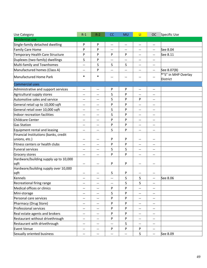| Use Category                                  | $R-1$                    | $R-2$                    | CC                       | <b>MU</b>                | $\mathbf{L}$                       | <b>OC</b>                           | Specific Use                           |
|-----------------------------------------------|--------------------------|--------------------------|--------------------------|--------------------------|------------------------------------|-------------------------------------|----------------------------------------|
| <b>Residential use</b>                        |                          |                          |                          |                          |                                    |                                     |                                        |
| Single-family detached dwelling               | P                        | P                        | $\overline{\phantom{m}}$ | $\overline{\phantom{m}}$ | --                                 | $\overline{\phantom{a}}$            |                                        |
| Family Care Home                              | P                        | P                        | --                       |                          |                                    | $\qquad \qquad -$                   | See 8.04                               |
| Temporary Health Care Structure               | P                        | P                        | P                        | P                        | --                                 | $\overline{\phantom{m}}$            | See 8.11                               |
| Duplexes (two-family) dwellings               | S                        | P                        | $- -$                    |                          | --                                 | --                                  |                                        |
| Multi-family and Townhomes                    | $\overline{\phantom{a}}$ | S                        | S                        | S                        | --                                 | $\qquad \qquad -$                   |                                        |
| Manufactured homes (Class A)                  | --                       | P                        | $-$                      | --                       | --                                 | $\overline{\phantom{m}}$            | See 8.07(B)                            |
| Manufactured Home Park                        | *                        | $\ast$                   | --                       | --                       |                                    | $-\!$ $\!-$                         | *"S" in MHP Overlay<br><b>District</b> |
| <b>Commercial uses</b>                        |                          |                          |                          |                          |                                    |                                     |                                        |
| Administrative and support services           | $\overline{\phantom{a}}$ | $\overline{\phantom{m}}$ | P                        | P                        | $\hspace{0.05cm} -\hspace{0.05cm}$ | $\qquad \qquad -$                   |                                        |
| Agricultural supply stores                    | --                       | $\qquad \qquad -$        | S                        | P                        | --                                 | --                                  |                                        |
| Automotive sales and service                  | --                       | $-$                      | S                        | P                        | P                                  | $\overline{\phantom{a}}$            |                                        |
| General retail up to 10,000 sqft              | --                       | $\qquad \qquad -$        | P                        | P                        | --                                 | $\qquad \qquad -$                   |                                        |
| General retail over 10,000 sqft               | --                       | $\overline{\phantom{m}}$ | S                        | P                        | --                                 | $\overline{\phantom{a}}$            |                                        |
| Indoor recreation facilities                  | --                       | $\qquad \qquad -$        | S                        | P                        | --                                 | $\qquad \qquad -$                   |                                        |
| Childcare Center                              | $\overline{\phantom{a}}$ | $\overline{\phantom{m}}$ | P                        | P                        | --                                 | $\overline{\phantom{a}}$            |                                        |
| <b>Gas Station</b>                            | --                       | $\qquad \qquad -$        | P                        | P                        | --                                 | $\overline{\phantom{m}}$            |                                        |
| Equipment rental and leasing                  | --                       | $-$                      | S                        | P                        | --                                 | $\overline{\phantom{a}}$            |                                        |
| Financial Institutions (banks, credit         |                          |                          |                          |                          |                                    |                                     |                                        |
| unions, etc.)                                 | $- -$                    | $\overline{\phantom{m}}$ | P                        | P                        | --                                 | $\overline{\phantom{a}}$            |                                        |
| Fitness centers or health clubs               | --                       | $-$                      | P                        | P                        | --                                 | $\overline{\phantom{a}}$            |                                        |
| <b>Funeral services</b>                       | $-$                      | $\overline{\phantom{a}}$ | S                        | S                        | $-$                                | $\overline{\phantom{a}}$            |                                        |
| Grocery stores                                | --                       | $\overline{\phantom{m}}$ | P                        | P                        | --                                 | $\qquad \qquad -$                   |                                        |
| Hardware/building supply up to 10,000<br>sqft | $- -$                    | $-\, -$                  | P                        | P                        | --                                 | $\overline{\phantom{a}}$            |                                        |
| Hardware/building supply over 10,000<br>sqft  | $-$                      | $\overline{\phantom{m}}$ | S                        | P                        | $\overline{\phantom{a}}$           | $- -$                               |                                        |
| Kennels                                       | --                       | $\overline{\phantom{m}}$ | --                       | S                        | S                                  | --                                  | See 8.06                               |
| Recreational firing range                     |                          |                          | --                       | S                        | S                                  | $\overline{\phantom{m}}$            |                                        |
| Medical offices or clinics                    | --                       | $-$                      | P                        | P                        | --                                 | --                                  |                                        |
| Mini-storage                                  | --                       | $-\, -$                  | S                        | P                        | --                                 | $-\, -$                             |                                        |
| Personal care services                        | --                       | $-\, -$                  | P                        | P                        | --                                 | --                                  |                                        |
| Pharmacy (Drug Store)                         | --                       | --                       | P                        | P                        |                                    | --                                  |                                        |
| Professional services                         | --                       | $-\, -$                  | P                        | P                        | --                                 | --                                  |                                        |
| Real estate agents and brokers                | --                       | $-\hbox{--}$             | P                        | P                        | --                                 | $\hspace{0.05cm}$ $\hspace{0.05cm}$ |                                        |
| Restaurant without drivethrough               | --                       | $-\, -$                  | P                        | P                        | --                                 | --                                  |                                        |
| Restaurant with drivethrough                  | --                       | $-\, -$                  | $\qquad \qquad -$        | S                        | --                                 | --                                  |                                        |
| <b>Event Venue</b>                            | --                       | $-\, -$                  | P                        | P                        | P                                  | --                                  |                                        |
| Sexually oriented business                    | --                       | $-\hbox{--}$             | $\overline{\phantom{m}}$ | $-\hbox{--}$             | S                                  | $\overline{\phantom{a}}$            | See 8.09                               |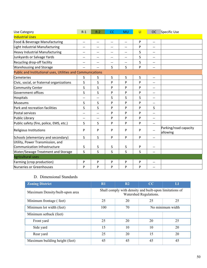| Use Category                                                | $R-1$                    | $R-2$                    | CC                       | <b>MU</b>                | $\mathsf{L}$ | <b>OC</b>                             | <b>Specific Use</b>               |
|-------------------------------------------------------------|--------------------------|--------------------------|--------------------------|--------------------------|--------------|---------------------------------------|-----------------------------------|
| <b>Industrial Uses</b>                                      |                          |                          |                          |                          |              |                                       |                                   |
| Food & Beverage Manufacturing                               | $\overline{\phantom{a}}$ | $\overline{\phantom{m}}$ | $\overline{\phantom{m}}$ | $\overline{\phantom{m}}$ | P            | $- -$                                 |                                   |
| Light Industrial Manufacturing                              | --                       | $-$                      | $\overline{\phantom{m}}$ | $-$                      | P            | $\qquad \qquad -$                     |                                   |
| Heavy Industrial Manufacturing                              | --                       | $-$                      | $-$                      | $\overline{\phantom{a}}$ | S            | --                                    |                                   |
| Junkyards or Salvage Yards                                  | $-$                      | $\overline{\phantom{a}}$ | $\overline{\phantom{a}}$ | $-$                      | S            | $\qquad \qquad -$                     |                                   |
| Recycling drop-off facility                                 | $\overline{\phantom{a}}$ | $-$                      | $-$                      | $-$                      | S            | --                                    |                                   |
| <b>Warehousing and Storage</b>                              | $-$                      | $-$                      | S                        | S                        | P            | $\hspace{0.05cm}$ – $\hspace{0.05cm}$ |                                   |
| Public and Institutional uses, Utilities and Communications |                          |                          |                          |                          |              |                                       |                                   |
| <b>Cemeteries</b>                                           | $\mathsf{S}$             | S                        | S                        | S                        | S            | $-$                                   |                                   |
| Civic, social, or fraternal organizations                   | S                        | S                        | P                        | P                        | P            | --                                    |                                   |
| <b>Community Center</b>                                     | S                        | S                        | P                        | P                        | P            | $\qquad \qquad -$                     |                                   |
| Government offices                                          | S                        | S                        | P                        | P                        | P            | --                                    |                                   |
| <b>Hospitals</b>                                            | $-$                      | $-$                      | S                        | S                        | S            | --                                    |                                   |
| <b>Museums</b>                                              | S                        | S                        | P                        | P                        | P            | $\qquad \qquad -$                     |                                   |
| Park and recreation facilities                              | S                        | S                        | P                        | P                        | P            | S                                     |                                   |
| Postal services                                             | --                       | $-$                      | P                        | P                        | P            | $\overline{\phantom{a}}$              |                                   |
| Public Library                                              | --                       | --                       | P                        | P                        | P            | $\qquad \qquad -$                     |                                   |
| Public safety (fire, police, EMS, etc.)                     | S                        | S                        | $\mathsf{P}$             | P                        | P            | $\overline{\phantom{a}}$              |                                   |
| Religious Institutions                                      | P                        | P                        | P                        | P                        | P            | $\overline{\phantom{a}}$              | Parking/road capacity<br>allowing |
| Schools (elementary and secondary)                          | S                        | S                        | P                        | P                        | P            | $-$                                   |                                   |
| Utility, Power Transmission, and                            |                          |                          |                          |                          |              |                                       |                                   |
| Communication Infrastructure                                | S                        | S                        | S                        | S                        | P            | --                                    |                                   |
| <b>Water/Sewage Treatment and Storage</b>                   | $\mathsf{S}$             | S                        | S.                       | S                        | S            | $-$                                   |                                   |
| <b>Agricultural uses</b>                                    |                          |                          |                          |                          |              |                                       |                                   |
| Farming (crop production)                                   | P                        | P                        | P                        | P                        | P            | --                                    |                                   |
| Nurseries or Greenhouses                                    | P                        | P                        | P                        | P                        | P            | --                                    |                                   |

# D. Dimensional Standards

| <b>Zoning District</b>          | $\mathbf{R}1$                                                                     | R <sub>2</sub>         | CC | LI |  |  |
|---------------------------------|-----------------------------------------------------------------------------------|------------------------|----|----|--|--|
| Maximum Density/built-upon area | Shall comply with density and built-upon limitations of<br>Watershed Regulations. |                        |    |    |  |  |
| Minimum frontage (feet)         | 25                                                                                | 20                     | 25 | 25 |  |  |
| Minimum lot width (feet)        | 100                                                                               | No minimum width<br>70 |    |    |  |  |
| Minimum setback (feet)          |                                                                                   |                        |    |    |  |  |
| Front yard                      | 25                                                                                | 20                     | 20 | 25 |  |  |
| Side yard                       | 15                                                                                | 10                     | 10 | 20 |  |  |
| Rear yard                       | 25                                                                                | 20                     | 15 | 20 |  |  |
| Maximum building height (feet)  | 45                                                                                | 45                     | 45 | 45 |  |  |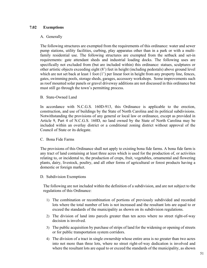## **7.02 Exemptions**

#### A. Generally

The following structures are exempted from the requirements of this ordinance: water and sewer pump stations, utility facilities, curbing, play apparatus other than in a park or with a multifamily residential use. The following structures are exempted from the setback and set-in requirements: gate attendant sheds and industrial loading docks. The following uses are specifically not excluded from (but are included within) this ordinance: statues, sculptures or other artistic objects exceeding eight (8') feet in height (including pedestals) above ground level which are not set back at least 1 foot  $(1')$  per linear foot in height from any property line, fences, gates, swimming pools, storage sheds, garages, accessory workshops. Some improvements such as roof mounted solar panels or gravel driveway additions are not discussed in this ordinance but must still go through the town's permitting process.

#### B. State-Owned Land

In accordance with N.C.G.S. 160D-913, this Ordinance is applicable to the erection, construction, and use of buildings by the State of North Carolina and its political subdivisions. Notwithstanding the provisions of any general or local law or ordinance, except as provided in Article 9, Part 4 of N.C.G.S. 160D, no land owned by the State of North Carolina may be included within an overlay district or a conditional zoning district without approval of the Council of State or its delegate.

#### C. Bona Fide Farms

The provisions of this Ordinance shall not apply to existing bona fide farms. A bona fide farm is any tract of land containing at least three acres which is used for the production of, or activities relating to, or incidental to, the production of crops, fruit, vegetables, ornamental and flowering plants, dairy, livestock, poultry, and all other forms of agricultural or forest products having a domestic or foreign market.

#### D. Subdivision Exemptions

The following are not included within the definition of a subdivision, and are not subject to the regulations of this Ordinance:

- 1) The combination or recombination of portions of previously subdivided and recorded lots where the total number of lots is not increased and the resultant lots are equal to or exceed the standards of the municipality as shown on its subdivision regulations.
- 2) The division of land into parcels greater than ten acres where no street right-of-way decision is involved.
- 3) The public acquisition by purchase of strips of land for the widening or opening of streets or for public transportation system corridors.
- 4) The division of a tract in single ownership whose entire area is no greater than two acres into not more than three lots, where no street right-of-way dedication is involved and where the resultant lots are equal to or exceed the standards of the municipality, as shown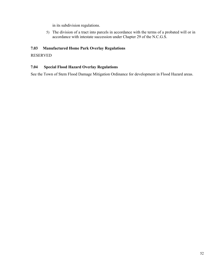in its subdivision regulations.

5) The division of a tract into parcels in accordance with the terms of a probated will or in accordance with intestate succession under Chapter 29 of the N.C.G.S.

## **7.03 Manufactured Home Park Overlay Regulations**

### RESERVED

### **7.04 Special Flood Hazard Overlay Regulations**

See the Town of Stem Flood Damage Mitigation Ordinance for development in Flood Hazard areas.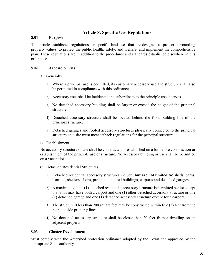# **Article 8. Specific Use Regulations**

#### **8.01 Purpose**

This article establishes regulations for specific land uses that are designed to protect surrounding property values, to protect the public health, safety, and welfare, and implement the comprehensive plan. These regulations are in addition to the procedures and standards established elsewhere in this ordinance.

#### **8.02 Accessory Uses**

- A. Generally
	- 1) Where a principal use is permitted, its customary accessory use and structure shall also be permitted in compliance with this ordinance.
	- 2) Accessory uses shall be incidental and subordinate to the principle use it serves.
	- 3) No detached accessory building shall be larger or exceed the height of the principal structure.
	- 4) Detached accessory structure shall be located behind the front building line of the principal structure.
	- 5) Detached garages and roofed accessory structures physically connected to the principal structure on a site must meet setback regulations for the principal structure.
- B. Establishment

No accessory structure or use shall be constructed or established on a lot before construction or establishment of the principle use or structure. No accessory building or use shall be permitted on a vacant lot.

- C. Detached Residential Structures
	- 1) Detached residential accessory structures include, **but are not limited to:** sheds, barns, lean-tos, shelters, shops, pre-manufactured buildings, carports and detached garages.
	- 2) A maximum of one (1) detached residential accessory structure is permitted per lot except that a lot may have both a carport and one (1) other detached accessory structure or one (1) detached garage and one (1) detached accessory structure except for a carport.
	- 3) The structure if less than 200 square feet may be constructed within five (5) feet from the rear and side property lines.
	- 4) No detached accessory structure shall be closer than 20 feet from a dwelling on an adjacent property.

#### **8.03 Cluster Development**

Must comply with the watershed protection ordinance adopted by the Town and approved by the appropriate State authority.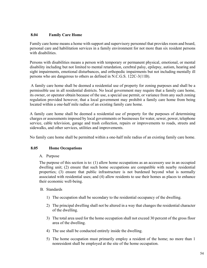## **8.04 Family Care Home**

Family care home means a home with support and supervisory personnel that provides room and board, personal care and habilitation services in a family environment for not more than six resident persons with disabilities.

Persons with disabilities means a person with temporary or permanent physical, emotional, or mental disability including but not limited to mental retardation, cerebral palsy, epilepsy, autism, hearing and sight impairments, emotional disturbances, and orthopedic impairments but not including mentally ill persons who are dangerous to others as defined in N.C.G.S. 122C-3(11B).

 A family care home shall be deemed a residential use of property for zoning purposes and shall be a permissible use in all residential districts. No local government may require that a family care home, its owner, or operator obtain because of the use, a special use permit, or variance from any such zoning regulation provided however, that a local government may prohibit a family care home from being located within a one-half mile radius of an existing family care home.

A family care home shall be deemed a residential use of property for the purposes of determining charges or assessments imposed by local governments or businesses for water, sewer, power, telephone service, cable television, garage and trash collection, repairs or improvements to roads, streets and sidewalks, and other services, utilities and improvements.

No family care home shall be permitted within a one-half mile radius of an existing family care home.

## **8.05 Home Occupations**

## A. Purpose

The purpose of this section is to: (1) allow home occupations as an accessory use in an occupied dwelling unit; (2) ensure that such home occupations are compatible with nearby residential properties; (3) ensure that public infrastructure is not burdened beyond what is normally associated with residential uses; and (4) allow residents to use their homes as places to enhance their economic well-being.

## B. Standards

- 1) The occupation shall be secondary to the residential occupancy of the dwelling.
- 2) The principal dwelling shall not be altered in a way that changes the residential character of the dwelling.
- 3) The total area used for the home occupation shall not exceed 30 percent of the gross floor area of the dwelling.
- 4) The use shall be conducted entirely inside the dwelling.
- 5) The home occupation must primarily employ a resident of the home; no more than 1 nonresident shall be employed at the site of the home occupation.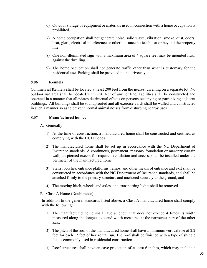- 6) Outdoor storage of equipment or materials used in connection with a home occupation is prohibited.
- 7) A home occupation shall not generate noise, solid waste, vibration, smoke, dust, odors, heat, glare, electrical interference or other nuisance noticeable at or beyond the property line.
- 8) One non-illuminated sign with a maximum area of 4 square feet may be mounted flush against the dwelling.
- 9) The home occupation shall not generate traffic other than what is customary for the residential use. Parking shall be provided in the driveway.

### **8.06 Kennels**

Commercial Kennels shall be located at least 200 feet from the nearest dwelling on a separate lot. No outdoor run area shall be located within 50 feet of any lot line. Facilities shall be constructed and operated in a manner that alleviates detrimental effects on persons occupying or patronizing adjacent buildings. All buildings shall be soundproofed and all exercise yards shall be walled and constructed in such a manner so as to prevent normal animal noises from disturbing nearby uses.

## **8.07 Manufactured homes**

- A. Generally
	- 1) At the time of construction, a manufactured home shall be constructed and certified as complying with the HUD Codes.
	- 2) The manufactured home shall be set up in accordance with the NC Department of Insurance standards. A continuous, permanent, masonry foundation or masonry curtain wall, un-pierced except for required ventilation and access, shall be installed under the perimeter of the manufactured home.
	- 3) Stairs, porches, entrance platforms, ramps, and other means of entrance and exit shall be constructed in accordance with the NC Department of Insurance standards, and shall be attached firmly to the primary structure and anchored securely to the ground; and
	- 4) The moving hitch, wheels and axles, and transporting lights shall be removed.
- B. Class A Home (Doublewide)

In addition to the general standards listed above, a Class A manufactured home shall comply with the following:

- 1) The manufactured home shall have a length that does not exceed 4 times its width measured along the longest axis and width measured at the narrowest part of the other axis.
- 2) The pitch of the roof of the manufactured home shall have a minimum vertical rise of 2.2 feet for each 12 feet of horizontal run. The roof shall be finished with a type of shingle that is commonly used in residential construction.
- 3) Roof structures shall have an eave projection of at least 6 inches, which may include a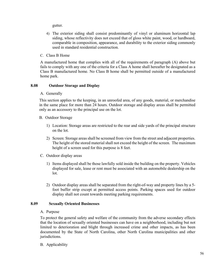gutter.

- 4) The exterior siding shall consist predominantly of vinyl or aluminum horizontal lap siding, whose reflectivity does not exceed that of gloss white paint, wood, or hardboard, comparable in composition, appearance, and durability to the exterior siding commonly used in standard residential construction.
- C. Class B Home

A manufactured home that complies with all of the requirements of paragraph (A) above but fails to comply with any one of the criteria for a Class A home shall hereafter be designated as a Class B manufactured home. No Class B home shall be permitted outside of a manufactured home park.

#### **8.08 Outdoor Storage and Display**

A. Generally

This section applies to the keeping, in an unroofed area, of any goods, material, or merchandise in the same place for more than 24 hours. Outdoor storage and display areas shall be permitted only as an accessory to the principal use on the lot.

- B. Outdoor Storage
	- 1) Location: Storage areas are restricted to the rear and side yards of the principal structure on the lot.
	- 2) Screen: Storage areas shall be screened from view from the street and adjacent properties. The height of the stored material shall not exceed the height of the screen. The maximum height of a screen used for this purpose is 8 feet.
- C. Outdoor display areas
	- 1) Items displayed shall be those lawfully sold inside the building on the property. Vehicles displayed for sale, lease or rent must be associated with an automobile dealership on the lot.
	- 2) Outdoor display areas shall be separated from the right-of-way and property lines by a 5 foot buffer strip except at permitted access points. Parking spaces used for outdoor display shall not count towards meeting parking requirements.

#### **8.09 Sexually Oriented Businesses**

#### A. Purpose

To protect the general safety and welfare of the community from the adverse secondary effects that the location of sexually oriented businesses can have on a neighborhood, including but not limited to deterioration and blight through increased crime and other impacts, as has been documented by the State of North Carolina, other North Carolina municipalities and other jurisdictions.

B. Applicability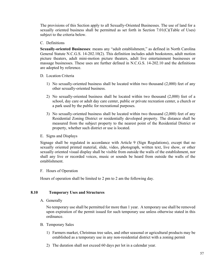The provisions of this Section apply to all Sexually-Oriented Businesses. The use of land for a sexually oriented business shall be permitted as set forth in Section 7.01(C)(Table of Uses) subject to the criteria below.

### C. Definitions

**Sexually-oriented Businesses**: means any "adult establishment," as defined in North Carolina General Statute N.C.G.S. 14-202.10(2). This definition includes adult bookstores, adult motion picture theaters, adult mini-motion picture theaters, adult live entertainment businesses or massage businesses. These uses are further defined in N.C.G.S. 14-202.10 and the definitions are adopted by reference.

D. Location Criteria

- 1) No sexually-oriented business shall be located within two thousand (2,000) feet of any other sexually-oriented business.
- 2) No sexually-oriented business shall be located within two thousand (2,000) feet of a school, day care or adult day care center, public or private recreation center, a church or a park used by the public for recreational purposes.
- 3) No sexually-oriented business shall be located within two thousand (2,000) feet of any Residential Zoning District or residentially developed property. The distance shall be measured from the subject property to the nearest point of the Residential District or property, whether such district or use is located.
- E. Signs and Displays

Signage shall be regulated in accordance with Article 9 (Sign Regulations), except that no sexually oriented printed material, slide, video, photograph, written text, live show, or other sexually oriented visual display shall be visible from outside the walls of the establishment, nor shall any live or recorded voices, music or sounds be heard from outside the walls of the establishment.

F. Hours of Operation

Hours of operation shall be limited to 2 pm to 2 am the following day.

## **8.10 Temporary Uses and Structures**

A. Generally

No temporary use shall be permitted for more than 1 year. A temporary use shall be removed upon expiration of the permit issued for such temporary use unless otherwise stated in this ordinance.

- B. Temporary Sales
	- 1) Farmers market, Christmas tree sales, and other seasonal or agricultural products may be established as a temporary use in any non-residential district with a zoning permit
	- 2) The duration shall not exceed 60 days per lot in a calendar year.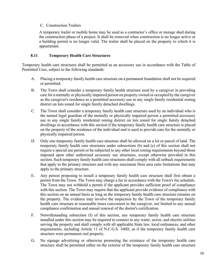### C. Construction Trailers

A temporary trailer or mobile home may be used as a contractor's office or storage shed during the construction phase of a project. It shall be removed when construction is no longer active or a building permit is no longer valid. The trailer shall be placed on the property to which it is appurtenant.

### **8.11 Temporary Health Care Structures**

Temporary health care structures shall be permitted as an accessory use in accordance with the Table of Permitted Uses, subject to the following standards:

- A. Placing a temporary family health care structure on a permanent foundation shall not be required or permitted.
- B. The Town shall consider a temporary family health structure used by a caregiver in providing care for a mentally or physically impaired person on property owned or occupied by the caregiver as the caregiver's residence as a permitted accessory use in any single family residential zoning district on lots zoned for single family detached dwellings.
- C. The Town shall consider a temporary family health care structure used by an individual who is the named legal guardian of the mentally or physically impaired person a permitted accessory use in any single family residential zoning district on lots zoned for single family detached dwellings in accordance with this section if the temporary family health care structure is placed on the property of the residence of the individual and is used to provide care for the mentally or physically impaired person.
- D. Only one temporary family health care structure shall be allowed on a lot or parcel of land. The temporary family health care structures under subsections (b) and (c) of this section shall not require a special use permit or be subjected to any other local zoning requirements beyond those imposed upon other authorized accessory use structures, except otherwise provided in this section. Such temporary family health care structures shall comply with all setback requirements that apply to the primary structure and with any maximum floor area ratio limitations that may apply to the primary structure.
- E. Any person proposing to install a temporary family health care structure shall first obtain a permit from the Town. The Town may charge a fee in accordance with the Town's fee schedule. The Town may not withhold a permit if the applicant provides sufficient proof of compliance with this section. The Town may require that the applicant provide evidence of compliance with this section on an annual basis as long as the temporary family health care structure remains on the property. The evidence may involve the inspection by the Town of the temporary family health care structure at reasonable times convenient to the caregiver, not limited to any annual compliance confirmation and annual renewal of the doctor's certification.
- F. Notwithstanding subsection (I) of this section, any temporary family health care structure installed under this section may be required to connect to any water, sewer, and electric utilities serving the property and shall comply with all applicable State law, local ordinances, and other requirements, including Article 11 of N.C.G.S. 160D, as if the temporary family health care structure were permanent real property.
- G. No signage advertising or otherwise promoting the existence of the temporary health care structure shall be permitted either on the exterior of the temporary family health care structure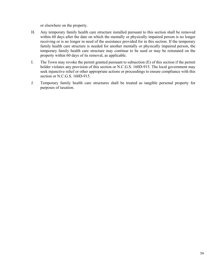or elsewhere on the property.

- H. Any temporary family health care structure installed pursuant to this section shall be removed within 60 days after the date on which the mentally or physically impaired person is no longer receiving or is no longer in need of the assistance provided for in this section. If the temporary family health care structure is needed for another mentally or physically impaired person, the temporary family health care structure may continue to be used or may be reinstated on the property within 60 days of its removal, as applicable.
- I. The Town may revoke the permit granted pursuant to subsection (E) of this section if the permit holder violates any provision of this section or N.C.G.S. 160D-915. The local government may seek injunctive relief or other appropriate actions or proceedings to ensure compliance with this section or N.C.G.S. 160D-915.
- J. Temporary family health care structures shall be treated as tangible personal property for purposes of taxation.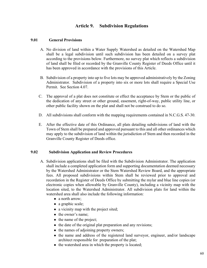# **Article 9. Subdivision Regulations**

## **9.01 General Provisions**

- A. No division of land within a Water Supply Watershed as detailed on the Watershed Map shall be a legal subdivision until such subdivision has been detailed on a survey plat according to the provisions below. Furthermore, no survey plat which reflects a subdivision of land shall be filed or recorded by the Granville County Register of Deeds Office until it has been approved in accordance with the provisions of this Article.
- B. Subdivision of a property into up to five lots may be approved administratively by the Zoning Administrator. Subdivision of a property into six or more lots shall require a Special Use Permit. See Section 4.07.
- C. The approval of a plat does not constitute or effect the acceptance by Stem or the public of the dedication of any street or other ground, easement, right-of-way, public utility line, or other public facility shown on the plat and shall not be construed to do so.
- D. All subdivisions shall conform with the mapping requirements contained in N.C.G.S. 47-30.
- E. After the effective date of this Ordinance, all plats detailing subdivisions of land with the Town of Stem shall be prepared and approved pursuant to this and all other ordinances which may apply to the subdivision of land within the jurisdiction of Stem and then recorded in the Granville County Register of Deeds office.

#### **9.02 Subdivision Application and Review Procedures**

- A. Subdivision applications shall be filed with the Subdivision Administrator. The application shall include a completed application form and supporting documentation deemed necessary by the Watershed Administrator or the Stem Watershed Review Board, and the appropriate fees. All proposed subdivisions within Stem shall be reviewed prior to approval and recordation in the Register of Deeds Office by submitting the mylar and blue line copies (or electronic copies when allowable by Granville County), including a vicinity map with the location sited, to the Watershed Administrator. All subdivision plats for land within the watershed area shall also include the following information:
	- a north arrow;
	- a graphic scale;
	- a vicinity map with the project sited;
	- the owner's name;
	- the name of the project;
	- the date of the original plat preparation and any revisions;
	- the names of adjoining property owners;
	- the name and address of the registered land surveyor, engineer, and/or landscape architect responsible for preparation of the plat;
	- the watershed area in which the property is located;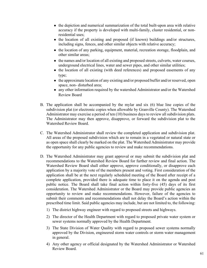- the depiction and numerical summarization of the total built-upon area with relative accuracy if the property is developed with multi-family, cluster residential, or nonresidential uses;
- the location of all existing and proposed (if known) buildings and/or structures, including signs, fences, and other similar objects with relative accuracy;
- the location of any parking, equipment, material, recreation storage, floodplain, and other similar areas;
- the names and/or location of all existing and proposed streets, culverts, water courses, underground electrical lines, water and sewer pipes, and other similar utilities;
- the location of all existing (with deed references) and proposed easements of any type;
- the approximate location of any existing and/or proposed buffer and/or reserved, open space, non- disturbed area;
- any other information required by the watershed Administrator and/or the Watershed Review Board
- B. The application shall be accompanied by the mylar and six (6) blue line copies of the subdivision plat (or electronic copies when allowable by Granville County). The Watershed Administrator may exercise a period of ten (10) business days to review all subdivision plats. The Administrator may then approve, disapprove, or forward the subdivision plat to the Watershed Review Board.
- C. The Watershed Administrator shall review the completed application and subdivision plat. All areas of the proposed subdivision which are to remain in a vegetated or natural state or as open space shall clearly be marked on the plat. The Watershed Administrator may provide the opportunity for any public agencies to review and make recommendations.
- D. The Watershed Administrator may grant approval or may submit the subdivision plat and recommendations to the Watershed Review Board for further review and final action. The Watershed Review Board shall either approve, approve conditionally, or disapprove each application by a majority vote of the members present and voting. First consideration of the application shall be at the next regularly scheduled meeting of the Board after receipt of a complete application, provided there is adequate time to place it on the agenda and post public notice. The Board shall take final action within forty-five (45) days of its first consideration. The Watershed Administrator or the Board may provide public agencies an opportunity to review and make recommendations. However, failure of the agencies to submit their comments and recommendations shall not delay the Board's action within the prescribed time limit. Said public agencies may include, but are not limited to, the following:
	- 1) The district highway engineer with regard to proposed streets and highways.
	- 2) The director of the Health Department with regard to proposed private water system or sewer systems normally approved by the Health Department.
	- 3) The State Division of Water Quality with regard to proposed sewer systems normally approved by the Division, engineered storm water controls or storm water management in general.
	- 4) Any other agency or official designated by the Watershed Administrator or Watershed Review Board.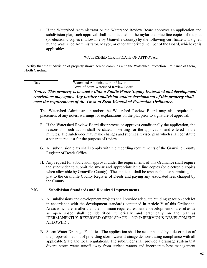E. If the Watershed Administrator or the Watershed Review Board approves an application and subdivision plat, such approval shall be indicated on the mylar and blue line copies of the plat (or electronic copies if allowable by Granville County) by the following certificate and signed by the Watershed Administrator, Mayor, or other authorized member of the Board, whichever is applicable:

#### WATERSHED CERTIFICATE OF APPROVAL

I certify that the subdivision of property shown hereon complies with the Watershed Protection Ordinance of Stem, North Carolina.

Date Watershed Administrator or Mayor, Town of Stem Watershed Review Board

# *Notice: This property is located within a Public Water Supply Watershed and development restrictions may apply. Any further subdivision and/or development of this property shall meet the requirements of the Town of Stem Watershed Protection Ordinance.*

The Watershed Administrator and/or the Watershed Review Board may also require the placement of any notes, warnings, or explanations on the plat prior to signature of approval.

- F. If the Watershed Review Board disapproves or approves conditionally the application, the reasons for such action shall be stated in writing for the application and entered in the minutes. The subdivider may make changes and submit a revised plan which shall constitute a separate request for the purpose of review.
- G. All subdivision plats shall comply with the recording requirements of the Granville County Register of Deeds Office.
- H. Any request for subdivision approval under the requirements of this Ordinance shall require the subdivider to submit the mylar and appropriate blue line copies (or electronic copies when allowable by Granville County). The applicant shall be responsible for submitting the plat to the Granville County Register of Deeds and paying any associated fees charged by the County.

#### **9.03 Subdivision Standards and Required Improvements**

- A. All subdivisions and development projects shall provide adequate building space on each lot in accordance with the development standards contained in Article V of this Ordinance. Areas which are smaller than the minimum required residential development or are set aside as open space shall be identified numerically and graphically on the plat as "PERMANENTLY RESERVED OPEN SPACE – NO IMPERVIOUS DEVELOPMENT ALLOWED".
- B. Storm Water Drainage Facilities. The application shall be accompanied by a description of the proposed method of providing storm water drainage demonstrating compliance with all applicable State and local regulations. The subdivider shall provide a drainage system that diverts storm water runoff away from surface waters and incorporate best management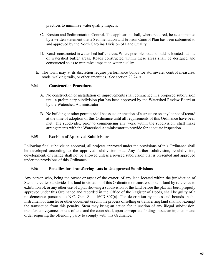practices to minimize water quality impacts.

- C. Erosion and Sedimentation Control. The application shall, where required, be accompanied by a written statement that a Sedimentation and Erosion Control Plan has been submitted to and approved by the North Carolina Division of Land Quality.
- D. Roads constructed in watershed buffer areas. Where possible, roads should be located outside of watershed buffer areas. Roads constructed within these areas shall be designed and constructed so as to minimize impact on water quality.
- E. The town may at its discretion require performance bonds for stormwater control measures, roads, walking trails, or other amenities. See section 20.24.A.

## **9.04 Construction Procedures**

- A. No construction or installation of improvements shall commence in a proposed subdivision until a preliminary subdivision plat has been approved by the Watershed Review Board or by the Watershed Administrator.
- B. No building or other permits shall be issued or erection of a structure on any lot not of record at the time of adoption of this Ordinance until all requirements of this Ordinance have been met. The subdivider, prior to commencing any work within the subdivision, shall make arrangements with the Watershed Administrator to provide for adequate inspection.

## **9.05 Revision of Approved Subdivisions**

Following final subdivision approval, all projects approved under the provisions of this Ordinance shall be developed according to the approved subdivision plat. Any further subdivision, resubdivision, development, or change shall not be allowed unless a revised subdivision plat is presented and approved under the provisions of this Ordinance.

## **9.06 Penalties for Transferring Lots in Unapproved Subdivisions**

Any person who, being the owner or agent of the owner, of any land located within the jurisdiction of Stem, hereafter subdivides his land in violation of this Ordination or transfers or sells land by reference to exhibition of, or any other use of a plat showing a subdivision of the land before the plat has been properly approved under this Ordinance and recorded in the Office of the Register of Deeds, shall be guilty of a misdemeanor pursuant to N.C. Gen. Stat. 160D-807(a). The description by metes and bounds in the instrument of transfer or other document used in the process of selling or transferring land shall not exempt the transaction from this penalty. Stem may bring an action for injunction of any illegal subdivision, transfer, conveyance, or sale of land and the court shall, upon appropriate findings, issue an injunction and order requiring the offending party to comply with this Ordinance.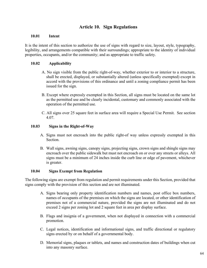# **Article 10. Sign Regulations**

### **10.01 Intent**

It is the intent of this section to authorize the use of signs with regard to size, layout, style, typography, legibility, and arrangements compatible with their surroundings; appropriate to the identity of individual properties, occupants, and/or the community; and as appropriate to traffic safety.

## **10.02 Applicability**

- A. No sign visible from the public right-of-way, whether exterior to or interior to a structure, shall be erected, displayed, or substantially altered (unless specifically exempted) except in accord with the provisions of this ordinance and until a zoning compliance permit has been issued for the sign.
- B. Except where expressly exempted in this Section, all signs must be located on the same lot as the permitted use and be clearly incidental, customary and commonly associated with the operation of the permitted use.
- C. All signs over 25 square feet in surface area will require a Special Use Permit. See section 4.07.

## **10.03 Signs in the Right-of-Way**

- A. Signs must not encroach into the public right-of way unless expressly exempted in this Section.
- B. Wall signs, awning signs, canopy signs, projecting signs, crown signs and shingle signs may encroach over the public sidewalk but must not encroach on or over any streets or alleys. All signs must be a minimum of 24 inches inside the curb line or edge of pavement, whichever is greater.

## **10.04 Signs Exempt from Regulation**

The following signs are exempt from regulation and permit requirements under this Section, provided that signs comply with the provision of this section and are not illuminated.

- A. Signs bearing only property identification numbers and names, post office box numbers, names of occupants of the premises on which the signs are located, or other identification of premises not of a commercial nature, provided the signs are not illuminated and do not exceed 2 signs per zoning lot and 2 square feet in area per display surface.
- B. Flags and insignia of a government, when not displayed in connection with a commercial promotion.
- C. Legal notices, identification and informational signs, and traffic directional or regulatory signs erected by or on behalf of a governmental body.
- D. Memorial signs, plaques or tablets, and names and construction dates of buildings when cut into any masonry surface.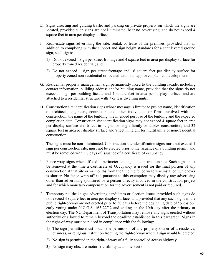- E. Signs directing and guiding traffic and parking on private property on which the signs are located, provided such signs are not illuminated, bear no advertising, and do not exceed 4 square feet in area per display surface.
- F. Real estate signs advertising the sale, rental, or lease of the premises, provided that, in addition to complying with the support and sign height standards for a cantilevered ground sign, such signs:
	- 1) Do not exceed 1 sign per street frontage and 4 square feet in area per display surface for property zoned residential; and
	- 2) Do not exceed 1 sign per street frontage and 16 square feet per display surface for property zoned non-residential or located within an approved planned development.
- G. Residential property management sign permanently fixed to the building facade, including contact information, building address and/or building name, provided that the signs do not exceed 1 sign per building facade and 4 square feet in area per display surface, and are attached to a residential structure with 7 or less dwelling units.
- H. Construction site identification signs whose message is limited to project name, identification of architects, engineers, contractors and other individuals or firms involved with the construction, the name of the building, the intended purpose of the building and the expected completion date. Construction site identification signs may not exceed 4 square feet in area per display surface and 6 feet in height for single-family or duplex construction; and 32 square feet in area per display surface and 8 feet in height for multifamily or non-residential construction.

 The signs must be non-illuminated. Construction site identification signs must not exceed 1 sign per construction site, must not be erected prior to the issuance of a building permit, and must be removed within 7 days of issuance of a certificate of occupancy.

- I. Fence wrap signs when affixed to perimeter fencing at a construction site. Such signs must be removed at the time a Certificate of Occupancy is issued for the final portion of any construction at that site or 24 months from the time the fence wrap was installed, whichever is shorter. No fence wrap affixed pursuant to this exemption may display any advertising other than advertising sponsored by a person directly involved in the construction project and for which monetary compensation for the advertisement is not paid or required.
- J. Temporary political signs advertising candidates or election issues, provided such signs do not exceed 4 square feet in area per display surface, and provided that any such signs in the public right-of-way are not erected prior to 30 days before the beginning date of "one-stop" early voting under N.C.G.S. 163-227.2 and ending on the 10th day after the primary or election day. The NC Department of Transportation may remove any signs erected without authority or allowed to remain beyond the deadline established in this paragraph. Signs in the right-of-way must be placed in compliance with the following:
	- 1) The sign permittee must obtain the permission of any property owner of a residence, business, or religious institution fronting the right-of-way where a sign would be erected.
	- 2) No sign is permitted in the right-of-way of a fully controlled access highway.
	- 3) No sign may obscure motorist visibility at an intersection.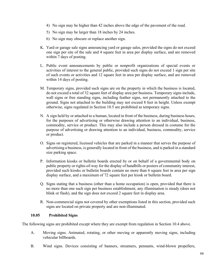- 4) No sign may be higher than 42 inches above the edge of the pavement of the road.
- 5) No sign may be larger than 18 inches by 24 inches.
- 6) No sign may obscure or replace another sign.
- K. Yard or garage sale signs announcing yard or garage sales, provided the signs do not exceed one sign per site of the sale and 4 square feet in area per display surface, and are removed within 7 days of posting.
- L. Public event announcements by public or nonprofit organizations of special events or activities of interest to the general public, provided such signs do not exceed 1 sign per site of such events or activities and 12 square feet in area per display surface, and are removed within 14 days of posting.
- M. Temporary signs, provided such signs are on the property in which the business is located, do not exceed a total of 32 square feet of display area per business. Temporary signs include, wall signs or free standing signs, including feather signs, not permanently attached to the ground. Signs not attached to the building may not exceed 8 feet in height. Unless exempt otherwise, signs regulated in Section 10.5 are prohibited as temporary signs.
- N. A sign held by or attached to a human, located in front of the business, during business hours, for the purposes of advertising or otherwise drawing attention to an individual, business, commodity, service or product. This may also include a person dressed in costume for the purpose of advertising or drawing attention to an individual, business, commodity, service or product.
- O. Signs on registered, licensed vehicles that are parked in a manner that serves the purpose of advertising a business, is generally located in front of the business, and is parked in a standard size parking space.
- P. Information kiosks or bulletin boards erected by or on behalf of a governmental body on public property or rights-of-way for the display of handbills or posters of community interest, provided such kiosks or bulletin boards contain no more than 6 square feet in area per sign display surface, and a maximum of 72 square feet per kiosk or bulletin board.
- Q. Signs stating that a business (other than a home occupation) is open, provided that there is no more than one such sign per business establishment, any illumination is steady (does not blink or flash), and the sign does not exceed 2 square feet in display area.
- R. Non-commercial signs not covered by other exemptions listed in this section, provided such signs are located on private property and are non-illuminated.

#### **10.05 Prohibited Signs**

The following signs are prohibited except where they are exempt from regulation in Section 10.4 above.

- A. Moving signs. Animated, rotating, or other moving or apparently moving signs, including vehicular billboards.
- B. Wind signs. Devices consisting of banners, streamers, pennants, wind-blown propellers,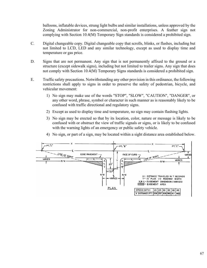balloons, inflatable devices, strung light bulbs and similar installations, unless approved by the Zoning Administrator for non-commercial, non-profit enterprises. A feather sign not complying with Section 10.4(M) Temporary Sign standards is considered a prohibited sign.

- C. Digital changeable copy. Digital changeable copy that scrolls, blinks, or flashes, including but not limited to LCD, LED and any similar technology, except as used to display time and temperature or gas price.
- D. Signs that are not permanent. Any sign that is not permanently affixed to the ground or a structure (except sidewalk signs), including but not limited to trailer signs. Any sign that does not comply with Section 10.4(M) Temporary Signs standards is considered a prohibited sign.
- E. Traffic safety precautions. Notwithstanding any other provision in this ordinance, the following restrictions shall apply to signs in order to preserve the safety of pedestrian, bicycle, and vehicular movement:
	- 1) No sign may make use of the words "STOP", "SLOW", "CAUTION", "DANGER", or any other word, phrase, symbol or character in such manner as is reasonably likely to be confused with traffic directional and regulatory signs.
	- 2) Except as used to display time and temperature, no sign may contain flashing lights.
	- 3) No sign may be erected so that by its location, color, nature or message is likely to be confused with or obstruct the view of traffic signals or signs, or is likely to be confused with the warning lights of an emergency or public safety vehicle.
	- 4) No sign, or part of a sign, may be located within a sight distance area established below.

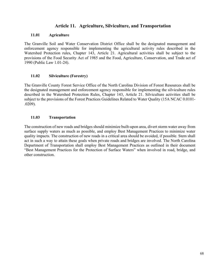# **Article 11. Agriculture, Silviculture, and Transportation**

#### **11.01 Agriculture**

The Granville Soil and Water Conservation District Office shall be the designated management and enforcement agency responsible for implementing the agricultural activity rules described in the Watershed Protection rules, Chapter 143, Article 21. Agricultural activities shall be subject to the provisions of the Food Security Act of 1985 and the Food, Agriculture, Conservation, and Trade act of 1990 (Public Law 1.01-24).

## **11.02 Silviculture (Forestry)**

The Granville County Forest Service Office of the North Carolina Division of Forest Resources shall be the designated management and enforcement agency responsible for implementing the silviculture rules described in the Watershed Protection Rules, Chapter 143, Article 21. Silviculture activities shall be subject to the provisions of the Forest Practices Guidelines Related to Water Quality (15A NCAC 0.0101- .0209).

### **11.03 Transportation**

The construction of new roads and bridges should minimize built-upon area, divert storm water away from surface supply waters as much as possible, and employ Best Management Practices to minimize water quality impacts. The construction of new roads in a critical area should be avoided, if possible. Stem shall act in such a way to attain these goals when private roads and bridges are involved. The North Carolina Department of Transportation shall employ Best Management Practices as outlined in their document "Best Management Practices for the Protection of Surface Waters" when involved in road, bridge, and other construction.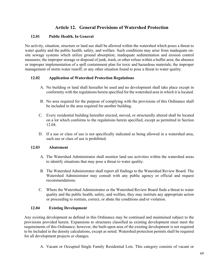# **Article 12. General Provisions of Watershed Protection**

## **12.01 Public Health, In General**

No activity, situation, structure or land use shall be allowed within the watershed which poses a threat to water quality and the public health, safety, and welfare. Such conditions may arise from inadequate onsite sewage systems which utilize ground absorption; inadequate sedimentation and erosion control measures; the improper storage or disposal of junk, trash, or other refuse within a buffer area; the absence or improper implementation of a spill containment plan for toxic and hazardous materials; the improper management of storm water runoff; or any other situation found to pose a threat to water quality.

## **12.02 Application of Watershed Protection Regulations**

- A. No building or land shall hereafter be used and no development shall take place except in conformity with the regulations herein specified for the watershed area in which it is located.
- B. No area required for the purpose of complying with the provisions of this Ordinance shall be included in the area required for another building.
- C. Every residential building hereafter erected, moved, or structurally altered shall be located on a lot which conforms to the regulations herein specified, except as permitted in Section 12.04.
- D. If a use or class of use is not specifically indicated as being allowed in a watershed area, such use or class of use is prohibited.

## **12.03 Abatement**

- A. The Watershed Administrator shall monitor land use activities within the watershed areas to identify situations that may pose a threat to water quality.
- B. The Watershed Administrator shall report all findings to the Watershed Review Board. The Watershed Administrator may consult with any public agency or official and request recommendations.
- C. Where the Watershed Administrator or the Watershed Review Board finds a threat to water quality and the public health, safety, and welfare, they may institute any appropriate action or proceeding to restrain, correct, or abate the conditions and/or violation.

## **12.04 Existing Development**

Any existing development as defined in this Ordinance may be continued and maintained subject to the provisions provided herein. Expansions to structures classified as existing development must meet the requirements of this Ordinance; however, the built-upon area of the existing development is not required to be included in the density calculations, except as noted. Watershed protection permits shall be required for all development projects or changes.

A. Vacant or Occupied Single Family Residential Lots. This category consists of vacant or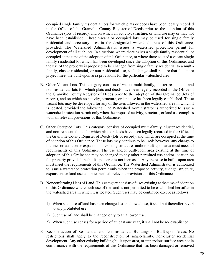occupied single family residential lots for which plats or deeds have been legally recorded in the Office of the Granville County Register of Deeds prior to the adoption of this Ordinance (lots of record), and on which an activity, structure, or land use may or may not have been established. These vacant or occupied lots may be used for single family residential and accessory uses in the designated watershed areas of this Ordinance, provided: The Watershed Administrator issues a watershed protection permit for development of all such lots. In situations where there exists a single family residential lot occupied at the time of the adoption of this Ordinance, or where there existed a vacant single family residential lot which has been developed since the adoption of this Ordinance, and the use of the property is proposed to be changed from single family residential to a multifamily, cluster residential, or non-residential use, such change shall require that the entire project meet the built-upon area provisions for the particular watershed area.

- B. Other Vacant Lots. This category consists of vacant multi-family, cluster residential, and non-residential lots for which plats and deeds have been legally recorded in the Office of the Granville County Register of Deeds prior to the adoption of this Ordinance (lots of record), and on which no activity, structure, or land use has been legally established. These vacant lots may be developed for any of the uses allowed in the watershed area in which it is located, provided the following: The Watershed Administrator is authorized to issue a watershed protection permit only when the proposed activity, structure, or land use complies with all relevant provisions of this Ordinance.
- C. Other Occupied Lots. This category consists of occupied multi-family, cluster residential, and non-residential lots for which plats or deeds have been legally recorded in the Office of the Granville County Register of Deeds (lots of record), and which are occupied at the time of adoption of this Ordinance. These lots may continue to be used; however, any change to lot lines or addition or expansion of existing structures and/or built-upon area must meet all requirements of this Ordinance. The use and/or built-upon area existing at the time of adoption of this Ordinance may be changed to any other permitted use and/or location on the property provided the built-upon area is not increased. Any increase in built- upon area must meet the requirements of this Ordinance. The Watershed Administrator is authorized to issue a watershed protection permit only when the proposed activity, change, structure, expansion, or land use complies with all relevant provisions of this Ordinance.
- D. Nonconforming Uses of Land. This category consists of uses existing at the time of adoption of this Ordinance where such use of the land is not permitted to be established hereafter in the watershed area in which it is located. Such uses may be continued except as follows:
	- 1) When such use of land has been changed to an allowed use, it shall not thereafter revert to any prohibited use.
	- 2) Such use of land shall be changed only to an allowed use.
	- 3) When such use ceases for a period of at least one year, it shall not be re- established.
- E. Reconstruction of Residential and Non-residential Buildings or Built-upon Areas. No restrictions shall apply to the reconstruction of single-family, non-cluster residential development. Any other existing building built-upon area, or impervious surface area not in conformance with the requirements of this Ordinance that has been damaged or removed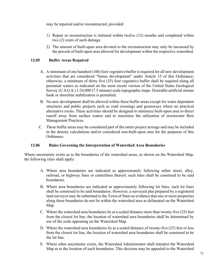may be repaired and/or reconstructed, provided:

- 1) Repair or reconstruction is initiated within twelve (12) months and completed within two (2) years of such damage.
- 2) The amount of built-upon area devoted to the reconstruction may only be increased by the percent of built-upon area allowed for development within the respective watershed.

## **12.05 Buffer Areas Required**

- A. A minimum of one hundred (100) foot vegetative buffer is required for all new development activities that are considered "bonus development" under Article 15 of this Ordinance; otherwise, a minimum of thirty five (35) foot vegetative buffer shall be required along all perennial waters as indicated on the most recent version of the United States Geological Survey (U.S.G.S.) 1:24,000 (7.5 minute) scale topographic maps. Desirable artificial stream bank or shoreline stabilization is permitted.
- B. No new development shall be allowed within these buffer areas except for water dependent structures and public projects such as road crossings and greenways where no practical alternative exists. These activities should be designed to minimize built-upon area to direct runoff away from surface waters and to maximize the utilization of stormwater Best Management Practices.
- C. These buffer areas may be considered part of the entire project acreage and may be included in the density calculations and/or considered non-built-upon area for the purposes of this Ordinance.

## **12.06 Rules Governing the Interpretation of Watershed Area Boundaries**

Where uncertainty exists as to the boundaries of the watershed areas, as shown on the Watershed Map, the following rules shall apply:

- A. Where area boundaries are indicated as approximately following either street, alley, railroad, or highway lines or centerlines thereof, such lines shall be construed to be said boundaries.
- B. Where area boundaries are indicated as approximately following lot lines, such lot lines shall be construed to be said boundaries. However, a surveyed plat prepared by a registered land surveyor may be submitted to the Town of Stem as evidence that one or more properties along these boundaries do not lie within the watershed area as delineated on the Watershed Map.
- C. Where the watershed area boundaries lie at a scaled distance more than twenty-five (25) feet from the closest lot line, the location of watershed area boundaries shall be determined by use of the scale appearing on the Watershed Map.
- D. Where the watershed area boundaries lie at a scaled distance of twenty-five (25) feet or less from the closest lot line, the location of watershed area boundaries shall be construed to be the lot line.
- E. Where other uncertainty exists, the Watershed Administrator shall interpret the Watershed Map as to the location of such boundaries. This decision may be appealed to the Watershed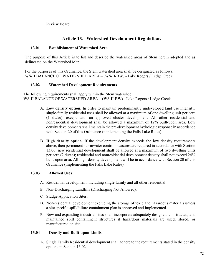Review Board.

# **Article 13. Watershed Development Regulations**

## **13.01 Establishment of Watershed Area**

The purpose of this Article is to list and describe the watershed areas of Stem herein adopted and as delineated on the Watershed Map.

For the purposes of this Ordinance, the Stem watershed area shall be designated as follows: WS-II BALANCE OF WATERSHED AREA – (WS-II-BW) - Lake Rogers / Ledge Creek

## **13.02 Watershed Development Requirements**

The following requirements shall apply within the Stem watershed: WS-II BALANCE OF WATERSHED AREA – (WS-II-BW) - Lake Rogers / Ledge Creek

- A. **Low density option.** In order to maintain predominantly undeveloped land use intensity, single-family residential uses shall be allowed at a maximum of one dwelling unit per acre (1 du/ac), except with an approved cluster development. All other residential and nonresidential development shall be allowed a maximum of 12% built-upon area. Low density developments shall maintain the pre-development hydrologic response in accordance with Section 20 of this Ordinance (implementing the Falls Lake Rules).
- B. **High density option.** If the development density exceeds the low density requirements above, then permanent stormwater control measures are required in accordance with Section 13.06; new residential development shall be allowed at a maximum of two dwelling units per acre (2 du/ac); residential and nonresidential development density shall not exceed 24% built-upon area. All high-density development will be in accordance with Section 20 of this Ordinance (implementing the Falls Lake Rules).

## **13.03 Allowed Uses**

- A. Residential development, including single family and all other residential.
- B. Non-Discharging Landfills (Discharging Not Allowed).
- C. Sludge Application Sites.
- D. Non-residential development excluding the storage of toxic and hazardous materials unless a site specific spill/failure containment plan is approved and implemented.
- E. New and expanding industrial sites shall incorporate adequately designed, constructed, and maintained spill containment structures if hazardous materials are used, stored, or manufactured on site.

## **13.04 Density and Built-upon Limits**

A. Single Family Residential development shall adhere to the requirements stated in the density options in Section 13.02.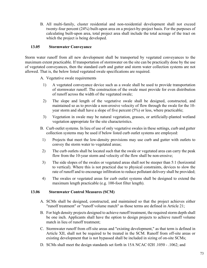B. All multi-family, cluster residential and non-residential development shall not exceed twenty-four percent (24%) built-upon area on a project-by-project basis. For the purposes of calculating built-upon area, total project area shall include the total acreage of the tract on which the project is being developed.

# **13.05 Stormwater Conveyance**

Storm water runoff from all new development shall be transported by vegetated conveyances to the maximum extent practicable. If transportation of stormwater on the site can be practically done by the use of vegetated conveyances, then the standard curb and gutter and storm water collection systems are not allowed. That is, the below listed vegetated swale specifications are required.

A. Vegetative swale requirements

- 1) A vegetated conveyance device such as a swale shall be used to provide transportation of stormwater runoff. The construction of the swale must provide for even distribution of runoff across the width of the vegetated swale;
- 2) The slope and length of the vegetative swale shall be designed, constructed, and maintained so as to provide a non-erosive velocity of flow through the swale for the 10 year storm and shall have a slope of five percent (5%) or less, where practicable;
- 3) Vegetation in swale may be natural vegetation, grasses, or artificially-planted wetland vegetation appropriate for the site characteristics.
- B. Curb outlet systems. In lieu of use of only vegetative swales in these settings, curb and gutter collection systems may be used if below listed curb outlet systems are employed:
- 1) Projects that meet the low-density provisions may use curb and gutter with outlets to convey the storm water to vegetated areas;
- 2) The curb outlets shall be located such that the swale or vegetated area can carry the peak flow from the 10-year storm and velocity of the flow shall be non-erosive;
- 3) The side slopes of the swales or vegetated areas shall not be steeper than 5:1 (horizontal to vertical). Where this is not practical due to physical constraints, devices to slow the rate of runoff and to encourage infiltration to reduce pollutant delivery shall be provided;
- 4) The swales or vegetated areas for curb outlet systems shall be designed to extend the maximum length practicable (e.g. 100-foot filter length).

#### **13.06 Stormwater Control Measures (SCM)**

- A. SCMs shall be designed, constructed, and maintained so that the project achieves either "runoff treatment" or "runoff volume match" as those terms are defined in Article 21;
- B. For high density projects designed to achieve runoff treatment, the required storm depth shall be one inch. Applicants shall have the option to design projects to achieve runoff volume match in lieu of runoff treatment;
- C. Stormwater runoff from off-site areas and "existing development," as that term is defined in Article XII, shall not be required to be treated in the SCM. Runoff from off-site areas or existing development that is not bypassed shall be included in sizing of on-site SCMs;
- D. SCMs shall meet the design standards set forth in 15A NCAC 02H .1050 .1062; and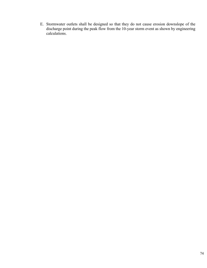E. Stormwater outlets shall be designed so that they do not cause erosion downslope of the discharge point during the peak flow from the 10-year storm event as shown by engineering calculations.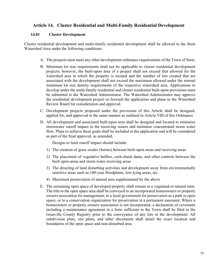# **Article 14. Cluster Residential and Multi-Family Residential Development**

## **14.01 Cluster Development**

Cluster residential development and multi-family residential development shall be allowed in the Stem Watershed Area under the following conditions:

- A. The projects must meet any other development ordinance requirements of the Town of Stem.
- B. Minimum lot size requirements shall not be applicable to cluster residential development projects; however, the built-upon area of a project shall not exceed that allowed for the watershed area in which the property is located and the number of lots created that are associated with the development shall not exceed the maximum allowed under the normal minimum lot size density requirements of the respective watershed area. Applications to develop under the multi-family residential and cluster residential built-upon provisions must be submitted to the Watershed Administrator. The Watershed Administrator may approve the residential development project or forward the application and plans to the Watershed Review Board for consideration and approval.
- C. Development projects proposed under the provisions of this Article shall be designed, applied for, and approved in the same manner as outlined in Article VIII of this Ordinance.
- D. All development and associated built-upon area shall be designed and located to minimize stormwater runoff impact to the receiving waters and minimize concentrated storm water flow. Plans to achieve these goals shall be included in the application and will be considered as part of the final approval, as amended.

Designs to limit runoff impact should include:

- 1) The creation of grass swales (berms) between built-upon areas and receiving areas
- 2) The placement of vegetative buffers, rock-check dams, and other controls between the built upon areas and storm water receiving areas
- 3) The directing of land disturbing activities and development away from environmentally sensitive areas such as 100-year floodplains, low-lying areas, etc.
- 4) Maximum preservation of natural area supplemented by the above
- E. The remaining open space of developed property shall remain in a vegetated or natural state. The title to the open space area shall be conveyed to an incorporated homeowners or property owners association for management; to a local government for preservation as a park or open space; or to a conservation organization for preservation in a permanent easement. Where a homeowners or property owners association is not incorporated, a declaration of covenants including a maintenance agreement in a form sufficient to the Town shall be filed in the Granville County Registry prior to the conveyance of any lots in the development. All subdivision plats, site plans, and other documents shall detail the exact location and boundaries of the open space and non-disturbed area.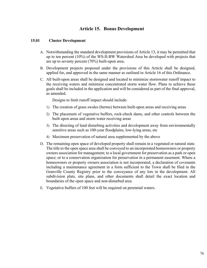# **Article 15. Bonus Development**

#### **15.01 Cluster Development**

- A. Notwithstanding the standard development provisions of Article 13, it may be permitted that up to ten percent (10%) of the WS-II-BW Watershed Area be developed with projects that are up to seventy percent (70%) built-upon area.
- B. Development projects proposed under the provisions of this Article shall be designed, applied for, and approved in the same manner as outlined in Article 16 of this Ordinance.
- C. All built-upon areas shall be designed and located to minimize stormwater runoff impact to the receiving waters and minimize concentrated storm water flow. Plans to achieve these goals shall be included in the application and will be considered as part of the final approval, as amended.

Designs to limit runoff impact should include:

- 1) The creation of grass swales (berms) between built-upon areas and receiving areas
- 2) The placement of vegetative buffers, rock-check dams, and other controls between the built upon areas and storm water receiving areas
- 3) The directing of land disturbing activities and development away from environmentally sensitive areas such as 100-year floodplains, low-lying areas, etc
- 4) Maximum preservation of natural area supplemented by the above
- D. The remaining open space of developed property shall remain in a vegetated or natural state. The title to the open space area shall be conveyed to an incorporated homeowners or property owners association for management; to a local government for preservation as a park or open space; or to a conservation organization for preservation in a permanent easement. Where a homeowners or property owners association is not incorporated, a declaration of covenants including a maintenance agreement in a form sufficient to the Town shall be filed in the Granville County Registry prior to the conveyance of any lots in the development. All subdivision plats, site plans, and other documents shall detail the exact location and boundaries of the open space and non-disturbed area.
- E. Vegetative buffers of 100 feet will be required on perennial waters.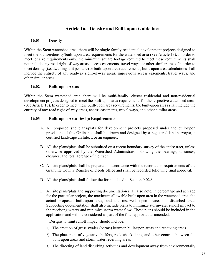# **Article 16. Density and Built-upon Guidelines**

#### **16.01 Density**

Within the Stem watershed area, there will be single family residential development projects designed to meet the lot size/density/built-upon area requirements for the watershed area (See Article 13). In order to meet lot size requirements only, the minimum square footage required to meet these requirements shall not include any road right-of-way areas, access easements, travel ways, or other similar areas. In order to meet density (i.e. dwelling unit per acre) or built-upon area requirements, built-upon area calculations shall include the entirety of any roadway right-of-way areas, impervious access easements, travel ways, and other similar areas.

## **16.02 Built-upon Areas**

Within the Stem watershed area, there will be multi-family, cluster residential and non-residential development projects designed to meet the built-upon area requirements for the respective watershed areas (See Article 13). In order to meet these built-upon area requirements, the built-upon areas shall include the entirety of any road right-of-way areas, access easements, travel ways, and other similar areas.

#### **16.03 Built-upon Area Design Requirements**

- A. All proposed site plans/plats for development projects proposed under the built-upon provisions of this Ordinance shall be drawn and designed by a registered land surveyor, a certified landscape architect, or an engineer.
- B. All site plans/plats shall be submitted on a recent boundary survey of the entire tract, unless otherwise approved by the Watershed Administrator, showing the bearings, distances, closures, and total acreage of the tract.
- C. All site plans/plats shall be prepared in accordance with the recordation requirements of the Granville County Register of Deeds office and shall be recorded following final approval.
- D. All site plans/plats shall follow the format listed in Section 9.02A.
- E. All site plans/plats and supporting documentation shall also note, in percentage and acreage for the particular project, the maximum allowable built-upon area in the watershed area, the actual proposed built-upon area, and the reserved, open space, non-disturbed area. Supporting documentation shall also include plans to minimize stormwater runoff impact to the receiving waters and minimize storm water flow. These plans should be included in the application and will be considered as part of the final approval, as amended.

Designs to limit runoff impact should include:

- 1) The creation of grass swales (berms) between built-upon areas and receiving areas
- 2) The placement of vegetative buffers, rock-check dams, and other controls between the built upon areas and storm water receiving areas
- 3) The directing of land disturbing activities and development away from environmentally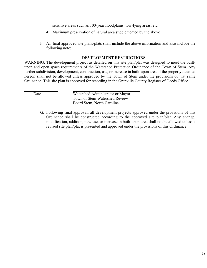sensitive areas such as 100-year floodplains, low-lying areas, etc.

- 4) Maximum preservation of natural area supplemented by the above
- F. All final approved site plans/plats shall include the above information and also include the following note:

#### **DEVELOPMENT RESTRICTIONS**

WARNING: The development project as detailed on this site plan/plat was designed to meet the builtupon and open space requirements of the Watershed Protection Ordinance of the Town of Stem. Any further subdivision, development, construction, use, or increase in built-upon area of the property detailed hereon shall not be allowed unless approved by the Town of Stem under the provisions of that same Ordinance. This site plan is approved for recording in the Granville County Register of Deeds Office.

| Date | Watershed Administrator or Mayor, |
|------|-----------------------------------|
|      | Town of Stem Watershed Review     |
|      | Board Stem, North Carolina        |

G. Following final approval, all development projects approved under the provisions of this Ordinance shall be constructed according to the approved site plan/plat. Any change, modification, addition, new use, or increase in built-upon area shall not be allowed unless a revised site plan/plat is presented and approved under the provisions of this Ordinance.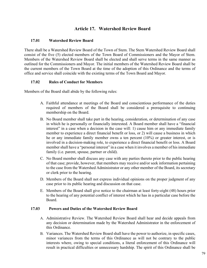# **Article 17. Watershed Review Board**

#### **17.01 Watershed Review Board**

There shall be a Watershed Review Board of the Town of Stem. The Stem Watershed Review Board shall consist of the five (5) elected members of the Town Board of Commissioners and the Mayor of Stem. Members of the Watershed Review Board shall be elected and shall serve terms in the same manner as outlined for the Commissioners and Mayor. The initial members of the Watershed Review Board shall be the current members of the Town Board at the time of the adoption of this Ordinance and the terms of office and service shall coincide with the existing terms of the Town Board and Mayor.

#### **17.02 Rules of Conduct for Members**

Members of the Board shall abide by the following rules:

- A. Faithful attendance at meetings of the Board and conscientious performance of the duties required of members of the Board shall be considered a prerequisite to continuing membership on the Board.
- B. No Board member shall take part in the hearing, consideration, or determination of any case in which he is personally or financially interested. A Board member shall have a "financial interest" in a case when a decision in the case will: 1) cause him or any immediate family member to experience a direct financial benefit or loss, or 2) will cause a business in which he or any immediate family member owns a ten percent (10%) or greater interest, or is involved in a decision-making role, to experience a direct financial benefit or loss. A Board member shall have a "personal interest" in a case when it involves a member of his immediate family (i.e. parent, spouse, partner or child).
- C. No Board member shall discuss any case with any parties thereto prior to the public hearing of that case; provide, however, that members may receive and/or seek information pertaining to the case from the Watershed Administrator or any other member of the Board, its secretary or clerk prior to the hearing.
- D. Members of the Board shall not express individual opinions on the proper judgment of any case prior to its public hearing and discussion on that case.
- E. Members of the Board shall give notice to the chairman at least forty-eight (48) hours prior to the hearing of any potential conflict of interest which he has in a particular case before the Board.

#### **17.03 Powers and Duties of the Watershed Review Board**

- A. Administrative Review. The Watershed Review Board shall hear and decide appeals from any decision or determination made by the Watershed Administrator in the enforcement of this Ordinance.
- B. Variances. The Watershed Review Board shall have the power to authorize, in specific cases, minor variances from the terms of this Ordinance as will not be contrary to the public interests where, owing to special conditions, a literal enforcement of this Ordinance will result in practical difficulties or unnecessary hardship. The spirit of this Ordinance shall be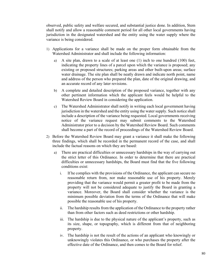observed, public safety and welfare secured, and substantial justice done. In addition, Stem shall notify and allow a reasonable comment period for all other local governments having jurisdiction in the designated watershed and the entity using the water supply where the variance is being considered.

- 1) Applications for a variance shall be made on the proper form obtainable from the Watershed Administrator and shall include the following information:
	- a) A site plan, drawn to a scale of at least one (1) inch to one hundred (100) feet, indicating the property lines of a parcel upon which the variance is proposed; any existing or proposed structures; parking areas and other built-upon areas; surface water drainage. The site plan shall be neatly drawn and indicate north point, name and address of the person who prepared the plan, date of the original drawing, and an accurate record of any later revisions.
	- b) A complete and detailed description of the proposed variance, together with any other pertinent information which the applicant feels would be helpful to the Watershed Review Board in considering the application.
	- c) The Watershed Administrator shall notify in writing each local government having jurisdiction in the watershed and the entity using the water supply. Such notice shall include a description of the variance being requested. Local governments receiving notice of the variance request may submit comments to the Watershed Administrator prior to a decision by the Watershed Review Board. Such comments shall become a part of the record of proceedings of the Watershed Review Board.
- 2) Before the Watershed Review Board may grant a variance it shall make the following three findings, which shall be recorded in the permanent record of the case, and shall include the factual reasons on which they are based:
	- a) There are practical difficulties or unnecessary hardships in the way of carrying out the strict letter of this Ordinance. In order to determine that there are practical difficulties or unnecessary hardships, the Board must find that the five following conditions exist:
		- i. If he complies with the provisions of the Ordinance, the applicant can secure no reasonable return from, nor make reasonable use of his property. Merely providing that the variance would permit a greater profit to be made from the property will not be considered adequate to justify the Board in granting a variance. Moreover, the Board shall consider whether the variance is the minimum possible deviation from the terms of the Ordinance that will make possible the reasonable use of his property.
		- ii. The hardship results from the application of the Ordinance to the property rather than from other factors such as deed restrictions or other hardship.
		- iii. The hardship is due to the physical nature of the applicant's property, such as its size, shape, or topography, which is different from that of neighboring property.
		- iv. The hardship is not the result of the actions of an applicant who knowingly or unknowingly violates this Ordinance, or who purchases the property after the effective date of the Ordinance, and then comes to the Board for relief.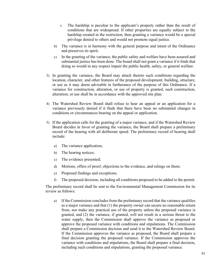- v. The hardship is peculiar to the applicant's property rather than the result of conditions that are widespread. If other properties are equally subject to the hardship created in the restriction, then granting a variance would be a special privilege denied to others and would not promote equal justice.
- b) The variance is in harmony with the general purpose and intent of the Ordinance and preserves its spirit.
- c) In the granting of the variance, the public safety and welfare have been assured and substantial justice has been done. The board shall not grant a variance if it finds that doing so would in any respect impair the public health, safety, or general welfare.
- 3) In granting the variance, the Board may attach thereto such conditions regarding the location, character, and other features of the proposed development, building, structure, or use as it may deem advisable in furtherance of the purpose of this Ordinance. If a variance for construction, alteration, or use of property is granted, such construction, alteration, or use shall be in accordance with the approved site plan.
- 4) The Watershed Review Board shall refuse to hear an appeal or an application for a variance previously denied if it finds that there have been no substantial changes in conditions or circumstances bearing on the appeal or application.
- 5) If the application calls for the granting of a major variance, and if the Watershed Review Board decides in favor of granting the variance, the Board shall prepare a preliminary record of the hearing with all deliberate speed. The preliminary record of hearing shall include:
	- a) The variance application;
	- b) The hearing notices;
	- c) The evidence presented;
	- d) Motions, offers of proof, objections to the evidence, and rulings on them;
	- e) Proposed findings and exceptions;
	- f) The proposed decision, including all conditions proposed to be added to the permit.

The preliminary record shall be sent to the Environmental Management Commission for its review as follows:

a) If the Commission concludes from the preliminary record that the variance qualifies as a major variance and that (1) the property owner can secure no reasonable return from, nor make any practical use of the property unless the proposed variance is granted, and (2) the variance, if granted, will not result in a serious threat to the water supply, then the Commission shall approve the variance as proposed or approve the proposed variance with conditions and stipulations. The Commission shall prepare a Commission decision and send it to the Watershed Review Board. If the Commission approves the variance as proposed, the Board shall prepare a final decision granting the proposed variance. If the Commission approves the variance with conditions and stipulations, the Board shall prepare a final decision, including such conditions and stipulations, granting the proposed variance.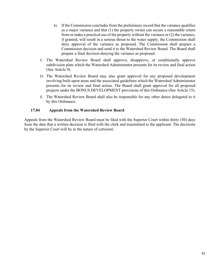- b) If the Commission concludes from the preliminary record that the variance qualifies as a major variance and that (1) the property owner can secure a reasonable return from or make a practical use of the property without the variance or (2) the variance, if granted, will result in a serious threat to the water supply, the Commission shall deny approval of the variance as proposed. The Commission shall prepare a Commission decision and send it to the Watershed Review Board. The Board shall prepare a final decision denying the variance as proposed.
- C. The Watershed Review Board shall approve, disapprove, or conditionally approve subdivision plats which the Watershed Administrator presents for its review and final action (See Article 9).
- D. The Watershed Review Board may also grant approval for any proposed development involving built-upon areas and the associated guidelines which the Watershed Administrator presents for its review and final action. The Board shall grant approval for all proposed projects under the BONUS DEVELOPMENT provisions of this Ordinance (See Article 15).
- E. The Watershed Review Board shall also be responsible for any other duties delegated to it by this Ordinance.

# **17.04 Appeals from the Watershed Review Board**

Appeals from the Watershed Review Board must be filed with the Superior Court within thirty (30) days from the date that a written decision is filed with the clerk and transmitted to the applicant. The decisions by the Superior Court will be in the nature of certiorari.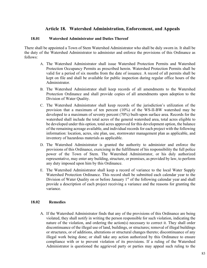# **Article 18. Watershed Administration, Enforcement, and Appeals**

#### **18.01 Watershed Administrator and Duties Thereof**

There shall be appointed a Town of Stem Watershed Administrator who shall be duly sworn in. It shall be the duty of the Watershed Administrator to administer and enforce the provisions of this Ordinance as follows:

- A. The Watershed Administrator shall issue Watershed Protection Permits and Watershed Protection Occupancy Permits as prescribed herein. Watershed Protection Permits shall be valid for a period of six months from the date of issuance. A record of all permits shall be kept on file and shall be available for public inspection during regular office hours of the Administrator.
- B. The Watershed Administrator shall keep records of all amendments to the Watershed Protection Ordinance and shall provide copies of all amendments upon adoption to the Division of Water Quality.
- C. The Watershed Administrator shall keep records of the jurisdiction's utilization of the provision that a maximum of ten percent (10%) of the WS-II-BW watershed may be developed to a maximum of seventy percent (70%) built-upon surface area. Records for the watershed shall include the total acres of the general watershed area, total acres eligible to be developed under this option, total acres approved for this development option, the balance of the remaining acreage available, and individual records for each project with the following information: location, acres, site plan, use, stormwater management plan as applicable, and inventory of hazardous materials as applicable.
- D. The Watershed Administrator is granted the authority to administer and enforce the provisions of this Ordinance, exercising in the fulfillment of his responsibility the full police power of the Town of Stem. The Watershed Administrator, or his duly authorized representative, may enter any building, structure, or premises, as provided by law, to perform any duty imposed upon him by this Ordinance.
- E. The Watershed Administrator shall keep a record of variance to the local Water Supply Watershed Protection Ordinance. This record shall be submitted each calendar year to the Division of Water Quality on or before January  $1<sup>st</sup>$  of the following calendar year and shall provide a description of each project receiving a variance and the reasons for granting the variance.

#### **18.02 Remedies**

A. If the Watershed Administrator finds that any of the provisions of this Ordinance are being violated, they shall notify in writing the person responsible for such violation, indicating the nature of the violation, and ordering the action(s) necessary to correct it. They shall order discontinuance of the illegal use of land, buildings, or structures; removal of illegal buildings or structures, or of additions, alterations or structural changes thereto; discontinuance of any illegal work being done; or shall take any action authorized by this Ordinance to ensure compliance with or to prevent violation of its provisions. If a ruling of the Watershed Administrator is questioned the aggrieved party or parties may appeal such ruling to the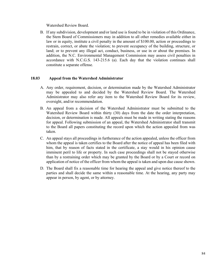Watershed Review Board.

B. If any subdivision, development and/or land use is found to be in violation of this Ordinance, the Stem Board of Commissioners may in addition to all other remedies available either in law or in equity, institute a civil penalty in the amount of \$100.00, action or proceedings to restrain, correct, or abate the violation; to prevent occupancy of the building, structure, or land; or to prevent any illegal act, conduct, business, or use in or about the premises. In addition, the N.C. Environmental Management Commission may assess civil penalties in accordance with N.C.G.S. 143-215.6 (a). Each day that the violation continues shall constitute a separate offense.

## **18.03 Appeal from the Watershed Administrator**

- A. Any order, requirement, decision, or determination made by the Watershed Administrator may be appealed to and decided by the Watershed Review Board. The Watershed Administrator may also refer any item to the Watershed Review Board for its review, oversight, and/or recommendation.
- B. An appeal from a decision of the Watershed Administrator must be submitted to the Watershed Review Board within thirty (30) days from the date the order interpretation, decision, or determination is made. All appeals must be made in writing stating the reasons for appeal. Following submission of an appeal, the Watershed Administrator shall transmit to the Board all papers constituting the record upon which the action appealed from was taken.
- C. An appeal stays all proceedings in furtherance of the action appealed, unless the officer from whom the appeal is taken certifies to the Board after the notice of appeal has been filed with him, that by reason of facts stated in the certificate, a stay would in his opinion cause imminent peril to life or property. In such case proceedings shall not be stayed otherwise than by a restraining order which may be granted by the Board or by a Court or record on application of notice of the officer from whom the appeal is taken and upon due cause shown.
- D. The Board shall fix a reasonable time for hearing the appeal and give notice thereof to the parties and shall decide the same within a reasonable time. At the hearing, any party may appear in person, by agent, or by attorney.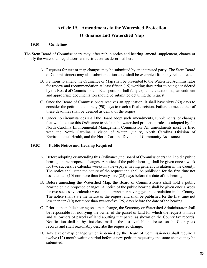# **Article 19. Amendments to the Watershed Protection Ordinance and Watershed Map**

#### **19.01 Guidelines**

The Stem Board of Commissioners may, after public notice and hearing, amend, supplement, change or modify the watershed regulations and restrictions as described herein.

- A. Requests for text or map changes may be submitted by an interested party. The Stem Board of Commissioners may also submit petitions and shall be exempted from any related fees.
- B. Petitions to amend the Ordinance or Map shall be presented to the Watershed Administrator for review and recommendation at least fifteen (15) working days prior to being considered by the Board of Commissioners. Each petition shall fully explain the text or map amendment and appropriate documentation should be submitted detailing the request.
- C. Once the Board of Commissioners receives an application, it shall have sixty (60) days to consider the petition and ninety (90) days to reach a final decision. Failure to meet either of these deadlines shall be deemed as denial of the request.
- D. Under no circumstances shall the Board adopt such amendments, supplements, or changes that would cause this Ordinance to violate the watershed protection rules as adopted by the North Carolina Environmental Management Commission. All amendments must be filed with the North Carolina Division of Water Quality, North Carolina Division of Environmental Health, and the North Carolina Division of Community Assistance.

#### **19.02 Public Notice and Hearing Required**

- A. Before adopting or amending this Ordinance, the Board of Commissioners shall hold a public hearing on the proposed changes. A notice of the public hearing shall be given once a week for two successive calendar weeks in a newspaper having general circulation in the County. The notice shall state the nature of the request and shall be published for the first time not less than ten (10) nor more than twenty-five (25) days before the date of the hearing.
- B. Before amending the Watershed Map, the Board of Commissioners shall hold a public hearing on the proposed changes. A notice of the public hearing shall be given once a week for two successive calendar weeks in a newspaper having general circulation in the County. The notice shall state the nature of the request and shall be published for the first time not less than ten (10) nor more than twenty-five (25) days before the date of the hearing.
- C. Prior to the public hearing on a map change, the Secretary or Watershed Administrator shall be responsible for notifying the owner of the parcel of land for which the request is made and all owners of parcels of land abutting that parcel as shown on the County tax records. Notification shall be by first-class mail to the last available addresses on the County tax records and shall reasonably describe the requested change.
- D. Any text or map change which is denied by the Board of Commissioners shall require a twelve (12) month waiting period before a new petition requesting the same change may be submitted.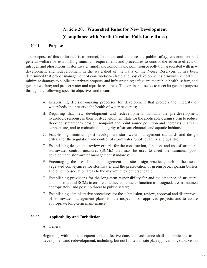# **Article 20. Watershed Rules for New Development (Compliance with North Carolina Falls Lake Rules)**

# **20.01 Purpose**

The purpose of this ordinance is to protect, maintain, and enhance the public safety, environment and general welfare by establishing minimum requirements and procedures to control the adverse effects of nitrogen and phosphorus in stormwater runoff and nonpoint and point source pollution associated with new development and redevelopment in the watershed of the Falls of the Neuse Reservoir. It has been determined that proper management of construction-related and post-development stormwater runoff will minimize damage to public and private property and infrastructure; safeguard the public health, safety, and general welfare; and protect water and aquatic resources. This ordinance seeks to meet its general purpose through the following specific objectives and means:

- A. Establishing decision-making processes for development that protects the integrity of watersheds and preserve the health of water resources;
- B. Requiring that new development and redevelopment maintain the pre-development hydrologic response in their post-development state for the applicable design storm to reduce flooding, streambank erosion. nonpoint and point source pollution and increases in stream temperature, and to maintain the integrity of stream channels and aquatic habitats;
- C. Establishing minimum post-development stormwater management standards and design criteria for the regulation and control of stormwater runoff quantity and quality;
- D. Establishing design and review criteria for the construction, function, and use of structural stormwater control measures (SCMs) that may be used to meet the minimum postdevelopment stormwater management standards;
- E. Encouraging the use of better management and site design practices, such as the use of vegetated conveyances for stormwater and the preservation of greenspace, riparian buffers and other conservation areas to the maximum extent practicable;
- F. Establishing provisions for the long-term responsibility for and maintenance of structural and nonstructural SCMs to ensure that they continue to function as designed, are maintained appropriately, and pose no threat to public safety;
- G. Establishing administrative procedures for the submission, review, approval and disapproval of stormwater management plans, for the inspection of approved projects, and to assure appropriate long-term maintenance.

# **20.02 Applicability and Jurisdiction**

A. General

Beginning with and subsequent to its effective date, this ordinance shall be applicable to all development and redevelopment, including, but not limited to, site plan applications, subdivision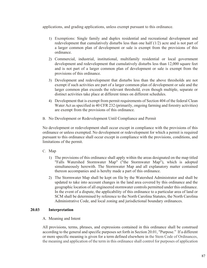applications, and grading applications, unless exempt pursuant to this ordinance.

- 1) Exemptions: Single family and duplex residential and recreational development and redevelopment that cumulatively disturbs less than one half (1/2) acre and is not part of a larger common plan of development or sale is exempt from the provisions of this ordinance.
- 2) Commercial, industrial, institutional, multifamily residential or local government development and redevelopment that cumulatively disturbs less than 12,000 square feet and is not part of a larger common plan of development or sale is exempt from the provisions of this ordinance.
- 3) Development and redevelopment that disturbs less than the above thresholds are not exempt if such activities are part of a larger common plan of development or sale and the larger common plan exceeds the relevant threshold, even though multiple, separate or distinct activities take place at different times on different schedules.
- 4) Development that is exempt from permit requirements of Section 404 of the federal Clean Water Act as specified in 40 CFR 232 (primarily, ongoing farming and forestry activities) are exempt from the provisions of this ordinance.
- B. No Development or Redevelopment Until Compliance and Permit

No development or redevelopment shall occur except in compliance with the provisions of this ordinance or unless exempted. No development or redevelopment for which a permit is required pursuant to this ordinance shall occur except in compliance with the provisions, conditions, and limitations of the permit.

- C. Map
	- 1) The provisions of this ordinance shall apply within the areas designated on the map titled "Falls Watershed Stormwater Map" ("the Stormwater Map"), which is adopted simultaneously herewith. The Stormwater Map and all explanatory matter contained thereon accompanies and is hereby made a part of this ordinance.
	- 2) The Stormwater Map shall be kept on file by the Watershed Administrator and shall be updated to take into account changes in the land area covered by this ordinance and the geographic location of all engineered stormwater controls permitted under this ordinance. In the event of a dispute, the applicability of this ordinance to a particular area of land or SCM shall be determined by reference to the North Carolina Statutes, the North Carolina Administrative Code, and local zoning and jurisdictional boundary ordinances.

# **20.03 Interpretation**

# A. Meaning and Intent

All provisions, terms, phrases, and expressions contained in this ordinance shall be construed according to the general and specific purposes set forth in Section 20.01, "Purpose." If a different or more specific meaning is given for a term defined elsewhere in the Stem Code of Ordinances, the meaning and application of the term in this ordinance shall control for purposes of application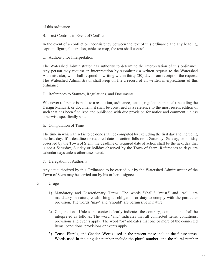of this ordinance.

B. Text Controls in Event of Conflict

In the event of a conflict or inconsistency between the text of this ordinance and any heading, caption, figure, illustration, table, or map, the text shall control.

C. Authority for Interpretation

The Watershed Administrator has authority to determine the interpretation of this ordinance. Any person may request an interpretation by submitting a written request to the Watershed Administrator, who shall respond in writing within thirty (30) days from receipt of the request. The Watershed Administrator shall keep on file a record of all written interpretations of this ordinance.

D. References to Statutes, Regulations, and Documents

Whenever reference is made to a resolution, ordinance, statute, regulation, manual (including the Design Manual), or document, it shall be construed as a reference to the most recent edition of such that has been finalized and published with due provision for notice and comment, unless otherwise specifically stated.

E. Computation of Time

The time in which an act is to be done shall be computed by excluding the first day and including the last day. If a deadline or required date of action falls on a Saturday, Sunday, or holiday observed by the Town of Stem, the deadline or required date of action shall be the next day that is not a Saturday, Sunday or holiday observed by the Town of Stem. References to days are calendar days unless otherwise stated.

F. Delegation of Authority

Any act authorized by this Ordinance to be carried out by the Watershed Administrator of the Town of Stem may be carried out by his or her designee.

- G. Usage
	- 1) Mandatory and Discretionary Terms. The words "shall," "must," and "will" are mandatory in nature, establishing an obligation or duty to comply with the particular provision. The words "may" and "should" are permissive in nature.
	- 2) Conjunctions. Unless the context clearly indicates the contrary, conjunctions shall be interpreted as follows: The word "and" indicates that all connected items, conditions, provisions and events apply. The word "or" indicates that one or more of the connected items, conditions, provisions or events apply.
	- 3) Tense, Plurals, and Gender. Words used in the present tense include the future tense. Words used in the singular number include the plural number, and the plural number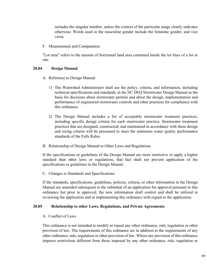includes the singular number, unless the context of the particular usage clearly indicates otherwise. Words used in the masculine gender include the feminine gender, and vice versa.

F. Measurement and Computation

"Lot area" refers to the amount of horizontal land area contained inside the lot lines of a lot or site.

#### **20.04 Design Manual**

- A. Reference to Design Manual
	- 1) The Watershed Administrator shall use the policy, criteria, and information, including technical specifications and standards, in the NC DEQ Stormwater Design Manual as the basis for decisions about stormwater permits and about the design, implementation and performance of engineered stormwater controls and other practices for compliance with this ordinance.
	- 2) The Design Manual includes a list of acceptable stormwater treatment practices, including specific design criteria for each stormwater practice. Stormwater treatment practices that are designed, constructed, and maintained in accordance with these design and sizing criteria will be presumed to meet the minimum water quality performance standards of the Falls Rules.
- B. Relationship of Design Manual to Other Laws and Regulations

If the specifications or guidelines of the Design Manual are more restrictive or apply a higher standard than other laws or regulations, that fact shall not prevent application of the specifications or guidelines in the Design Manual.

C. Changes to Standards and Specifications

If the standards, specifications, guidelines, policies, criteria, or other information in the Design Manual are amended subsequent to the submittal of an application for approval pursuant to this ordinance but prior to approval, the new information shall control and shall be utilized in reviewing the application and in implementing this ordinance with regard to the application.

#### **20.05 Relationship to other Laws, Regulations, and Private Agreements**

A. Conflict of Laws

This ordinance is not intended to modify or repeal any other ordinance, rule, regulation or other provision of law. The requirements of this ordinance are in addition to the requirements of any other ordinance, rule, regulation or other provision of law. Where any provision of this ordinance imposes restrictions different from those imposed by any other ordinance, rule, regulation or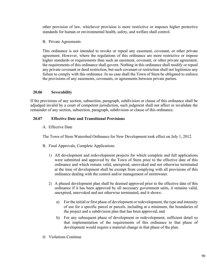other provision of law, whichever provision is more restrictive or imposes higher protective standards for human or environmental health, safety, and welfare shall control.

B. Private Agreements

This ordinance is not intended to revoke or repeal any easement, covenant, or other private agreement. However, where the regulations of this ordinance are more restrictive or impose higher standards or requirements than such an easement, covenant, or other private agreement, the requirements of this ordinance shall govern. Nothing in this ordinance shall modify or repeal any private covenant or deed restriction, but such covenant or restriction shall not legitimize any failure to comply with this ordinance. In no case shall the Town of Stem be obligated to enforce the provisions of any easements, covenants, or agreements between private parties.

## **20.06 Severability**

If the provisions of any section, subsection, paragraph, subdivision or clause of this ordinance shall be adjudged invalid by a court of competent jurisdiction, such judgment shall not affect or invalidate the remainder of any section, subsection, paragraph, subdivision or clause of this ordinance.

## **20.07 Effective Date and Transitional Provisions**

A. Effective Date

The Town of Stem Watershed Ordinance for New Development took effect on July 1, 2012.

- B. Final Approvals, Complete Applications
	- 1) All development and redevelopment projects for which complete and full applications were submitted and approved by the Town of Stem prior to the effective date of this ordinance and which remain valid, unexpired, unrevoked and not otherwise terminated at the time of development shall be exempt from complying with all provisions of this ordinance dealing with the control and/or management of stormwater.
	- 2) A phased development plan shall be deemed approved prior to the effective date of this ordinance if it has been approved by all necessary government units, it remains valid, unexpired, unrevoked and not otherwise terminated, and it shows:
		- a) For the initial or first phase of development or redevelopment, the type and intensity of use for a specific parcel or parcels, including at a minimum, the boundaries of the project and a subdivision plan that has been approved; and
		- b) For any subsequent phase of development or redevelopment, sufficient detail so that implementation of the requirements of this ordinance to that phase of development would require a material change in that phase of the plan.
- D. Violations Continue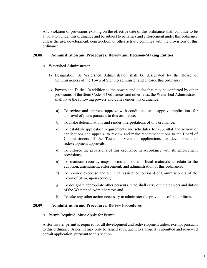Any violation of provisions existing on the effective date of this ordinance shall continue to be a violation under this ordinance and be subject to penalties and enforcement under this ordinance unless the use, development, construction, or other activity complies with the provisions of this ordinance.

#### **20.08 Administration and Procedures: Review and Decision-Making Entities**

- A. Watershed Administrator
	- 1) Designation. A Watershed Administrator shall be designated by the Board of Commissioners of the Town of Stem to administer and enforce this ordinance.
	- 2) Powers and Duties. In addition to the powers and duties that may be conferred by other provisions of the Stem Code of Ordinances and other laws, the Watershed Administrator shall have the following powers and duties under this ordinance:
		- a) To review and approve, approve with conditions, or disapprove applications for approval of plans pursuant to this ordinance;
		- b) To make determinations and render interpretations of this ordinance;
		- c) To establish application requirements and schedules for submittal and review of applications and appeals, to review and make recommendations to the Board of Commissioners of the Town of Stem on applications for development or redevelopment approvals;
		- d) To enforce the provisions of this ordinance in accordance with its enforcement provisions;
		- e) To maintain records, maps, forms and other official materials as relate to the adoption, amendment, enforcement, and administration of this ordinance;
		- f) To provide expertise and technical assistance to Board of Commissioners of the Town of Stem, upon request;
		- g) To designate appropriate other person(s) who shall carry out the powers and duties of the Watershed Administrator; and
		- h) To take any other action necessary to administer the provisions of this ordinance.

#### **20.09 Administration and Procedures: Review Procedures**

A. Permit Required; Must Apply for Permit

A stormwater permit is required for all development and redevelopment unless exempt pursuant to this ordinance. A permit may only be issued subsequent to a properly submitted and reviewed permit application, pursuant to this section.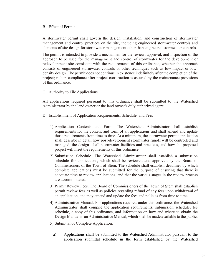## B. Effect of Permit

A stormwater permit shall govern the design, installation, and construction of stormwater management and control practices on the site, including engineered stormwater controls and elements of site design for stormwater management other than engineered stormwater controls.

The permit is intended to provide a mechanism for the review, approval, and inspection of the approach to be used for the management and control of stormwater for the development or redevelopment site consistent with the requirements of this ordinance, whether the approach consists of engineered stormwater controls or other techniques such as low-impact or lowdensity design. The permit does not continue in existence indefinitely after the completion of the project; rather, compliance after project construction is assured by the maintenance provisions of this ordinance.

## C. Authority to File Applications

All applications required pursuant to this ordinance shall be submitted to the Watershed Administrator by the land owner or the land owner's duly authorized agent.

- D. Establishment of Application Requirements, Schedule, and Fees
	- 1) Application Contents and Form. The Watershed Administrator shall establish requirements for the content and form of all applications and shall amend and update those requirements from time to time. At a minimum, the stormwater permit application shall describe in detail how post-development stormwater runoff will be controlled and managed, the design of all stormwater facilities and practices, and how the proposed project will meet the requirements of this ordinance.
	- 2) Submission Schedule. The Watershed Administrator shall establish a submission schedule for applications, which shall be reviewed and approved by the Board of Commissioners of the Town of Stem. The schedule shall establish deadlines by which complete applications must be submitted for the purpose of ensuring that there is adequate time to review applications, and that the various stages in the review process are accommodated.
	- 3) Permit Review Fees. The Board of Commissioners of the Town of Stem shall establish permit review fees as well as policies regarding refund of any fees upon withdrawal of an application, and may amend and update the fees and policies from time to time.
	- 4) Administrative Manual. For applications required under this ordinance, the Watershed Administrator shall compile the application requirements, submission schedule, fee schedule, a copy of this ordinance, and information on how and where to obtain the Design Manual in an Administrative Manual, which shall be made available to the public.
	- 5) Submittal of Complete Application.
		- a) Applications shall be submitted to the Watershed Administrator pursuant to the application submittal schedule in the form established by the Watershed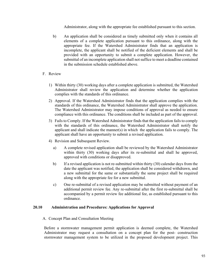Administrator, along with the appropriate fee established pursuant to this section.

- b) An application shall be considered as timely submitted only when it contains all elements of a complete application pursuant to this ordinance, along with the appropriate fee. If the Watershed Administrator finds that an application is incomplete, the applicant shall be notified of the deficient elements and shall be provided with an opportunity to submit a complete application. However, the submittal of an incomplete application shall not suffice to meet a deadline contained in the submission schedule established above.
- F. Review
	- 1) Within thirty (30) working days after a complete application is submitted, the Watershed Administrator shall review the application and determine whether the application complies with the standards of this ordinance.
	- 2) Approval. If the Watershed Administrator finds that the application complies with the standards of this ordinance, the Watershed Administrator shall approve the application. The Watershed Administrator may impose conditions of approval as needed to ensure compliance with this ordinance. The conditions shall be included as part of the approval.
	- 3) Fails to Comply. If the Watershed Administrator finds that the application fails to comply with the standards of this ordinance, the Watershed Administrator shall notify the applicant and shall indicate the manner(s) in which the application fails to comply. The applicant shall have an opportunity to submit a revised application.
	- 4) Revision and Subsequent Review.
		- a) A complete revised application shall be reviewed by the Watershed Administrator within thirty (30) working days after its re-submittal and shall he approved, approved with conditions or disapproved.
		- b) If a revised application is not re-submitted within thirty (30) calendar days from the date the applicant was notified, the application shall be considered withdrawn, and a new submittal for the same or substantially the same project shall be required along with the appropriate fee for a new submittal.
		- c) One re-submittal of a revised application may be submitted without payment of an additional permit review fee. Any re-submittal after the first re-submittal shall be accompanied by a permit review fee additional fee, as established pursuant to this ordinance.

# **20.10 Administration and Procedures: Applications for Approval**

#### A. Concept Plan and Consultation Meeting

Before a stormwater management permit application is deemed complete, the Watershed Administrator may request a consultation on a concept plan for the post- construction stormwater management system to be utilized in the proposed development project. This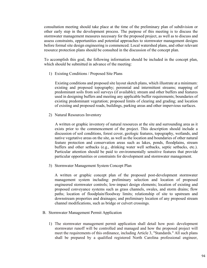consultation meeting should take place at the time of the preliminary plan of subdivision or other early step in the development process. The purpose of this meeting is to discuss the stormwater management measures necessary for the proposed project, as well as to discuss and assess constraints, opportunities and potential approaches to stormwater management designs before formal site design engineering is commenced. Local watershed plans, and other relevant resource protection plans should be consulted in the discussion of the concept plan.

To accomplish this goal, the following information should be included in the concept plan, which should be submitted in advance of the meeting:

1) Existing Conditions / Proposed Site Plans

Existing conditions and proposed site layout sketch plans, which illustrate at a minimum: existing and proposed topography; perennial and intermittent streams; mapping of predominant soils from soil surveys (if available); stream and other buffers and features used in designing buffers and meeting any applicable buffer requirements; boundaries of existing predominant vegetation; proposed limits of clearing and grading; and location of existing and proposed roads, buildings, parking areas and other impervious surfaces.

2) Natural Resources Inventory

A written or graphic inventory of natural resources at the site and surrounding area as it exists prior to the commencement of the project. This description should include a discussion of soil conditions, forest cover, geologic features, topography, wetlands, and native vegetative areas on the site, as well as the location and boundaries of other natural feature protection and conservation areas such as lakes, ponds, floodplains, stream buffers and other setbacks (e.g., drinking water well setbacks, septic setbacks, etc.). Particular attention should be paid to environmentally sensitive features that provide particular opportunities or constraints for development and stormwater management.

3) Stormwater Management System Concept Plan

A written or graphic concept plan of the proposed post-development stormwater management system including: preliminary selection and location of proposed engineered stormwater controls; low-impact design elements; location of existing and proposed conveyance systems such as grass channels, swales, and storm drains; flow paths; location of floodplain/floodway limits; relationship of site to upstream and downstream properties and drainages; and preliminary location of any proposed stream channel modifications, such as bridge or culvert crossings.

- B. Stormwater Management Permit Application
	- 1) The stormwater management permit application shall detail how post- development stormwater runoff will be controlled and managed and how the proposed project will meet the requirements of this ordinance, including Article 3, "Standards." All such plans shall be prepared by a qualified registered North Carolina professional engineer,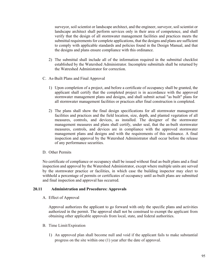surveyor, soil scientist or landscape architect, and the engineer, surveyor, soil scientist or landscape architect shall perform services only in their area of competence, and shall verify that the design of all stormwater management facilities and practices meets the submittal requirements for complete applications, that the designs and plans are sufficient to comply with applicable standards and policies found in the Design Manual, and that the designs and plans ensure compliance with this ordinance.

- 2) The submittal shall include all of the information required in the submittal checklist established by the Watershed Administrator. Incomplete submittals shall be returned by the Watreshed Administrator for correction.
- C. As-Built Plans and Final Approval
	- 1) Upon completion of a project, and before a certificate of occupancy shall be granted, the applicant shall certify that the completed project is in accordance with the approved stormwater management plans and designs, and shall submit actual "as built" plans for all stormwater management facilities or practices after final construction is completed.
	- 2) The plans shall show the final design specifications for all stormwater management facilities and practices and the field location, size, depth, and planted vegetation of all measures, controls, and devices, as installed. The designer of the stormwater management measures and plans shall certify, under seal, that the as-built stormwater measures, controls, and devices are in compliance with the approved stormwater management plans and designs and with the requirements of this ordinance. A final inspection and approval by the Watershed Administrator shall occur before the release of any performance securities.

#### D. Other Permits

No certificate of compliance or occupancy shall be issued without final as-built plans and a final inspection and approval by the Watershed Administrator, except where multiple units are served by the stormwater practice or facilities, in which case the building inspector may elect to withhold a percentage of permits or certificates of occupancy until as-built plans are submitted and final inspection and approval has occurred.

# **20.11 Administration and Procedures: Approvals**

A. Effect of Approval

Approval authorizes the applicant to go forward with only the specific plans and activities authorized in the permit. The approval shall not be construed to exempt the applicant from obtaining other applicable approvals from local, state, and federal authorities.

- B. Time Limit/Expiration
	- 1) An approved plan shall become null and void if the applicant fails to make substantial progress on the site within one (1) year after the date of approval.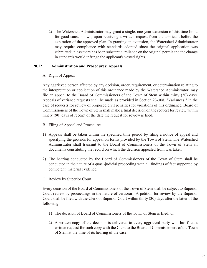2) The Watershed Administrator may grant a single, one-year extension of this time limit, for good cause shown, upon receiving a written request from the applicant before the expiration of the approved plan. In granting an extension, the Watershed Administrator may require compliance with standards adopted since the original application was submitted unless there has been substantial reliance on the original permit and the change in standards would infringe the applicant's vested rights.

## **20.12 Administration and Procedures: Appeals**

## A. Right of Appeal

Any aggrieved person affected by any decision, order, requirement, or determination relating to the interpretation or application of this ordinance made by the Watershed Administrator, may file an appeal to the Board of Commissioners of the Town of Stem within thirty (30) days. Appeals of variance requests shall be made as provided in Section 23-308, "Variances." In the case of requests for review of proposed civil penalties for violations of this ordinance, Board of Commissioners of the Town of Stem shall make a final decision on the request for review within ninety (90) days of receipt of the date the request for review is filed.

- B. Filing of Appeal and Procedures
- 1) Appeals shall be taken within the specified time period by filing a notice of appeal and specifying the grounds for appeal on forms provided by the Town of Stem. The Watershed Administrator shall transmit to the Board of Commissioners of the Town of Stem all documents constituting the record on which the decision appealed from was taken.
- 2) The hearing conducted by the Board of Commissioners of the Town of Stem shall be conducted in the nature of a quasi-judicial proceeding with all findings of fact supported by competent, material evidence.
- C. Review by Superior Court

Every decision of the Board of Commissioners of the Town of Stem shall be subject to Superior Court review by proceedings in the nature of certiorari. A petition for review by the Superior Court shall be filed with the Clerk of Superior Court within thirty (30) days after the latter of the following:

- 1) The decision of Board of Commissioners of the Town of Stem is filed; or
- 2) A written copy of the decision is delivered to every aggrieved party who has filed a written request for such copy with the Clerk to the Board of Commissioners of the Town of Stem at the time of its hearing of the case.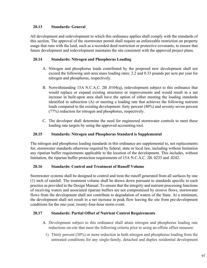# **20.13 Standards: General**

All development and redevelopment to which this ordinance applies shall comply with the standards of this section. The approval of the stormwater permit shall require an enforceable restriction on property usage that runs with the land, such as a recorded deed restriction or protective covenants, to ensure that future development and redevelopment maintains the site consistent with the approved project plans.

# **20.14 Standards: Nitrogen and Phosphorus Loading**

- A. Nitrogen and phosphorus loads contributed by the proposed new development shall not exceed the following unit-area mass loading rates: 2.2 and 0.33 pounds per acre per year for nitrogen and phosphorus, respectively.
- B. Notwithstanding 15A N.C.A.C. 2B .0104(q), redevelopment subject to this ordinance that would replace or expand existing structures or improvements and would result in a net increase in built-upon area shall have the option of either meeting the loading standards identified in subsection (A) or meeting a loading rate that achieves the following nutrient loads compared to the existing development: forty percent (40%) and seventy-seven percent (77%) reduction for nitrogen and phosphorus, respectively.
- C. The developer shall determine the need for engineered stormwater controls to meet these loading rate targets by using the approved accounting tool.

# **20.15 Standards: Nitrogen and Phosphorus Standard is Supplemental**

The nitrogen and phosphorus loading standards in this ordinance are supplemental to, not replacements for, stormwater standards otherwise required by federal, state or local law, including without limitation any riparian buffer requirements applicable to the location of the development. This includes, without limitation, the riparian buffer protection requirements of 15A N.C.A.C. 2B. 0233 and .0242.

# **20.16 Standards: Control and Treatment of Runoff Volume**

Stormwater systems shall be designed to control and treat the runoff generated from all surfaces by one (1) inch of rainfall. The treatment volume shall be drawn down pursuant to standards specific to each practice as provided in the Design Manual. To ensure that the integrity and nutrient processing functions of receiving waters and associated riparian buffers are not compromised by erosive flows, stormwater flows from the development shall not contribute to degradation of waters of the State. At a minimum, the development shall not result in a net increase in peak flow leaving the site from pre-development conditions for the one-year, twenty-four-hour storm event.

# **20.17 Standards: Partial Offset of Nutrient Control Requirements**

- A. Development subject to this ordinance shall attain nitrogen and phosphorus loading rate reductions on-site that meet the following criteria prior to using an offsite offset measure:
	- 1) Thirty percent (30%) or more reduction in both nitrogen and phosphorus loading from the untreated conditions for any single-family, detached and duplex residential development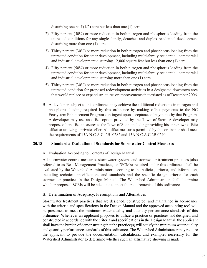disturbing one half  $(1/2)$  acre but less than one  $(1)$  acre.

- 2) Fifty percent (50%) or more reduction in both nitrogen and phosphorus loading from the untreated conditions for any single-family, detached and duplex residential development disturbing more than one (1) acre.
- 3) Thirty percent (30%) or more reduction in both nitrogen and phosphorus loading from the untreated condition for other development, including multi-family residential, commercial and industrial development disturbing 12,000 square feet but less than one (1) acre.
- 4) Fifty percent (50%) or more reduction in both nitrogen and phosphorus loading from the untreated condition for other development, including multi-family residential, commercial and industrial development disturbing more than one (1) acre.
- 5) Thirty percent (30%) or more reduction in both nitrogen and phosphorus loading from the untreated condition for proposed redevelopment activities in a designated downtown area that would replace or expand structures or improvements that existed as of December 2006.
- B. A developer subject to this ordinance may achieve the additional reductions in nitrogen and phosphorus loading required by this ordinance by making offset payments to the NC Ecosystem Enhancement Program contingent upon acceptance of payments by that Program. A developer may use an offset option provided by the Town of Stem. A developer may propose other offset measures to the Town of Stem, including providing his or her own offsite offset or utilizing a private seller. All offset measures permitted by this ordinance shall meet the requirements of 15A N.C.A.C. 2B .0282 and 15A N.C.A.C.2B.0240.

# **20.18 Standards: Evaluation of Standards for Stormwater Control Measures**

# A. Evaluation According to Contents of Design Manual

All stormwater control measures. stormwater systems and stormwater treatment practices (also referred to as Best Management Practices, or "SCM' s) required under this ordinance shall be evaluated by the Watershed Administrator according to the policies, criteria, and information, including technical specifications and standards and the specific design criteria for each stormwater practice, in the Design Manual. The Watershed Administrator shall determine whether proposed SCMs will be adequate to meet the requirements of this ordinance.

# B. Determination of Adequacy; Presumptions and Alternatives

Stormwater treatment practices that are designed, constructed, and maintained in accordance with the criteria and specifications in the Design Manual and the approved accounting tool will be presumed to meet the minimum water quality and quantity performance standards of this ordinance. Whenever an applicant proposes to utilize a practice or practices not designed and constructed in accordance with the criteria and specifications in the Design Manual, the applicant shall have the burden of demonstrating that the practice(s) will satisfy the minimum water quality and quantity performance standards of this ordinance. The Watershed Administrator may require the applicant to provide the documentation, calculations, and examples necessary for the Watershed Administrator to determine whether such an affirmative showing is made.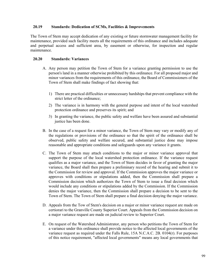# **20.19 Standards: Dedication of SCMs, Facilities & Improvements**

The Town of Stem may accept dedication of any existing or future stormwater management facility for maintenance, provided such facility meets all the requirements of this ordinance and includes adequate and perpetual access and sufficient area, by easement or otherwise, for inspection and regular maintenance.

## **20.20 Standards: Variances**

- A. Any person may petition the Town of Stem for a variance granting permission to use the person's land in a manner otherwise prohibited by this ordinance. For all proposed major and minor variances from the requirements of this ordinance, the Board of Commissioners of the Town of Stem shall make findings of fact showing that:
	- 1) There are practical difficulties or unnecessary hardships that prevent compliance with the strict letter of the ordinance;
	- 2) The variance is in harmony with the general purpose and intent of the local watershed protection ordinance and preserves its spirit; and
	- 3) In granting the variance, the public safety and welfare have been assured and substantial justice has been done.
- B. In the case of a request for a minor variance, the Town of Stem may vary or modify any of the regulations or provisions of the ordinance so that the spirit of the ordinance shall be observed, public safety and welfare secured, and substantial justice done may impose reasonable and appropriate conditions and safeguards upon any variance it grants.
- C. The Town of Stem may attach conditions to the major or minor variance approval that support the purpose of the local watershed protection ordinance. If the variance request qualifies as a major variance, and the Town of Stem decides in favor of granting the major variance, the Board shall then prepare a preliminary record of the hearing and submit it to the Commission for review and approval. If the Commission approves the major variance or approves with conditions or stipulations added, then the Commission shall prepare a Commission decision which authorizes the Town of Stem to issue a final decision which would include any conditions or stipulations added by the Commission. If the Commission denies the major variance, then the Commission shall prepare a decision to be sent to the Town of Stem. The Town of Stem shall prepare a final decision denying the major variance.
- D. Appeals from the Tow of Stem's decision on a major or minor variance request are made on certiorari to the Granville County Superior Court. Appeals from the Commission decision on a major variance request are made on judicial review to Superior Court.
- E. On request of the Watershed Administrator, any person who petitions the Town of Stem for a variance under this ordinance shall provide notice to the affected local governments of the variance request as required under the Falls Rule, 15A N.C.A.C. 2B. 0104(r). For purposes of this notice requirement, "affected local governments" means any local governments that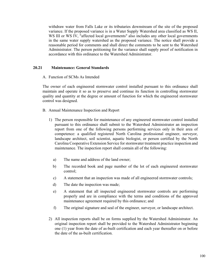withdraw water from Falls Lake or its tributaries downstream of the site of the proposed variance. If the proposed variance is in a Water Supply Watershed area classified as WS II, WS III or WS IV, "affected local governments" also includes any other local governments in the same water supply watershed as the proposed variance. The notice shall provide a reasonable period for comments and shall direct the comments to be sent to the Watershed Administrator. The person petitioning for the variance shall supply proof of notification in accordance with this ordinance to the Watershed Administrator.

#### **20.21 Maintenance: General Standards**

A. Function of SCMs As Intended

The owner of each engineered stormwater control installed pursuant to this ordinance shall maintain and operate it so as to preserve and continue its function in controlling stormwater quality and quantity at the degree or amount of function for which the engineered stormwater control was designed.

- B. Annual Maintenance Inspection and Report
	- 1) The person responsible for maintenance of any engineered stormwater control installed pursuant to this ordinance shall submit to the Watershed Administrator an inspection report from one of the following persons performing services only in their area of competence: a qualified registered North Carolina professional engineer, surveyor, landscape architect, soil scientist, aquatic biologist, or person certified by the North Carolina Cooperative Extension Service for stormwater treatment practice inspection and maintenance. The inspection report shall contain all of the following:
		- a) The name and address of the land owner;
		- b) The recorded book and page number of the lot of each engineered stormwater control;
		- c) A statement that an inspection was made of all engineered stormwater controls;
		- d) The date the inspection was made;
		- e) A statement that all inspected engineered stormwater controls are performing properly and are in compliance with the terms and conditions of the approved maintenance agreement required by this ordinance; and
		- f) The original signature and seal of the engineer, surveyor, or landscape architect.
	- 2) All inspection reports shall be on forms supplied by the Watershed Administrator. An original inspection report shall be provided to the Watershed Administrator beginning one (1) year from the date of as-built certification and each year thereafter on or before the date of the as-built certification.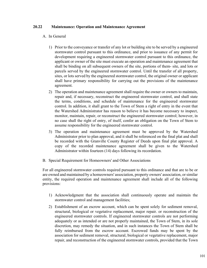# **20.22 Maintenance: Operation and Maintenance Agreement**

## A. In General

- 1) Prior to the conveyance or transfer of any lot or building site to be served by a engineered stormwater control pursuant to this ordinance, and prior to issuance of any permit for development requiring a engineered stormwater control pursuant to this ordinance, the applicant or owner of the site must execute an operation and maintenance agreement that shall be binding on all subsequent owners of the site, portions of them- site, and lots or parcels served by the engineered stormwater control. Until the transfer of all property, sites, or lots served by the engineered stormwater control, the original owner or applicant shall have primary responsibility for carrying out the provisions of the maintenance agreement.
- 2) The operation and maintenance agreement shall require the owner or owners to maintain, repair and, if necessary, reconstruct the engineered stormwater control, and shall state the terms, conditions, and schedule of maintenance for the engineered stormwater control. In addition, it shall grant to the Town of Stem a right of entry in the event that the Watershed Administrator has reason to believe it has become necessary to inspect, monitor, maintain, repair, or reconstruct the engineered stormwater control; however, in no case shall the right of entry, of itself, confer an obligation on the Town of Stem to assume responsibility for the engineered stormwater control.
- 3) The operation and maintenance agreement must be approved by the Watershed Administrator prior to plan approval, and it shall be referenced on the final plat and shall be recorded with the Granville County Register of Deeds upon final plat approval. A copy of the recorded maintenance agreement shall be given to the Watershed Administrator within fourteen (14) days following its recordation.
- B. Special Requirement for Homeowners' and Other Associations

For all engineered stormwater controls required pursuant to this ordinance and that are to be or are owned and maintained by a homeowners' association, property owners' association, or similar entity, the required operation and maintenance agreement shall include all of the following provisions:

- 1) Acknowledgment that the association shall continuously operate and maintain the stormwater control and management facilities;
- 2) Establishment of an escrow account, which can be spent solely for sediment removal, structural, biological or vegetative replacement, major repair. or reconstruction of the engineered stormwater controls. If engineered stormwater controls are not performing adequately or as intended or are not properly maintained, the Town of Stem, in its sole discretion, may remedy the situation, and in such instances the Town of Stem shall be fully reimbursed from the escrow account. Escrowed funds may be spent by the association for sediment removal, structural, biological or vegetative replacement, major repair, and reconstruction of the engineered stormwater controls, provided that the Town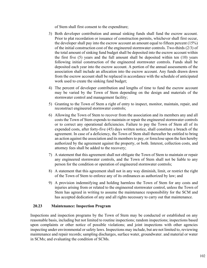of Stem shall first consent to the expenditure;

- 3) Both developer contribution and annual sinking funds shall fund the escrow account. Prior to plat recordation or issuance of construction permits, whichever shall first occur, the developer shall pay into the escrow account an amount equal to fifteen percent (15%) of the initial construction cost of the engineered stormwater controls. Two-thirds (2/3) of the total amount of sinking fund budget shall be deposited into the escrow account within the first five (5) years and the full amount shall be deposited within ten (10) years following initial construction of the engineered stormwater controls. Funds shall be deposited each year into the escrow account. A portion of the annual assessments of the association shall include an allocation into the escrow account. Any funds drawn down from the escrow account shall be replaced in accordance with the schedule of anticipated work used to create the sinking fund budget;
- 4) The percent of developer contribution and lengths of time to fund the escrow account may be varied by the Town of Stem depending on the design and materials of the stormwater control and management facility;
- 5) Granting to the Town of Stem a right of entry to inspect, monitor, maintain, repair, and reconstruct engineered stormwater controls;
- 6) Allowing the Town of Stem to recover from the association and its members any and all costs the Town of Stem expends to maintain or repair the engineered stormwater controls or to correct any operational deficiencies. Failure to pay the Town of Stem all of its expended costs, after forty-five (45) days written notice, shall constitute a breach of the agreement. In case of a deficiency, the Town of Stem shall thereafter be entitled to bring an action against the association and its members to pay, or foreclose upon the lien hereby authorized by the agreement against the property, or both. Interest, collection costs, and attorney fees shall be added to the recovery;
- 7) A statement that this agreement shall not obligate the Town of Stem to maintain or repair any engineered stormwater controls, and the Town of Stem shall not be liable to any person for the condition or operation of engineered stormwater controls;
- 8) A statement that this agreement shall not in any way diminish, limit, or restrict the right of the Town of Stem to enforce any of its ordinances as authorized by law; and
- 9) A provision indemnifying and holding harmless the Town of Stem for any costs and injuries arising from or related to the engineered stormwater control, unless the Town of Stem has agreed in writing to assume the maintenance responsibility for the SCM and has accepted dedication of any and all rights necessary to carry out that maintenance.

#### **20.23 Maintenance: Inspection Program**

Inspections and inspection programs by the Town of Stem may be conducted or established on any reasonable basis, including but not limited to routine inspections; random inspections; inspections based upon complaints or other notice of possible violations; and joint inspections with other agencies inspecting under environmental or safety laws. Inspections may include, but are not limited to, reviewing maintenance and repair records; sampling discharges, surface water, groundwater. and material or water in SCMs; and evaluating the condition of SCMs.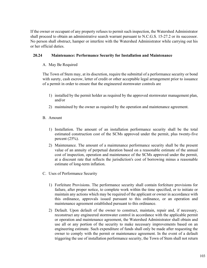If the owner or occupant of any property refuses to permit such inspection, the Watershed Administrator shall proceed to obtain an administrative search warrant pursuant to N.C.G.S. 15-27.2 or its successor. No person shall obstruct, hamper or interfere with the Watershed Administrator while carrying out his or her official duties.

# **20.24 Maintenance: Performance Security for Installation and Maintenance**

# A. May Be Required

The Town of Stem may, at its discretion, require the submittal of a performance security or bond with surety, cash escrow, letter of credit or other acceptable legal arrangement prior to issuance of a permit in order to ensure that the engineered stormwater controls are

- 1) installed by the permit holder as required by the approved stormwater management plan, and/or
- 2) maintained by the owner as required by the operation and maintenance agreement.
- B. Amount
	- 1) Installation. The amount of an installation performance security shall be the total estimated construction cost of the SCMs approved under the permit, plus twenty-five percent  $(25%)$ .
	- 2) Maintenance. The amount of a maintenance performance security shall be the present value of an annuity of perpetual duration based on a reasonable estimate of the annual cost of inspection, operation and maintenance of the SCMs approved under the permit, at a discount rate that reflects the jurisdiction's cost of borrowing minus a reasonable estimate of long-term inflation.
- C. Uses of Performance Security
	- 1) Forfeiture Provisions. The performance security shall contain forfeiture provisions for failure, after proper notice, to complete work within the time specified, or to initiate or maintain any actions which may be required of the applicant or owner in accordance with this ordinance, approvals issued pursuant to this ordinance, or an operation and maintenance agreement established pursuant to this ordinance.
	- 2) Default. Upon default of the owner to construct, maintain, repair and, if necessary, reconstruct any engineered stormwater control in accordance with the applicable permit or operation and maintenance agreement, the Watershed Administrator shall obtain and use all or any portion of the security to make necessary improvements based on an engineering estimate. Such expenditure of funds shall only be made after requesting the owner to comply with the permit or maintenance agreement. In the event of a default triggering the use of installation performance security, the Town of Stem shall not return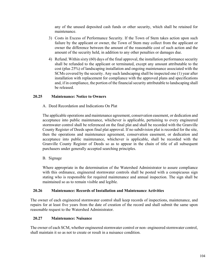any of the unused deposited cash funds or other security, which shall be retained for maintenance.

- 3) Costs in Excess of Performance Security. If the Town of Stem takes action upon such failure by the applicant or owner, the Town of Stem may collect from the applicant or owner the difference between the amount of the reasonable cost of such action and the amount of the security held, in addition to any other penalties or damages due.
- 4) Refund. Within sixty (60) days of the final approval, the installation performance security shall be refunded to the applicant or terminated, except any amount attributable to the cost (plus 25%) of landscaping installation and ongoing maintenance associated with the SCMs covered by the security. Any such landscaping shall be inspected one (1) year after installation with replacement for compliance with the approved plans and specifications and, if in compliance, the portion of the financial security attributable to landscaping shall be released.

## **20.25 Maintenance: Notice to Owners**

A. Deed Recordation and Indications On Plat

The applicable operations and maintenance agreement, conservation easement, or dedication and acceptance into public maintenance, whichever is applicable, pertaining to every engineered stormwater control shall be referenced on the final plat and shall be recorded with the Granville County Register of Deeds upon final plat approval. If no subdivision plat is recorded for the site, then the operations and maintenance agreement, conservation easement, or dedication and acceptance into public maintenance, whichever is applicable, shall be recorded with the Granville County Register of Deeds so as to appear in the chain of title of all subsequent purchasers under generally accepted searching principles.

B. Signage

Where appropriate in the determination of the Watershed Administrator to assure compliance with this ordinance, engineered stormwater controls shall be posted with a conspicuous sign stating who is responsible for required maintenance and annual inspection. The sign shall be maintained so as to remain visible and legible.

#### **20.26 Maintenance: Records of Installation and Maintenance Activities**

The owner of each engineered stormwater control shall keep records of inspections, maintenance, and repairs for at least five years from the date of creation of the record and shall submit the same upon reasonable request to the Watershed Administrator.

#### **20.27 Maintenance: Nuisance**

The owner of each SCM, whether engineered stormwater control or non- engineered stormwater control, shall maintain it so as not to create or result in a nuisance condition.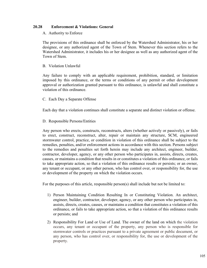# **20.28 Enforcement & Violations: General**

#### A. Authority to Enforce

The provisions of this ordinance shall be enforced by the Watershed Administrator, his or her designee, or any authorized agent of the Town of Stem. Whenever this section refers to the Watershed Administrator, it includes his or her designee as well as any authorized agent of the Town of Stem.

#### B. Violation Unlawful

Any failure to comply with an applicable requirement, prohibition, standard, or limitation imposed by this ordinance, or the terms or conditions of any permit or other development approval or authorization granted pursuant to this ordinance, is unlawful and shall constitute a violation of this ordinance.

#### C. Each Day a Separate Offense

Each day that a violation continues shall constitute a separate and distinct violation or offense.

#### D. Responsible Persons/Entities

Any person who erects, constructs, reconstructs, alters (whether actively or passively), or fails to erect, construct, reconstruct, alter, repair or maintain any structure, SCM, engineered stormwater control, practice, or condition in violation of this ordinance shall be subject to the remedies, penalties, and/or enforcement actions in accordance with this section. Persons subject to the remedies and penalties set forth herein may include any architect, engineer, builder, contractor, developer, agency, or any other person who participates in, assists, directs, creates, causes, or maintains a condition that results in or constitutes a violation of this ordinance, or fails to take appropriate action, so that a violation of this ordinance results or persists; or an owner, any tenant or occupant, or any other person, who has control over, or responsibility for, the use or development of the property on which the violation occurs.

For the purposes of this article, responsible person(s) shall include but not be limited to:

- 1) Person Maintaining Condition Resulting In or Constituting Violation. An architect, engineer, builder, contractor, developer, agency, or any other person who participates in, assists, directs, creates, causes, or maintains a condition that constitutes a violation of this ordinance, or fails to take appropriate action, so that a violation of this ordinance results or persists; and
- 2) Responsibility For Land or Use of Land. The owner of the land on which the violation occurs, any tenant or occupant of the property, any person who is responsible for stormwater controls or practices pursuant to a private agreement or public document, or any person, who has control over, or responsibility for, the use or development of the property.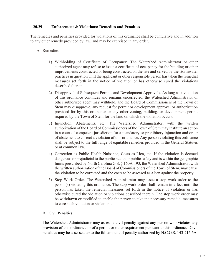# **20.29 Enforcement & Violations: Remedies and Penalties**

The remedies and penalties provided for violations of this ordinance shall be cumulative and in addition to any other remedy provided by law, and may be exercised in any order.

# A. Remedies

- 1) Withholding of Certificate of Occupancy. The Watershed Administrator or other authorized agent may refuse to issue a certificate of occupancy for the building or other improvements constructed or being constructed on the site and served by the stormwater practices in question until the applicant or other responsible person has taken the remedial measures set forth in the notice of violation or has otherwise cured the violations described therein.
- 2) Disapproval of Subsequent Permits and Development Approvals. As long as a violation of this ordinance continues and remains uncorrected, the Watershed Administrator or other authorized agent may withhold, and the Board of Commissioners of the Town of Stem may disapprove, any request for permit or development approval or authorization provided for by this ordinance or any other zoning, building. or development permit required by the Town of Stem for the land on which the violation occurs.
- 3) Injunction, Abatements, etc. The Watershed Administrator, with the written authorization of the Board of Commissioners of the Town of Stem may institute an action in a court of competent jurisdiction for a mandatory or prohibitory injunction and order of abatement to correct a violation of this ordinance. Any person violating this ordinance shall be subject to the full range of equitable remedies provided in the General Statutes or at common law.
- 4) Correction as Public Health Nuisance, Costs as Lien, etc. If the violation is deemed dangerous or prejudicial to the public health or public safety and is within the geographic limits prescribed by North Carolina G.S. § 160A-193, the Watershed Administrator, with the written authorization of the Board of Commissioners of the Town of Stem, may cause the violation to be corrected and the costs to be assessed as a lien against the property.
- 5) Stop Work Order. The Watershed Administrator may issue a stop work order to the person(s) violating this ordinance. The stop work order shall remain in effect until the person has taken the remedial measures set forth in the notice of violation or has otherwise cured the violation or violations described therein. The stop work order may be withdrawn or modified to enable the person to take the necessary remedial measures to cure such violation or violations.

# B. Civil Penalties

The Watershed Administrator may assess a civil penalty against any person who violates any provision of this ordinance or of a permit or other requirement pursuant to this ordinance. Civil penalties may be assessed up to the full amount of penalty authorized by N.C.G.S. 143-215.6A.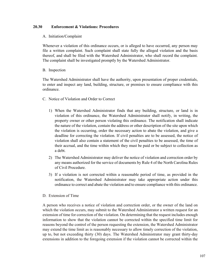# **20.30 Enforcement & Violations: Procedures**

## A. Initiation/Complaint

Whenever a violation of this ordinance occurs, or is alleged to have occurred, any person may file a written complaint. Such complaint shall state fully the alleged violation and the basis thereof, and shall be filed with the Watershed Administrator, who shall record the complaint. The complaint shall be investigated promptly by the Watershed Administrator.

## B. Inspection

The Watershed Administrator shall have the authority, upon presentation of proper credentials, to enter and inspect any land, building, structure, or premises to ensure compliance with this ordinance.

- C. Notice of Violation and Order to Correct
	- 1) When the Watershed Administrator finds that any building, structure, or land is in violation of this ordinance, the Watershed Administrator shall notify, in writing, the property owner or other person violating this ordinance. The notification shall indicate the nature of the violation, contain the address or other description of the site upon which the violation is occurring, order the necessary action to abate the violation, and give a deadline for correcting the violation. If civil penalties are to be assessed, the notice of violation shall also contain a statement of the civil penalties to be assessed, the time of their accrual, and the time within which they must be paid or be subject to collection as a debt.
	- 2) The Watershed Administrator may deliver the notice of violation and correction order by any means authorized for the service of documents by Rule 4 of the North Carolina Rules of Civil Procedure.
	- 3) If a violation is not corrected within a reasonable period of time, as provided in the notification, the Watershed Administrator may take appropriate action under this ordinance to correct and abate the violation and to ensure compliance with this ordinance.
- D. Extension of Time

A person who receives a notice of violation and correction order, or the owner of the land on which the violation occurs, may submit to the Watershed Administrator a written request for an extension of time for correction of the violation. On determining that the request includes enough information to show that the violation cannot be corrected within the specified time limit for reasons beyond the control of the person requesting the extension, the Watershed Administrator may extend the time limit as is reasonably necessary to allow timely correction of the violation, up to, but not exceeding thirty (30) days. The Watershed Administrator may grant thirty-day extensions in addition to the foregoing extension if the violation cannot be corrected within the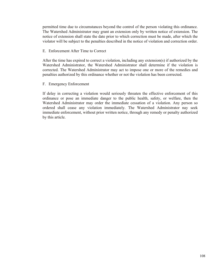permitted time due to circumstances beyond the control of the person violating this ordinance. The Watershed Administrator may grant an extension only by written notice of extension. The notice of extension shall state the date prior to which correction must be made, after which the violator will be subject to the penalties described in the notice of violation and correction order.

#### E. Enforcement After Time to Correct

After the time has expired to correct a violation, including any extension(s) if authorized by the Watershed Administrator, the Watershed Administrator shall determine if the violation is corrected. The Watershed Administrator may act to impose one or more of the remedies and penalties authorized by this ordinance whether or not the violation has been corrected.

#### F. Emergency Enforcement

If delay in correcting a violation would seriously threaten the effective enforcement of this ordinance or pose an immediate danger to the public health, safety, or welfare, then the Watershed Administrator may order the immediate cessation of a violation. Any person so ordered shall cease any violation immediately. The Watershed Administrator nay seek immediate enforcement, without prior written notice, through any remedy or penalty authorized by this article.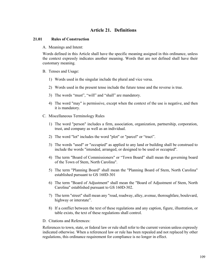## **Article 21. Definitions**

## **21.01 Rules of Construction**

A. Meanings and Intent:

Words defined in this Article shall have the specific meaning assigned in this ordinance, unless the context expressly indicates another meaning. Words that are not defined shall have their customary meaning.

- B. Tenses and Usage:
	- 1) Words used in the singular include the plural and vice versa.
	- 2) Words used in the present tense include the future tense and the reverse is true.
	- 3) The words "must", "will" and "shall" are mandatory.
	- 4) The word "may" is permissive, except when the context of the use is negative, and then it is mandatory.
- C. Miscellaneous Terminology Rules
	- 1) The word "person" includes a firm, association, organization, partnership, corporation, trust, and company as well as an individual.
	- 2) The word "lot" includes the word "plot" or "parcel" or "tract".
	- 3) The words "used" or "occupied" as applied to any land or building shall be construed to include the words "intended, arranged, or designed to be used or occupied".
	- 4) The term "Board of Commissioners" or "Town Board" shall mean the governing board of the Town of Stem, North Carolina".
	- 5) The term "Planning Board" shall mean the "Planning Board of Stem, North Carolina" established pursuant to GS 160D-301
	- 6) The term "Board of Adjustment" shall mean the "Board of Adjustment of Stem, North Carolina" established pursuant to GS 160D-302.
	- 7) The term "street" shall mean any "road, roadway, alley, avenue, thoroughfare, boulevard, highway or interstate".
	- 8) If a conflict between the text of these regulations and any caption, figure, illustration, or table exists, the text of these regulations shall control.
- D. Citations and References:

References to town, state, or federal law or rule shall refer to the current version unless expressly indicated otherwise. When a referenced law or rule has been repealed and not replaced by other regulations, this ordinance requirement for compliance is no longer in effect.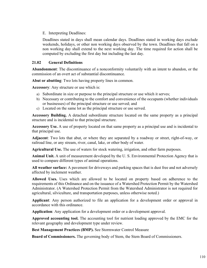E. Interpreting Deadlines:

Deadlines stated in days shall mean calendar days. Deadlines stated in working days exclude weekends, holidays, or other non working days observed by the town. Deadlines that fall on a non working day shall extend to the next working day. The time required for action shall be computed by excluding the first day but including the last day.

## **21.02 General Definitions**

**Abandonment**: The discontinuance of a nonconformity voluntarily with an intent to abandon, or the commission of an overt act of substantial discontinuance.

**Abut or abutting**: Two lots having property lines in common.

**Accessory**: Any structure or use which is:

- a) Subordinate in size or purpose to the principal structure or use which it serves;
- b) Necessary or contributing to the comfort and convenience of the occupants (whether individuals or businesses) of the principal structure or use served; and
- c) Located on the same lot as the principal structure or use served.

**Accessory Building.** A detached subordinate structure located on the same property as a principal structure and is incidental to that principal structure.

**Accessory Use.** A use of property located on that same property as a principal use and is incidental to that principal use.

**Adjacent**: Two lots that abut, or where they are separated by a roadway or street, right-of-way, or railroad line, or any stream, river, canal, lake, or other body of water.

**Agricultural Use.** The use of waters for stock watering, irrigation, and other farm purposes.

**Animal Unit.** A unit of measurement developed by the U. S. Environmental Protection Agency that is used to compare different types of animal operations.

**All weather surface:** A pavement for driveways and parking spaces that is dust free and not adversely affected by inclement weather.

**Allowed Uses.** Uses which are allowed to be located on property based on adherence to the requirements of this Ordinance and on the issuance of a Watershed Protection Permit by the Watershed Administrator. (A Watershed Protection Permit from the Watershed Administrator is not required for agricultural, silviculture, and transportation purposes, unless otherwise noted.)

**Applicant**: Any person authorized to file an application for a development order or approval in accordance with this ordinance.

**Application**: Any application for a development order or a development approval.

**Approved accounting tool.** The accounting tool for nutrient loading approved by the EMC for the relevant geography and development type under review.

**Best Management Practices (BMP).** See Stormwater Control Measure

**Board of Commissioners.** The governing body of Stem, the Stem Board of Commissioners.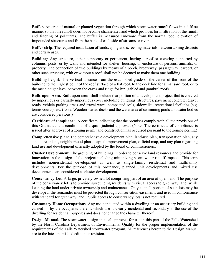**Buffer.** An area of natural or planted vegetation through which storm water runoff flows in a diffuse manner so that the runoff does not become channelized and which provides for infiltration of the runoff and filtering of pollutants. The buffer is measured landward from the normal pool elevation of impounded structures and from the bank of each side of streams or rivers.

**Buffer strip**: The required installation of landscaping and screening materials between zoning districts and certain uses.

**Building***:* Any structure, either temporary or permanent, having a roof or covering supported by columns, posts, or by walls and intended for shelter, housing, or enclosure of persons, animals, or property. The connection of two buildings by means of a porch, breezeway, passageway, carport, or other such structure, with or without a roof, shall not be deemed to make them one building.

**Building height:** The vertical distance from the established grade of the center of the front of the building to the highest point of the roof surface of a flat roof, to the deck line for a mansard roof, or to the mean height level between the eaves and ridge for hip, gabled and gambrel roofs.

**Built-upon Area.** Built-upon areas shall include that portion of a development project that is covered by impervious or partially impervious cover including buildings, structures, pavement concrete, gravel roads, vehicle parking areas and travel ways, compacted soils, sidewalks, recreational facilities (e.g. tennis courts), etc. (Note: Wooden slatted decks and the water area of swimming pools and water bodies are considered pervious.)

**Certificate of compliance**: A certificate indicating that the premises comply with all the provisions of this Ordinance and conditions of a quasi-judicial approval. (Note: The certificate of compliance is issued after approval of a zoning permit and construction has occurred pursuant to the zoning permit.)

**Comprehensive plan**: The comprehensive development plan, land-use plan, transportation plan, any small area plans, neighborhood plans, capital improvement plan, official map, and any plan regarding land use and development officially adopted by the board of commissioners.

**Cluster Development.** The grouping of buildings in order to conserve land resources and provide for innovation in the design of the project including minimizing storm water runoff impacts. This term includes nonresidential development as well as single-family residential and multifamily developments. For the purpose of this ordinance, planned unit developments and mixed use developments are considered as cluster development.

**Conservancy Lot**: A large, privately-owned lot comprising part of an area of open land. The purpose of the conservancy lot is to provide surrounding residents with visual access to greenway land, while keeping the land under private ownership and maintenance. Only a small portion of such lots may be developed; the remainder must be protected through conservation easements and used in conformance with standard for greenway land. Public access to conservancy lots is not required.

**Customary Home Occupations.** Any use conducted within a dwelling or an accessory building and carried on by the occupants thereof, which use is clearly incidental and secondary to the use of the dwelling for residential purposes and does not change the character thereof.

**Design Manual.** The stormwater design manual approved for use in this part of the Falls Watershed by the North Carolina Department of Environmental Quality for the proper implementation of the requirements of the Falls Watershed stormwater program. All references herein to the Design Manual are to the latest published edition or revision.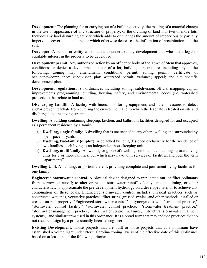**Development**: The planning for or carrying out of a building activity, the making of a material change in the use or appearance of any structure or property, or the dividing of land into two or more lots. Includes any land disturbing activity which adds to or changes the amount of impervious or partially impervious cover on a land area or which otherwise decreases the infiltration of precipitation into the soil.

**Developer**: A person or entity who intends to undertake any development and who has a legal or equitable interest in the property to be developed.

**Development permit**: Any authorized action by an officer or body of the Town of Stem that approves, conditions, or denies a development or use of a lot, building, or structure, including any of the following: zoning map amendment; conditional permit; zoning permit, certificate of occupancy/compliance; subdivision plat; watershed permit; variance; appeal; and site specific development plan.

**Development regulations**: All ordinances including zoning, subdivision, official mapping, capital improvements programming, building, housing, safety, and environmental codes (i.e. watershed protection) that relate to land use.

**Discharging Landfill.** A facility with liners, monitoring equipment, and other measures to detect and/or prevent leachate from entering the environment and in which the leachate is treated on site and discharged to a receiving stream.

**Dwelling**: A building containing sleeping, kitchen, and bathroom facilities designed for and occupied as a permanent residence by 1 family.

- a) **Dwelling, single-family**: A dwelling that is unattached to any other dwelling and surrounded by open space or yards.
- b) **Dwelling, two-family (duplex)**: A detached building designed exclusively for the residence of two families, each living as an independent housekeeping unit.
- c) **Dwelling, multifamily**: A dwelling or group of dwellings on one lot containing separate living units for 3 or more families, but which may have joint services or facilities. Includes the term "apartments".

**Dwelling Unit.** A building, or portion thereof, providing complete and permanent living facilities for one family.

**Engineered stormwater control.** A physical device designed to trap, settle out, or filter pollutants from stormwater runoff; to alter or reduce stormwater runoff velocity, amount, timing, or other characteristics; to approximate the pre-development hydrology on a developed site; or to achieve any combination of these goals. Engineered stormwater control includes physical practices such as constructed wetlands, vegetative practices, filter strips, grassed swales, and other methods installed or created on real property. "Engineered stormwater control" is synonymous with "structural practice," "stormwater control facility," "stormwater control practice," "stormwater treatment practice," "stormwater management practice," "stormwater control measures," "structural stormwater treatment systems," and similar terms used in this ordinance. It is a broad term that may include practices that do not require design by a professionally licensed engineer.

**Existing Development.** Those projects that are built or those projects that at a minimum have established a vested right under North Carolina zoning law as of the effective date of this Ordinance based on at least one of the following criteria: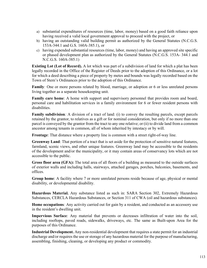- a) substantial expenditures of resources (time, labor, money) based on a good faith reliance upon having received a valid local government approval to proceed with the project, or
- b) having an outstanding valid building permit as authorized by the General Statutes (N.C.G.S. 153A-344.1 and G.S. 160A-385.1), or
- c) having expended substantial resources (time, labor, money) and having an approved site specific or phased development plan as authorized by the General Statutes (N.C.G.S. 153A- 344.1 and N.C.G.S. 160A-385.1)

**Existing Lot (Lot of Record).** A lot which was part of a subdivision of land for which a plat has been legally recorded in the Office of the Register of Deeds prior to the adoption of this Ordinance, or a lot for which a deed describing a piece of property by metes and bounds was legally recorded based on the Town of Stem's Ordinances prior to the adoption of this Ordinance.

**Family***:* One or more persons related by blood, marriage, or adoption or 6 or less unrelated persons living together as a separate housekeeping unit.

**Family care home**: A home with support and supervisory personnel that provides room and board, personal care and habilitation services in a family environment for 6 or fewer resident persons with disabilities.

**Family subdivision***:* A division of a tract of land: (i) to convey the resulting parcels, except parcels retained by the grantor, to relatives as a gift or for nominal consideration, but only if no more than one parcel is conveyed by the grantor from the tract to any one relative; or (ii) to divide land from a common ancestor among tenants in common, all of whom inherited by intestacy or by will.

**Frontage**: That distance where a property line is common with a street right-of-way line.

**Greenway Land**: That portion of a tract that is set aside for the protection of sensitive natural features, farmland, scenic views, and other unique features. Greenway land may be accessible to the residents of the development and/or the municipality, or it may contain areas of conservancy lots which are not accessible to the public.

**Gross floor area (GFA):** The total area of all floors of a building as measured to the outside surfaces of exterior walls and including halls, stairways, attached garages, porches, balconies, basements, and offices.

**Group home**: A facility where 7 or more unrelated persons reside because of age, physical or mental disability, or developmental disability.

**Hazardous Material.** Any substance listed as such in: SARA Section 302, Extremely Hazardous Substances, CERCLA Hazardous Substances, or Section 311 of CWA (oil and hazardous substances).

**Home occupations***:* Any activity carried out for gain by a resident, and conducted as an accessory use in the resident's dwelling unit.

**Impervious Surface**: Any material that prevents or decreases infiltration of water into the soil, including rooftops, paved roads, sidewalks, driveways, etc. The same as Built-upon Area for the purposes of this Ordinance.

**Industrial Development.** Any non-residential development that requires a state permit for an industrial discharge and/or requires the use or storage of any hazardous material for the purpose of manufacturing, assembling, finishing, cleaning, or developing any product or commodity.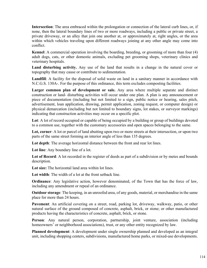**Intersection**: The area embraced within the prolongation or connection of the lateral curb lines, or, if none, then the lateral boundary lines of two or more roadways, including a public or private street, a private driveway, or an alley that join one another at, or approximately at, right angles, or the area within which vehicles traveling upon different roadways joining at any other angle may come into conflict.

**Kennel**: A commercial operation involving the boarding, breeding, or grooming of more than four (4) adult dogs, cats, or other domestic animals, excluding pet grooming shops, veterinary clinics and veterinary hospitals.

**Land disturbing activity.** Any use of the land that results in a change in the natural cover or topography that may cause or contribute to sedimentation.

**Landfill**: A facility for the disposal of solid waste on land in a sanitary manner in accordance with N.C.G.S. 130A-. For the purpose of this ordinance, this term excludes composting facilities.

Larger common plan of development or sale. Any area where multiple separate and distinct construction or land- disturbing activities will occur under one plan. A plan is any announcement or piece of documentation (including but not limited to a sign, public notice or hearing, sales pitch, advertisement, loan application, drawing, permit application, zoning request, or computer design) or physical demarcation (including but not limited to boundary signs, lot stakes, or surveyor markings) indicating that construction activities may occur on a specific plot.

**Lot**: A lot of record occupied or capable of being occupied by a building or group of buildings devoted to a common use, together with the customary accessories and open spaces belonging to the same.

**Lot, corner**: A lot or parcel of land abutting upon two or more streets at their intersection, or upon two parts of the same street forming an interior angle of less than 135 degrees.

**Lot depth**: The average horizontal distance between the front and rear lot lines.

**Lot line**: Any boundary line of a lot.

Lot of Record: A lot recorded in the register of deeds as part of a subdivision or by metes and bounds description.

**Lot size:** The horizontal land area within lot lines.

**Lot width**: The width of a lot at the front setback line.

**Ordinance**: Any legislative action, however denominated, of the Town that has the force of law, including any amendment or repeal of an ordinance.

**Outdoor storage**: The keeping, in an unroofed area, of any goods, material, or merchandise in the same place for more than 24 hours.

**Pavement**: An artificial covering on a street, road, parking lot, driveway, walkway, patio, or other natural surface of the ground composed of concrete, asphalt, brick, or stone; or other manufactured products having the characteristics of concrete, asphalt, brick, or stone.

**Person**: Any natural person, corporation, partnership, joint venture, association (including homeowners' or neighborhood associations), trust, or any other entity recognized by law.

**Planned development**: A development under single ownership planned and developed as an integral unit, including shopping centers, subdivisions, manufactured home parks, or mixed-use developments.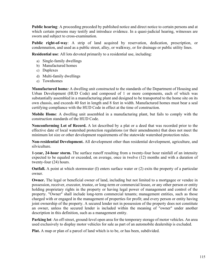**Public hearing**: A proceeding preceded by published notice and direct notice to certain persons and at which certain persons may testify and introduce evidence. In a quasi-judicial hearing, witnesses are sworn and subject to cross-examination.

**Public right-of-way**: A strip of land acquired by reservation, dedication, prescription, or condemnation, and used as a public street, alley, or walkway, or for drainage or public utility lines.

**Residential use**: All lots devoted primarily to a residential use, including:

- a) Single-family dwellings
- b) Manufactured homes
- c) Duplexes
- d) Multi-family dwellings
- e) Townhomes

**Manufactured home***:* A dwelling unit constructed to the standards of the Department of Housing and Urban Development (HUD Code) and composed of 1 or more components, each of which was substantially assembled in a manufacturing plant and designed to be transported to the home site on its own chassis, and exceeds 40 feet in length and 8 feet in width. Manufactured homes must bear a seal certifying compliance with the HUD Code in effect at the time of construction.

**Mobile Home**: A dwelling unit assembled in a manufacturing plant, but fails to comply with the construction standards of the HUD Code.

**Nonconforming Lot of Record.** A lot described by a plat or a deed that was recorded prior to the effective date of local watershed protection regulations (or their amendments) that does not meet the minimum lot size or other development requirements of the statewide watershed protection rules.

**Non-residential Development.** All development other than residential development, agriculture, and silviculture.

**1-year, 24-hour storm.** The surface runoff resulting from a twenty-four hour rainfall of an intensity expected to be equaled or exceeded, on average, once in twelve (12) months and with a duration of twenty-four (24) hours.

**Outfall.** A point at which stormwater (I) enters surface water or (2) exits the property of a particular owner.

**Owner.** The legal or beneficial owner of land, including but not limited to a mortgagee or vendee in possession, receiver, executor, trustee, or long-term or commercial lessee, or any other person or entity holding proprietary rights in the property or having legal power of management and control of the property. "Owner" shall include long-term commercial tenants; management entities, such as those charged with or engaged in the management of properties for profit; and every person or entity having joint ownership of the property. A secured lender not in possession of the property does not constitute an owner, unless the secured lender is included within the meaning of "owner" under another description in this definition, such as a management entity.

**Parking lot**: An off-street, ground-level open area for the temporary storage of motor vehicles. An area used exclusively to display motor vehicles for sale as part of an automobile dealership is excluded.

**Plat.** A map or plan of a parcel of land which is to be, or has been, subdivided.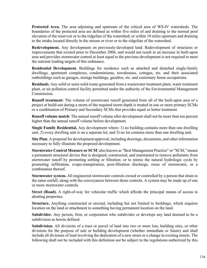**Protected Area.** The area adjoining and upstream of the critical area of WS-IV watersheds. The boundaries of the protected area are defined as within five miles of and draining to the normal pool elevation of the reservoir or to the ridgeline of the watershed; or within 10 miles upstream and draining to the intake located directly in the stream or river or to the ridgeline of the watershed.

**Redevelopment.** Any development on previously-developed land. Redevelopment of structures or improvements that existed prior to December 2006, and would not result in an increase in built-upon area and provides stormwater control at least equal to the previous development is not required to meet the nutrient loading targets of this ordinance.

**Residential Development.** Buildings for residence such as attached and detached single-family dwellings, apartment complexes, condominiums, townhouses, cottages, etc. and their associated outbuildings such as garages, storage buildings, gazebos, etc. and customary home occupations.

**Residuals.** Any solid or semi-solid waste generated from a wastewater treatment plant, water treatment plant, or air pollution control facility permitted under the authority of the Environmental Management Commission.

**Runoff treatment**: The volume of stormwater runoff generated from all of the built-upon area of a project at build-out during a storm of the required storm depth is treated in one or more primary SCMs or a combination of Primary and Secondary SCMs that provides equal or better treatment.

**Runoff volume match**: The annual runoff volume after development shall not be more than ten percent higher than the annual runoff volume before development.

**Single Family Residential.** Any development where: 1) no building contains more than one dwelling unit, 2) every dwelling unit is on a separate lot, and 3) no lot contains more than one dwelling unit.

**Site Plan**: A proposal for development approval, including drawings, documents, and other information necessary to fully illustrate the proposed development.

**Stormwater Control Measure or SCM**: also known as "Best Management Practice" or "SCM," means a permanent structural device that is designed, constructed, and maintained to remove pollutants from stormwater runoff by promoting settling or filtration; or to mimic the natural hydrologic cycle by promoting infiltration, evapo-transpiration, post-filtration discharge, reuse of stormwater, or a combination thereof.

**Stormwater system.** All engineered stormwater controls owned or controlled by a person that drain to the same outfall, along with the conveyances between those controls. A system may be made up of one or more stormwater controls.

**Street (Road).** A right-of-way for vehicular traffic which affords the principal means of access to abutting properties.

**Structure.** Anything constructed or erected, including but not limited to buildings, which requires location on the land or attachment to something having permanent location on the land.

**Subdivider.** Any person, firm, or corporation who subdivides or develops any land deemed to be a subdivision as herein defined.

**Subdivision.** All divisions of a tract or parcel of land into two or more lots, building sites, or other divisions for the purpose of sale or building development (whether immediate or future) and shall include all divisions of land involving the dedication of a new street or a change in existing streets. The following shall not be included with this definition nor be subject to the regulations authorized by this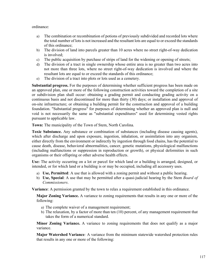ordinance:

- a) The combination or recombination of potions of previously subdivided and recorded lots where the total number of lots is not increased and the resultant lots are equal to or exceed the standards of this ordinance;
- b) The division of land into parcels greater than 10 acres where no street right-of-way dedication is involved;
- c) The public acquisition by purchase of strips of land for the widening or opening of streets;
- d) The division of a tract in single ownership whose entire area is no greater than two acres into not more than three lots, where no street right-of-way dedication is involved and where the resultant lots are equal to or exceed the standards of this ordinance;
- e) The division of a tract into plots or lots used as a cemetery.

**Substantial progress.** For the purposes of determining whether sufficient progress has been made on an approved plan, one or more of the following construction activities toward the completion of a site or subdivision plan shall occur: obtaining a grading permit and conducting grading activity on a continuous basis and not discontinued for more than thirty (30) days; or installation and approval of on-site infrastructure; or obtaining a building permit for the construction and approval of a building foundation. "Substantial progress" for purposes of determining whether an approved plan is null and void is not necessarily the same as "substantial expenditures" used for determining vested rights pursuant to applicable law.

**Town:** The municipality of the Town of Stem, North Carolina.

**Toxic Substance.** Any substance or combination of substances (including disease causing agents), which after discharge and upon exposure, ingestion, inhalation, or assimilation into any organism, either directly from the environment or indirectly by ingestion through food chains, has the potential to cause death, disease, behavioral abnormalities, cancer, genetic mutations, physiological malfunctions (including malfunctions or suppression in reproduction or growth), or physical deformities in such organisms or their offspring or other adverse health effects.

**Use:** The activity occurring on a lot or parcel for which land or a building is arranged, designed, or intended, or for which land or a building is or may be occupied, including all accessory uses.

- a) **Use, Permitted**: A use that is allowed with a zoning permit and without a public hearing.
- b) **Use, Special**: A use that may be permitted after a quasi-judicial hearing by the Stem *Board of Commissioners*.

**Variance**: A permission granted by the town to relax a requirement established in this ordinance.

**Major Zoning Variance.** A variance to zoning requirements that results in any one or more of the following:

- a) The complete waiver of a management requirement;
- b) The relaxation, by a factor of more than ten (10) percent, of any management requirement that takes the form of a numerical standard.

**Minor Zoning Variance.** A variance to zoning requirements that does not qualify as a major variance.

**Major Watershed Variance***:* A variance from the minimum statewide watershed protection rules that results in any one or more of the following: